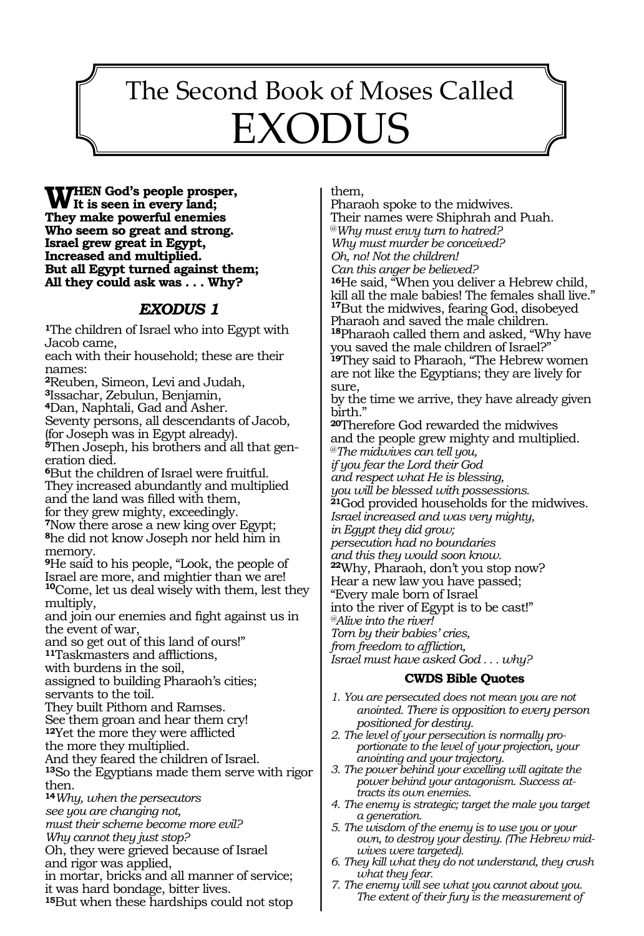# The Second Book of Moses Called EXODUS

73

**WHEN God's people prosper,**<br>They make neuroful enomies **They make powerful enemies Who seem so great and strong. Israel grew great in Egypt, Increased and multiplied. But all Egypt turned against them; All they could ask was . . . Why?**

#### *EXODUS 1*

**<sup>1</sup>**The children of Israel who into Egypt with Jacob came,

each with their household; these are their names:

**<sup>2</sup>**Reuben, Simeon, Levi and Judah,

**<sup>3</sup>**Issachar, Zebulun, Benjamin,

**<sup>4</sup>**Dan, Naphtali, Gad and Asher.

Seventy persons, all descendants of Jacob, (for Joseph was in Egypt already).

**5**Then Joseph, his brothers and all that generation died.

**<sup>6</sup>**But the children of Israel were fruitful. They increased abundantly and multiplied and the land was filled with them, for they grew mighty, exceedingly.

**<sup>7</sup>**Now there arose a new king over Egypt; **<sup>8</sup>**he did not know Joseph nor held him in memory.

**<sup>9</sup>**He said to his people, "Look, the people of Israel are more, and mightier than we are! **<sup>10</sup>**Come, let us deal wisely with them, lest they multiply,

and join our enemies and fight against us in the event of war,

and so get out of this land of ours!"

**<sup>11</sup>**Taskmasters and afflictions,

with burdens in the soil,

assigned to building Pharaoh's cities; servants to the toil.

They built Pithom and Ramses.

See them groan and hear them cry!

**<sup>12</sup>**Yet the more they were afflicted

the more they multiplied.

And they feared the children of Israel.

**<sup>13</sup>**So the Egyptians made them serve with rigor then.

**<sup>14</sup>***Why, when the persecutors* 

*see you are changing not, must their scheme become more evil?* 

*Why cannot they just stop?* 

Oh, they were grieved because of Israel and rigor was applied,

in mortar, bricks and all manner of service; it was hard bondage, bitter lives.

**<sup>15</sup>**But when these hardships could not stop

them,

Pharaoh spoke to the midwives. Their names were Shiphrah and Puah. @*Why must envy turn to hatred? Why must murder be conceived? Oh, no! Not the children! Can this anger be believed?*  **<sup>16</sup>**He said, "When you deliver a Hebrew child, kill all the male babies! The females shall live." **<sup>17</sup>**But the midwives, fearing God, disobeyed Pharaoh and saved the male children. **<sup>18</sup>**Pharaoh called them and asked, "Why have you saved the male children of Israel?" **<sup>19</sup>**They said to Pharaoh, "The Hebrew women are not like the Egyptians; they are lively for sure, by the time we arrive, they have already given birth." **<sup>20</sup>**Therefore God rewarded the midwives and the people grew mighty and multiplied. @*The midwives can tell you, if you fear the Lord their God and respect what He is blessing, you will be blessed with possessions.* **<sup>21</sup>**God provided households for the midwives. *Israel increased and was very mighty, in Egypt they did grow; persecution had no boundaries and this they would soon know.*  **<sup>22</sup>**Why, Pharaoh, don't you stop now? Hear a new law you have passed; "Every male born of Israel into the river of Egypt is to be cast!" *@Alive into the river! Torn by their babies' cries, from freedom to affliction, Israel must have asked God . . . why?* **CWDS Bible Quotes**

- *1. You are persecuted does not mean you are not anointed. There is opposition to every person positioned for destiny.*
- *2. The level of your persecution is normally proportionate to the level of your projection, your anointing and your trajectory.*
- *3. The power behind your excelling will agitate the power behind your antagonism. Success attracts its own enemies.*
- *4. The enemy is strategic; target the male you target a generation.*
- *5. The wisdom of the enemy is to use you or your own, to destroy your destiny. (The Hebrew midwives were targeted).*
- *6. They kill what they do not understand, they crush what they fear.*
- *7. The enemy will see what you cannot about you. The extent of their fury is the measurement of*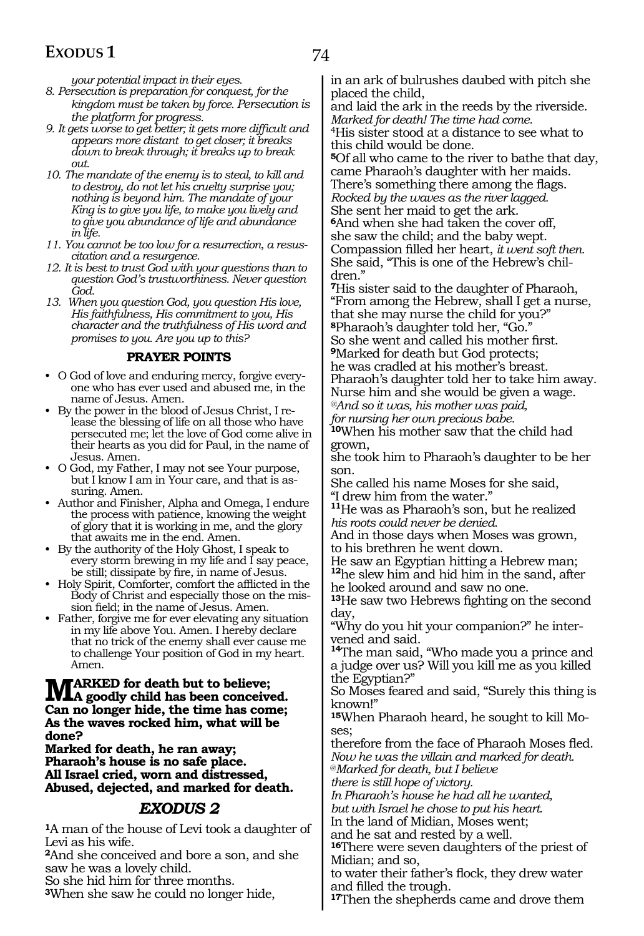*your potential impact in their eyes.*

- *8. Persecution is preparation for conquest, for the kingdom must be taken by force. Persecution is the platform for progress.*
- *9. It gets worse to get better; it gets more difficult and appears more distant to get closer; it breaks down to break through; it breaks up to break out.*
- *10. The mandate of the enemy is to steal, to kill and to destroy, do not let his cruelty surprise you; nothing is beyond him. The mandate of your King is to give you life, to make you lively and to give you abundance of life and abundance in life.*
- *11. You cannot be too low for a resurrection, a resuscitation and a resurgence.*
- *12. It is best to trust God with your questions than to question God's trustworthiness. Never question God.*
- *13. When you question God, you question His love, His faithfulness, His commitment to you, His character and the truthfulness of His word and promises to you. Are you up to this?*

#### **PRAYER POINTS**

- O God of love and enduring mercy, forgive everyone who has ever used and abused me, in the name of Jesus. Amen.
- By the power in the blood of Jesus Christ, I release the blessing of life on all those who have persecuted me; let the love of God come alive in their hearts as you did for Paul, in the name of Jesus. Amen.
- O God, my Father, I may not see Your purpose, but I know I am in Your care, and that is assuring. Amen.
- Author and Finisher, Alpha and Omega, I endure the process with patience, knowing the weight of glory that it is working in me, and the glory that awaits me in the end. Amen.
- By the authority of the Holy Ghost, I speak to every storm brewing in my life and I say peace, be still; dissipate by fire, in name of Jesus.
- Holy Spirit, Comforter, comfort the afflicted in the Body of Christ and especially those on the mission field; in the name of Jesus. Amen.
- Father, forgive me for ever elevating any situation in my life above You. Amen. I hereby declare that no trick of the enemy shall ever cause me to challenge Your position of God in my heart. Amen.

#### **MARKED** for death but to believe;<br> **A goodly child has been conceived.**<br> **An a clarger hide the time becomes Can no longer hide, the time has come; As the waves rocked him, what will be done?**

**Marked for death, he ran away; Pharaoh's house is no safe place. All Israel cried, worn and distressed, Abused, dejected, and marked for death.** 

#### *EXODUS 2*

**<sup>1</sup>**A man of the house of Levi took a daughter of Levi as his wife.

**<sup>2</sup>**And she conceived and bore a son, and she saw he was a lovely child.

So she hid him for three months.

**<sup>3</sup>**When she saw he could no longer hide,

in an ark of bulrushes daubed with pitch she placed the child,

and laid the ark in the reeds by the riverside. *Marked for death! The time had come.* 

4His sister stood at a distance to see what to this child would be done.

**<sup>5</sup>**Of all who came to the river to bathe that day, came Pharaoh's daughter with her maids. There's something there among the flags. *Rocked by the waves as the river lagged.* 

She sent her maid to get the ark. **<sup>6</sup>**And when she had taken the cover off, she saw the child; and the baby wept. Compassion filled her heart, *it went soft then.*  She said, "This is one of the Hebrew's chil-

dren.'

**<sup>7</sup>**His sister said to the daughter of Pharaoh, "From among the Hebrew, shall I get a nurse, that she may nurse the child for you?" **<sup>8</sup>**Pharaoh's daughter told her, "Go." So she went and called his mother first. **<sup>9</sup>**Marked for death but God protects;

he was cradled at his mother's breast. Pharaoh's daughter told her to take him away. Nurse him and she would be given a wage.

*@And so it was, his mother was paid, for nursing her own precious babe.* 

**<sup>10</sup>**When his mother saw that the child had grown,

she took him to Pharaoh's daughter to be her son.

She called his name Moses for she said, "I drew him from the water."

**<sup>11</sup>**He was as Pharaoh's son, but he realized *his roots could never be denied.* 

And in those days when Moses was grown, to his brethren he went down.

He saw an Egyptian hitting a Hebrew man;

**<sup>12</sup>**he slew him and hid him in the sand, after he looked around and saw no one.

**<sup>13</sup>**He saw two Hebrews fighting on the second day,

"Why do you hit your companion?" he intervened and said.

**<sup>14</sup>**The man said, "Who made you a prince and a judge over us? Will you kill me as you killed the Egyptian?"

So Moses feared and said, "Surely this thing is known!"

**<sup>15</sup>**When Pharaoh heard, he sought to kill Mo- ses;

therefore from the face of Pharaoh Moses fled. *Now he was the villain and marked for death.* 

@*Marked for death, but I believe* 

*there is still hope of victory.* 

*In Pharaoh's house he had all he wanted, but with Israel he chose to put his heart.* 

In the land of Midian, Moses went;

and he sat and rested by a well.

**<sup>16</sup>**There were seven daughters of the priest of Midian; and so,

to water their father's flock, they drew water and filled the trough.

**<sup>17</sup>**Then the shepherds came and drove them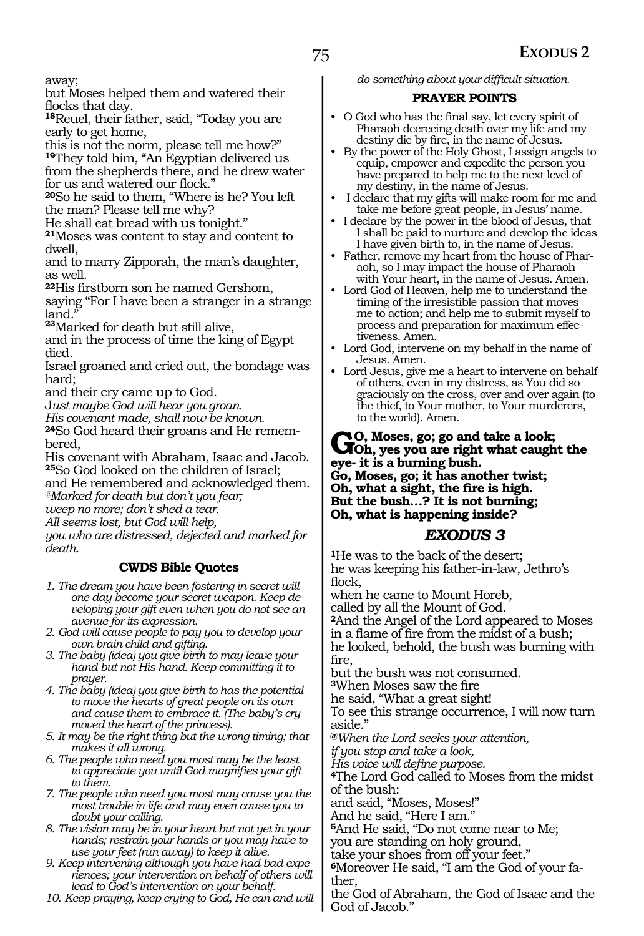away;

but Moses helped them and watered their flocks that day.

**<sup>18</sup>**Reuel, their father, said, "Today you are early to get home,

this is not the norm, please tell me how?" **<sup>19</sup>**They told him, "An Egyptian delivered us from the shepherds there, and he drew water for us and watered our flock."

**<sup>20</sup>**So he said to them, "Where is he? You left the man? Please tell me why?

He shall eat bread with us tonight."

**<sup>21</sup>**Moses was content to stay and content to dwell,

and to marry Zipporah, the man's daughter, as well.

**<sup>22</sup>**His firstborn son he named Gershom,

saying "For I have been a stranger in a strange land."

**<sup>23</sup>**Marked for death but still alive,

and in the process of time the king of Egypt died.

Israel groaned and cried out, the bondage was hard;

and their cry came up to God.

J*ust maybe God will hear you groan.* 

*His covenant made, shall now be known.* 

**24**So God heard their groans and He remembered,

His covenant with Abraham, Isaac and Jacob. **<sup>25</sup>**So God looked on the children of Israel; and He remembered and acknowledged them. *@Marked for death but don't you fear;*

*weep no more; don't shed a tear.*

*All seems lost, but God will help,*

*you who are distressed, dejected and marked for death.*

#### **CWDS Bible Quotes**

- *1. The dream you have been fostering in secret will one day become your secret weapon. Keep developing your gift even when you do not see an avenue for its expression.*
- *2. God will cause people to pay you to develop your own brain child and gifting.*
- *3. The baby (idea) you give birth to may leave your hand but not His hand. Keep committing it to prayer.*
- *4. The baby (idea) you give birth to has the potential to move the hearts of great people on its own and cause them to embrace it. (The baby's cry moved the heart of the princess).*
- *5. It may be the right thing but the wrong timing; that makes it all wrong.*
- *6. The people who need you most may be the least to appreciate you until God magnifies your gift to them.*
- *7. The people who need you most may cause you the most trouble in life and may even cause you to doubt your calling.*
- *8. The vision may be in your heart but not yet in your hands; restrain your hands or you may have to use your feet (run away) to keep it alive.*
- *9. Keep intervening although you have had bad experiences; your intervention on behalf of others will lead to God's intervention on your behalf.*
- *10. Keep praying, keep crying to God, He can and will*

*do something about your difficult situation.*

#### **PRAYER POINTS**

- O God who has the final say, let every spirit of Pharaoh decreeing death over my life and my destiny die by fire, in the name of Jesus.
- By the power of the Holy Ghost, I assign angels to equip, empower and expedite the person you have prepared to help me to the next level of my destiny, in the name of Jesus.
- I declare that my gifts will make room for me and take me before great people, in Jesus' name.
- I declare by the power in the blood of Jesus, that I shall be paid to nurture and develop the ideas I have given birth to, in the name of Jesus.
- Father, remove my heart from the house of Pharaoh, so I may impact the house of Pharaoh with Your heart, in the name of Jesus. Amen.
- Lord God of Heaven, help me to understand the timing of the irresistible passion that moves me to action; and help me to submit myself to process and preparation for maximum effectiveness. Amen.
- Lord God, intervene on my behalf in the name of Jesus. Amen.
- Lord Jesus, give me a heart to intervene on behalf of others, even in my distress, as You did so graciously on the cross, over and over again (to the thief, to Your mother, to Your murderers, to the world). Amen.

### **Go, Moses, go; go and take a look; Oh, yes you are right what caught the eye- it is a burning bush.**

**Go, Moses, go; it has another twist; Oh, what a sight, the fire is high. But the bush…? It is not burning; Oh, what is happening inside?**

#### *EXODUS 3*

**<sup>1</sup>**He was to the back of the desert; he was keeping his father-in-law, Jethro's flock,

when he came to Mount Horeb, called by all the Mount of God.

**<sup>2</sup>**And the Angel of the Lord appeared to Moses in a flame of fire from the midst of a bush; he looked, behold, the bush was burning with fire,

but the bush was not consumed.

**<sup>3</sup>**When Moses saw the fire

he said, "What a great sight!

To see this strange occurrence, I will now turn aside."

**@***When the Lord seeks your attention,* 

*if you stop and take a look,*

*His voice will define purpose.*

**<sup>4</sup>**The Lord God called to Moses from the midst of the bush:

and said, "Moses, Moses!"

And he said, "Here I am."

**<sup>5</sup>**And He said, "Do not come near to Me;

you are standing on holy ground,

take your shoes from off your feet."

**<sup>6</sup>**Moreover He said, "I am the God of your fa- ther,

the God of Abraham, the God of Isaac and the God of Jacob."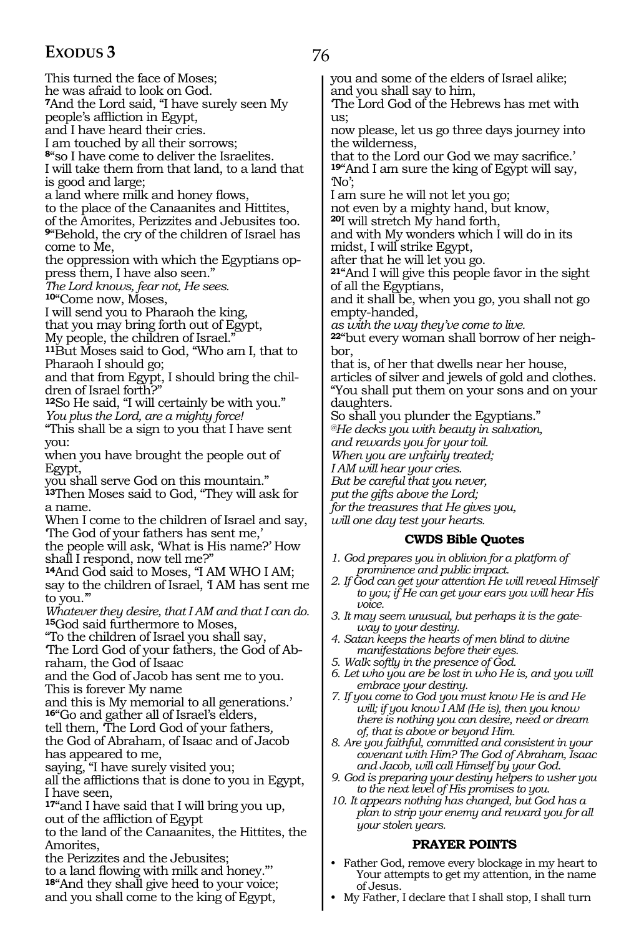76

This turned the face of Moses; he was afraid to look on God. **<sup>7</sup>**And the Lord said, "I have surely seen My people's affliction in Egypt, and I have heard their cries. I am touched by all their sorrows; **<sup>8</sup>**"so I have come to deliver the Israelites. I will take them from that land, to a land that is good and large; a land where milk and honey flows, to the place of the Canaanites and Hittites, of the Amorites, Perizzites and Jebusites too. **<sup>9</sup>**"Behold, the cry of the children of Israel has come to Me, the oppression with which the Egyptians op- press them, I have also seen." *The Lord knows, fear not, He sees.* **<sup>10</sup>**"Come now, Moses, I will send you to Pharaoh the king, that you may bring forth out of Egypt, My people, the children of Israel." **<sup>11</sup>**But Moses said to God, "Who am I, that to Pharaoh I should go; and that from Egypt, I should bring the children of Israel forth?" **<sup>12</sup>**So He said, "I will certainly be with you." *You plus the Lord, are a mighty force!* "This shall be a sign to you that I have sent you: when you have brought the people out of Egypt, you shall serve God on this mountain." **<sup>13</sup>**Then Moses said to God, "They will ask for a name. When I come to the children of Israel and say, 'The God of your fathers has sent me,' the people will ask, 'What is His name?' How shall I respond, now tell me?" **<sup>14</sup>**And God said to Moses, "I AM WHO I AM; say to the children of Israel, 'I AM has sent me to you.'" *Whatever they desire, that I AM and that I can do.* **<sup>15</sup>**God said furthermore to Moses, "To the children of Israel you shall say, 'The Lord God of your fathers, the God of Abraham, the God of Isaac and the God of Jacob has sent me to you. This is forever My name and this is My memorial to all generations.' **<sup>16</sup>**"Go and gather all of Israel's elders, tell them, 'The Lord God of your fathers*,*  the God of Abraham, of Isaac and of Jacob has appeared to me, saying, "I have surely visited you; all the afflictions that is done to you in Egypt, I have seen, **<sup>17</sup>**"and I have said that I will bring you up, out of the affliction of Egypt to the land of the Canaanites, the Hittites, the Amorites, the Perizzites and the Jebusites; to a land flowing with milk and honey."' **<sup>18</sup>**"And they shall give heed to your voice;

and you shall come to the king of Egypt,

you and some of the elders of Israel alike; and you shall say to him,

'The Lord God of the Hebrews has met with us;

now please, let us go three days journey into the wilderness,

that to the Lord our God we may sacrifice.' **<sup>19</sup>**"And I am sure the king of Egypt will say, 'No';

I am sure he will not let you go;

not even by a mighty hand, but know,

**<sup>20</sup>**I will stretch My hand forth, and with My wonders which I will do in its

midst, I will strike Egypt, after that he will let you go.

**<sup>21</sup>**"And I will give this people favor in the sight of all the Egyptians,

and it shall be, when you go, you shall not go empty-handed,

*as with the way they've come to live.*

**22**"but every woman shall borrow of her neighbor,

that is, of her that dwells near her house, articles of silver and jewels of gold and clothes. "You shall put them on your sons and on your daughters.

So shall you plunder the Egyptians."

*@He decks you with beauty in salvation,*

*and rewards you for your toil.*

*When you are unfairly treated;*

*I AM will hear your cries.*

*But be careful that you never,*

*put the gifts above the Lord;*

*for the treasures that He gives you, will one day test your hearts.*

#### **CWDS Bible Quotes**

- *1. God prepares you in oblivion for a platform of prominence and public impact.*
- *2. If God can get your attention He will reveal Himself to you; if He can get your ears you will hear His voice.*
- *3. It may seem unusual, but perhaps it is the gateway to your destiny.*
- *4. Satan keeps the hearts of men blind to divine manifestations before their eyes.*
- *5. Walk softly in the presence of God.*
- *6. Let who you are be lost in who He is, and you will embrace your destiny.*
- *7. If you come to God you must know He is and He will; if you know I AM (He is), then you know there is nothing you can desire, need or dream of, that is above or beyond Him.*
- *8. Are you faithful, committed and consistent in your covenant with Him? The God of Abraham, Isaac and Jacob, will call Himself by your God.*
- *9. God is preparing your destiny helpers to usher you to the next level of His promises to you.*
- *10. It appears nothing has changed, but God has a plan to strip your enemy and reward you for all your stolen years.*

#### **PRAYER POINTS**

- Father God, remove every blockage in my heart to Your attempts to get my attention, in the name of Jesus.
- My Father, I declare that I shall stop, I shall turn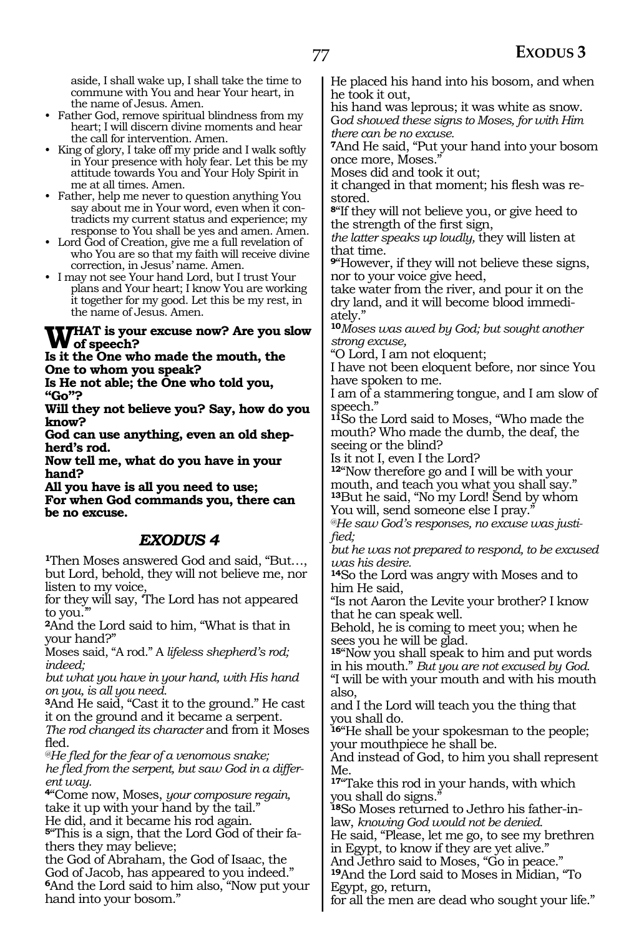77

aside, I shall wake up, I shall take the time to commune with You and hear Your heart, in the name of Jesus. Amen.

- Father God, remove spiritual blindness from my heart; I will discern divine moments and hear the call for intervention. Amen.
- King of glory, I take off my pride and I walk softly in Your presence with holy fear. Let this be my attitude towards You and Your Holy Spirit in me at all times. Amen.
- Father, help me never to question anything You say about me in Your word, even when it contradicts my current status and experience; my response to You shall be yes and amen. Amen.
- Lord God of Creation, give me a full revelation of who You are so that my faith will receive divine correction, in Jesus' name. Amen.
- I may not see Your hand Lord, but I trust Your plans and Your heart; I know You are working it together for my good. Let this be my rest, in the name of Jesus. Amen.

# WHAT is your excuse now? Are you slow<br> **W** of speech?<br> **L** it the One who made the manth, the

**Is it the One who made the mouth, the One to whom you speak?**

**Is He not able; the One who told you, "Go"?**

**Will they not believe you? Say, how do you know?**

**God can use anything, even an old shepherd's rod.**

**Now tell me, what do you have in your hand?**

**All you have is all you need to use; For when God commands you, there can be no excuse.** 

### *EXODUS 4*

**<sup>1</sup>**Then Moses answered God and said, "But…, but Lord, behold, they will not believe me, nor listen to my voice,

for they will say, 'The Lord has not appeared to you.

**<sup>2</sup>**And the Lord said to him, "What is that in your hand?"

Moses said, "A rod." A *lifeless shepherd's rod; indeed;*

*but what you have in your hand, with His hand on you, is all you need.*

**<sup>3</sup>**And He said, "Cast it to the ground." He cast it on the ground and it became a serpent. *The rod changed its character* and from it Moses fled.

*@He fled for the fear of a venomous snake; he fled from the serpent, but saw God in a different way.*

**<sup>4</sup>**"Come now, Moses, *your composure regain,* take it up with your hand by the tail." He did, and it became his rod again. **5**"This is a sign, that the Lord God of their fa-

thers they may believe; the God of Abraham, the God of Isaac, the God of Jacob, has appeared to you indeed." **<sup>6</sup>**And the Lord said to him also, "Now put your hand into your bosom."

He placed his hand into his bosom, and when he took it out,

his hand was leprous; it was white as snow. G*od showed these signs to Moses, for with Him there can be no excuse.*

**<sup>7</sup>**And He said, "Put your hand into your bosom once more, Moses."

Moses did and took it out;

it changed in that moment; his flesh was restored.

**<sup>8</sup>**"If they will not believe you, or give heed to the strength of the first sign,

*the latter speaks up loudly,* they will listen at that time.

**<sup>9</sup>**"However, if they will not believe these signs, nor to your voice give heed,

take water from the river, and pour it on the dry land, and it will become blood immediately."

**<sup>10</sup>***Moses was awed by God; but sought another strong excuse,*

"O Lord, I am not eloquent;

I have not been eloquent before, nor since You have spoken to me.

I am of a stammering tongue, and I am slow of speech."

**<sup>11</sup>**So the Lord said to Moses, "Who made the mouth? Who made the dumb, the deaf, the seeing or the blind?

Is it not I, even I the Lord?

**<sup>12</sup>**"Now therefore go and I will be with your mouth, and teach you what you shall say." **<sup>13</sup>**But he said, "No my Lord! Send by whom You will, send someone else I pray.

*@He saw God's responses, no excuse was justified;*

*but he was not prepared to respond, to be excused was his desire.*

**<sup>14</sup>**So the Lord was angry with Moses and to him He said,

"Is not Aaron the Levite your brother? I know that he can speak well.

Behold, he is coming to meet you; when he sees you he will be glad.

**<sup>15</sup>**"Now you shall speak to him and put words in his mouth." *But you are not excused by God.* "I will be with your mouth and with his mouth also,

and I the Lord will teach you the thing that you shall do.

**<sup>16</sup>**"He shall be your spokesman to the people; your mouthpiece he shall be.

And instead of God, to him you shall represent Me.

**<sup>17</sup>**"Take this rod in your hands, with which you shall do signs."

**18**So Moses returned to Jethro his father-inlaw, *knowing God would not be denied.*

He said, "Please, let me go, to see my brethren in Egypt, to know if they are yet alive."

And Jethro said to Moses, "Go in peace."

**<sup>19</sup>**And the Lord said to Moses in Midian, "To Egypt, go, return,

for all the men are dead who sought your life."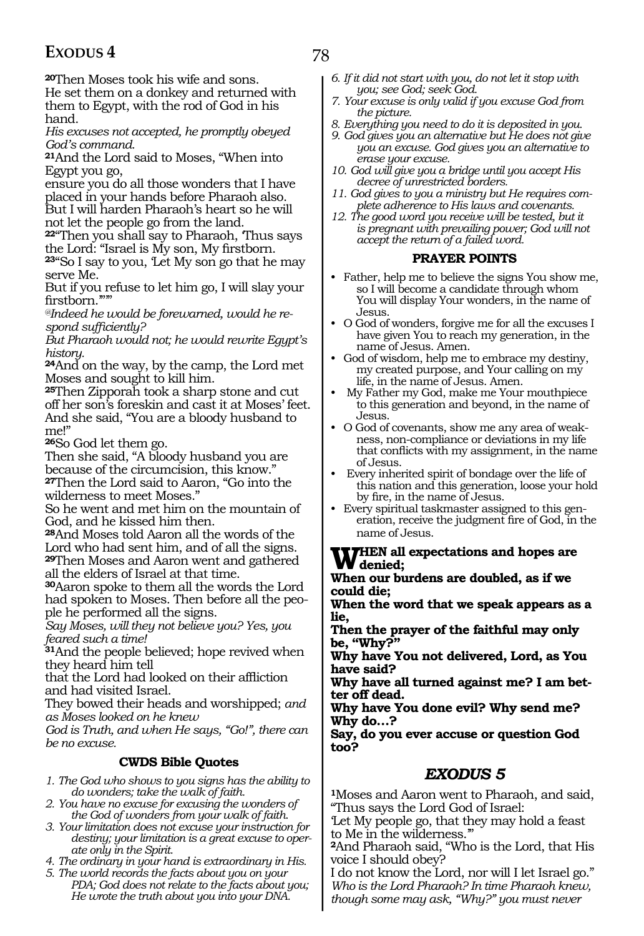**<sup>20</sup>**Then Moses took his wife and sons.

He set them on a donkey and returned with them to Egypt, with the rod of God in his hand.

*His excuses not accepted, he promptly obeyed God's command.*

**<sup>21</sup>**And the Lord said to Moses, "When into Egypt you go,

ensure you do all those wonders that I have placed in your hands before Pharaoh also. But I will harden Pharaoh's heart so he will not let the people go from the land.

**<sup>22</sup>**"Then you shall say to Pharaoh, 'Thus says the Lord: "Israel is My son, My firstborn.

**<sup>23</sup>**"So I say to you, 'Let My son go that he may serve Me.

But if you refuse to let him go, I will slay your firstborn.""

*@Indeed he would be forewarned, would he respond sufficiently?*

*But Pharaoh would not; he would rewrite Egypt's history.* 

**<sup>24</sup>**And on the way, by the camp, the Lord met Moses and sought to kill him.

**<sup>25</sup>**Then Zipporah took a sharp stone and cut off her son's foreskin and cast it at Moses' feet. And she said, "You are a bloody husband to me!"

**<sup>26</sup>**So God let them go.

Then she said, "A bloody husband you are because of the circumcision, this know." **<sup>27</sup>**Then the Lord said to Aaron, "Go into the wilderness to meet Moses."

So he went and met him on the mountain of God, and he kissed him then.

**<sup>28</sup>**And Moses told Aaron all the words of the Lord who had sent him, and of all the signs. **<sup>29</sup>**Then Moses and Aaron went and gathered

all the elders of Israel at that time. **<sup>30</sup>**Aaron spoke to them all the words the Lord had spoken to Moses. Then before all the people he performed all the signs.

*Say Moses, will they not believe you? Yes, you feared such a time!* 

**<sup>31</sup>**And the people believed; hope revived when they heard him tell

that the Lord had looked on their affliction and had visited Israel.

They bowed their heads and worshipped; *and as Moses looked on he knew*

*God is Truth, and when He says, "Go!", there can be no excuse.* 

#### **CWDS Bible Quotes**

*1. The God who shows to you signs has the ability to do wonders; take the walk of faith.*

*2. You have no excuse for excusing the wonders of the God of wonders from your walk of faith.*

- *3. Your limitation does not excuse your instruction for destiny; your limitation is a great excuse to operate only in the Spirit.*
- *4. The ordinary in your hand is extraordinary in His.*
- *5. The world records the facts about you on your PDA; God does not relate to the facts about you; He wrote the truth about you into your DNA.*
- *6. If it did not start with you, do not let it stop with you; see God; seek God.*
- *7. Your excuse is only valid if you excuse God from the picture.*
- *8. Everything you need to do it is deposited in you.*
- *9. God gives you an alternative but He does not give you an excuse. God gives you an alternative to erase your excuse.*
- *10. God will give you a bridge until you accept His decree of unrestricted borders.*
- *11. God gives to you a ministry but He requires complete adherence to His laws and covenants.*
- *12. The good word you receive will be tested, but it is pregnant with prevailing power; God will not accept the return of a failed word.*

#### **PRAYER POINTS**

- Father, help me to believe the signs You show me, so I will become a candidate through whom You will display Your wonders, in the name of Jesus.
- O God of wonders, forgive me for all the excuses I have given You to reach my generation, in the name of Jesus. Amen.
- God of wisdom, help me to embrace my destiny, my created purpose, and Your calling on my life, in the name of Jesus. Amen.
- My Father my God, make me Your mouthpiece to this generation and beyond, in the name of Jesus.
- O God of covenants, show me any area of weakness, non-compliance or deviations in my life that conflicts with my assignment, in the name of Jesus.
- Every inherited spirit of bondage over the life of this nation and this generation, loose your hold by fire, in the name of Jesus.
- Every spiritual taskmaster assigned to this generation, receive the judgment fire of God, in the name of Jesus.

#### **When all expectations and hopes are denied;**

**When our burdens are doubled, as if we could die;**

**When the word that we speak appears as a lie,**

**Then the prayer of the faithful may only be, "Why?"**

**Why have You not delivered, Lord, as You have said?**

**Why have all turned against me? I am better off dead.**

**Why have You done evil? Why send me? Why do…?**

**Say, do you ever accuse or question God too?**

### *EXODUS 5*

**<sup>1</sup>**Moses and Aaron went to Pharaoh, and said, "Thus says the Lord God of Israel:

'Let My people go, that they may hold a feast to Me in the wilderness.'"

**<sup>2</sup>**And Pharaoh said, "Who is the Lord, that His voice I should obey?

I do not know the Lord, nor will I let Israel go." *Who is the Lord Pharaoh? In time Pharaoh knew, though some may ask, "Why?" you must never*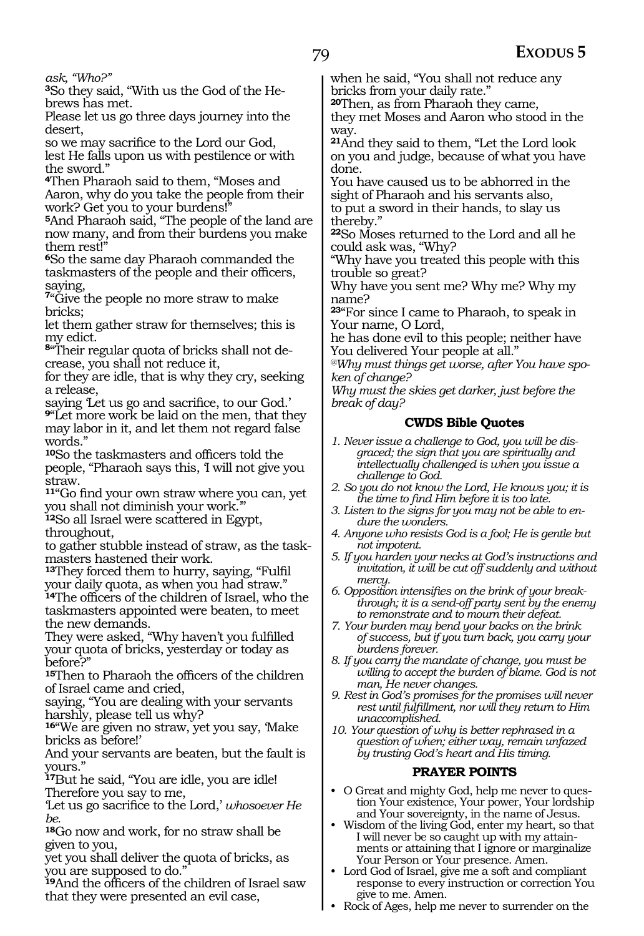*ask, "Who?"*

**3**So they said, "With us the God of the Hebrews has met.

Please let us go three days journey into the desert,

so we may sacrifice to the Lord our God, lest He falls upon us with pestilence or with the sword."

**<sup>4</sup>**Then Pharaoh said to them, "Moses and Aaron, why do you take the people from their work? Get you to your burdens!"

**<sup>5</sup>**And Pharaoh said, "The people of the land are now many, and from their burdens you make them rest!"

**<sup>6</sup>**So the same day Pharaoh commanded the taskmasters of the people and their officers, saying,

**<sup>7</sup>**"Give the people no more straw to make bricks;

let them gather straw for themselves; this is my edict.

**8**"Their regular quota of bricks shall not decrease, you shall not reduce it,

for they are idle, that is why they cry, seeking a release,

saying 'Let us go and sacrifice, to our God.' **<sup>9</sup>**"Let more work be laid on the men, that they may labor in it, and let them not regard false words."

**<sup>10</sup>**So the taskmasters and officers told the people, "Pharaoh says this, 'I will not give you straw.

**<sup>11</sup>**"Go find your own straw where you can, yet you shall not diminish your work.'"

**<sup>12</sup>**So all Israel were scattered in Egypt, throughout,

to gather stubble instead of straw, as the taskmasters hastened their work.

**<sup>13</sup>**They forced them to hurry, saying, "Fulfil your daily quota, as when you had straw." **<sup>14</sup>**The officers of the children of Israel, who the taskmasters appointed were beaten, to meet

the new demands. They were asked, "Why haven't you fulfilled your quota of bricks, yesterday or today as before?"

**<sup>15</sup>**Then to Pharaoh the officers of the children of Israel came and cried,

saying, "You are dealing with your servants harshly, please tell us why?

**<sup>16</sup>**"We are given no straw, yet you say, 'Make bricks as before!'

And your servants are beaten, but the fault is yours."

**<sup>17</sup>**But he said, "You are idle, you are idle! Therefore you say to me,

'Let us go sacrifice to the Lord,' *whosoever He be.*

**<sup>18</sup>**Go now and work, for no straw shall be given to you,

yet you shall deliver the quota of bricks, as you are supposed to do."

**<sup>19</sup>**And the officers of the children of Israel saw that they were presented an evil case,

when he said, "You shall not reduce any bricks from your daily rate."

**<sup>20</sup>**Then, as from Pharaoh they came, they met Moses and Aaron who stood in the way.

**<sup>21</sup>**And they said to them, "Let the Lord look on you and judge, because of what you have done.

You have caused us to be abhorred in the sight of Pharaoh and his servants also, to put a sword in their hands, to slay us thereby."

**<sup>22</sup>**So Moses returned to the Lord and all he could ask was, "Why?

"Why have you treated this people with this trouble so great?

Why have you sent me? Why me? Why my name?

**<sup>23</sup>**"For since I came to Pharaoh, to speak in Your name, O Lord,

he has done evil to this people; neither have You delivered Your people at all."

*@Why must things get worse, after You have spoken of change?*

*Why must the skies get darker, just before the break of day?*

#### **CWDS Bible Quotes**

- *1. Never issue a challenge to God, you will be disgraced; the sign that you are spiritually and intellectually challenged is when you issue a challenge to God.*
- *2. So you do not know the Lord, He knows you; it is the time to find Him before it is too late.*
- *3. Listen to the signs for you may not be able to endure the wonders.*
- *4. Anyone who resists God is a fool; He is gentle but not impotent.*
- *5. If you harden your necks at God's instructions and invitation, it will be cut off suddenly and without mercy.*
- *6. Opposition intensifies on the brink of your breakthrough; it is a send-off party sent by the enemy to remonstrate and to mourn their defeat.*
- *7. Your burden may bend your backs on the brink of success, but if you turn back, you carry your burdens forever.*
- *8. If you carry the mandate of change, you must be willing to accept the burden of blame. God is not man, He never changes.*
- *9. Rest in God's promises for the promises will never rest until fulfillment, nor will they return to Him unaccomplished.*
- *10. Your question of why is better rephrased in a question of when; either way, remain unfazed by trusting God's heart and His timing.*

#### **PRAYER POINTS**

- O Great and mighty God, help me never to question Your existence, Your power, Your lordship and Your sovereignty, in the name of Jesus.
- Wisdom of the living God, enter my heart, so that I will never be so caught up with my attainments or attaining that I ignore or marginalize Your Person or Your presence. Amen.
- Lord God of Israel, give me a soft and compliant response to every instruction or correction You give to me. Amen.
- Rock of Ages, help me never to surrender on the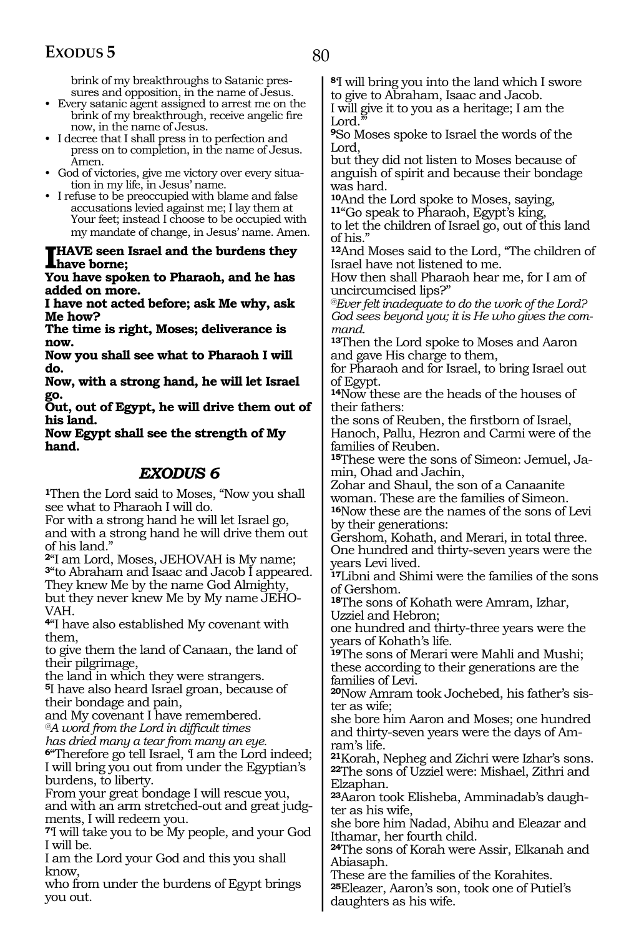brink of my breakthroughs to Satanic pressures and opposition, in the name of Jesus.

- Every satanic agent assigned to arrest me on the brink of my breakthrough, receive angelic fire now, in the name of Jesus.
- I decree that I shall press in to perfection and press on to completion, in the name of Jesus. Amen.
- God of victories, give me victory over every situation in my life, in Jesus' name.
- I refuse to be preoccupied with blame and false accusations levied against me; I lay them at Your feet; instead I choose to be occupied with my mandate of change, in Jesus' name. Amen.

#### **I HAVE seen Israel and the burdens they have borne;**

**You have spoken to Pharaoh, and he has added on more.**

**I have not acted before; ask Me why, ask Me how?**

**The time is right, Moses; deliverance is now.**

**Now you shall see what to Pharaoh I will do.**

**Now, with a strong hand, he will let Israel go.**

**Out, out of Egypt, he will drive them out of his land.**

**Now Egypt shall see the strength of My hand.**

### *EXODUS 6*

**<sup>1</sup>**Then the Lord said to Moses, "Now you shall see what to Pharaoh I will do.

For with a strong hand he will let Israel go, and with a strong hand he will drive them out of his land."

**<sup>2</sup>**"I am Lord, Moses, JEHOVAH is My name; **<sup>3</sup>**"to Abraham and Isaac and Jacob I appeared. They knew Me by the name God Almighty, but they never knew Me by My name JEHO-VAH.

**<sup>4</sup>**"I have also established My covenant with them,

to give them the land of Canaan, the land of their pilgrimage,

the land in which they were strangers.

**<sup>5</sup>**I have also heard Israel groan, because of their bondage and pain,

and My covenant I have remembered. *@A word from the Lord in difficult times* 

*has dried many a tear from many an eye.*

**<sup>6</sup>**"Therefore go tell Israel, 'I am the Lord indeed; I will bring you out from under the Egyptian's burdens, to liberty.

From your great bondage I will rescue you,

and with an arm stretched-out and great judgments, I will redeem you.

**<sup>7</sup>**'I will take you to be My people, and your God I will be.

I am the Lord your God and this you shall know,

who from under the burdens of Egypt brings you out.

**<sup>8</sup>**'I will bring you into the land which I swore to give to Abraham, Isaac and Jacob.

I will give it to you as a heritage; I am the Lord.

**<sup>9</sup>**So Moses spoke to Israel the words of the Lord,

but they did not listen to Moses because of anguish of spirit and because their bondage was hard.

**10**And the Lord spoke to Moses, saying, **<sup>11</sup>**"Go speak to Pharaoh, Egypt's king,

to let the children of Israel go, out of this land of his."

**<sup>12</sup>**And Moses said to the Lord, "The children of Israel have not listened to me.

How then shall Pharaoh hear me, for I am of uncircumcised lips?"

*@Ever felt inadequate to do the work of the Lord? God sees beyond you; it is He who gives the command.*

**<sup>13</sup>**Then the Lord spoke to Moses and Aaron and gave His charge to them,

for Pharaoh and for Israel, to bring Israel out of Egypt.

**<sup>14</sup>**Now these are the heads of the houses of their fathers:

the sons of Reuben, the firstborn of Israel, Hanoch, Pallu, Hezron and Carmi were of the families of Reuben.

**15**These were the sons of Simeon: Jemuel, Jamin, Ohad and Jachin,

Zohar and Shaul, the son of a Canaanite woman. These are the families of Simeon.

**<sup>16</sup>**Now these are the names of the sons of Levi by their generations:

Gershom, Kohath, and Merari, in total three. One hundred and thirty-seven years were the years Levi lived.

**<sup>17</sup>**Libni and Shimi were the families of the sons of Gershom.

**<sup>18</sup>**The sons of Kohath were Amram, Izhar, Uzziel and Hebron;

one hundred and thirty-three years were the years of Kohath's life.

**<sup>19</sup>**The sons of Merari were Mahli and Mushi; these according to their generations are the families of Levi.

**20**Now Amram took Jochebed, his father's sister as wife;

she bore him Aaron and Moses; one hundred and thirty-seven years were the days of Amram's life.

**<sup>21</sup>**Korah, Nepheg and Zichri were Izhar's sons. **<sup>22</sup>**The sons of Uzziel were: Mishael, Zithri and Elzaphan.

**23**Aaron took Elisheba, Amminadab's daughter as his wife,

she bore him Nadad, Abihu and Eleazar and Ithamar, her fourth child.

**<sup>24</sup>**The sons of Korah were Assir, Elkanah and Abiasaph.

These are the families of the Korahites. **<sup>25</sup>**Eleazer, Aaron's son, took one of Putiel's daughters as his wife.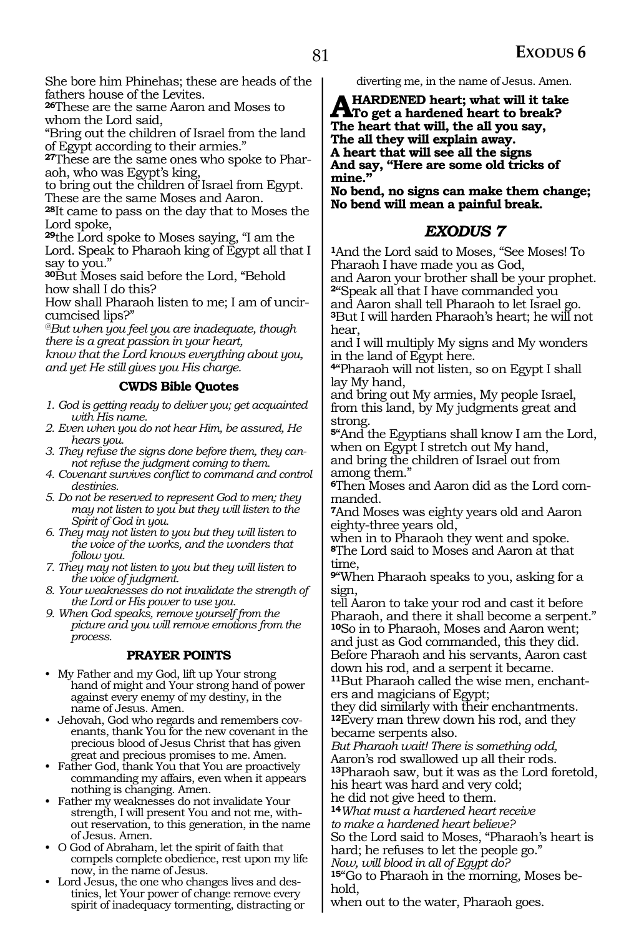She bore him Phinehas; these are heads of the fathers house of the Levites.

**<sup>26</sup>**These are the same Aaron and Moses to whom the Lord said,

"Bring out the children of Israel from the land of Egypt according to their armies."

**27**These are the same ones who spoke to Pharaoh, who was Egypt's king,

to bring out the children of Israel from Egypt. These are the same Moses and Aaron.

**<sup>28</sup>**It came to pass on the day that to Moses the Lord spoke,

**<sup>29</sup>**the Lord spoke to Moses saying, "I am the Lord. Speak to Pharaoh king of Egypt all that I say to you."

**<sup>30</sup>**But Moses said before the Lord, "Behold how shall I do this?

How shall Pharaoh listen to me; I am of uncircumcised lips?"

*@But when you feel you are inadequate, though there is a great passion in your heart,*

*know that the Lord knows everything about you, and yet He still gives you His charge.*

#### **CWDS Bible Quotes**

- *1. God is getting ready to deliver you; get acquainted with His name.*
- *2. Even when you do not hear Him, be assured, He hears you.*
- *3. They refuse the signs done before them, they cannot refuse the judgment coming to them.*
- *4. Covenant survives conflict to command and control destinies.*
- *5. Do not be reserved to represent God to men; they may not listen to you but they will listen to the Spirit of God in you.*
- *6. They may not listen to you but they will listen to the voice of the works, and the wonders that follow you.*
- *7. They may not listen to you but they will listen to the voice of judgment.*
- *8. Your weaknesses do not invalidate the strength of the Lord or His power to use you.*

*9. When God speaks, remove yourself from the picture and you will remove emotions from the process.*

#### **PRAYER POINTS**

- My Father and my God, lift up Your strong hand of might and Your strong hand of power against every enemy of my destiny, in the name of Jesus. Amen.
- Jehovah, God who regards and remembers covenants, thank You for the new covenant in the precious blood of Jesus Christ that has given great and precious promises to me. Amen.
- Father God, thank You that You are proactively commanding my affairs, even when it appears nothing is changing. Amen.
- Father my weaknesses do not invalidate Your strength, I will present You and not me, without reservation, to this generation, in the name of Jesus. Amen.
- O God of Abraham, let the spirit of faith that compels complete obedience, rest upon my life now, in the name of Jesus.
- Lord Jesus, the one who changes lives and destinies, let Your power of change remove every spirit of inadequacy tormenting, distracting or

diverting me, in the name of Jesus. Amen.

**A HARDENED heart; what will it take**<br>The heart that will the all you go: **The heart that will, the all you say, The all they will explain away. A heart that will see all the signs And say, "Here are some old tricks of mine."**

**No bend, no signs can make them change; No bend will mean a painful break.**

#### *EXODUS 7*

**<sup>1</sup>**And the Lord said to Moses, "See Moses! To Pharaoh I have made you as God, and Aaron your brother shall be your prophet.

**<sup>2</sup>**"Speak all that I have commanded you and Aaron shall tell Pharaoh to let Israel go. **<sup>3</sup>**But I will harden Pharaoh's heart; he will not hear,

and I will multiply My signs and My wonders in the land of Egypt here.

**<sup>4</sup>**"Pharaoh will not listen, so on Egypt I shall lay My hand,

and bring out My armies, My people Israel, from this land, by My judgments great and strong.

**<sup>5</sup>**"And the Egyptians shall know I am the Lord, when on Egypt I stretch out My hand, and bring the children of Israel out from

among them."

**6**Then Moses and Aaron did as the Lord commanded.

**<sup>7</sup>**And Moses was eighty years old and Aaron eighty-three years old,

when in to Pharaoh they went and spoke. **<sup>8</sup>**The Lord said to Moses and Aaron at that time,

**<sup>9</sup>**"When Pharaoh speaks to you, asking for a sign,

tell Aaron to take your rod and cast it before Pharaoh, and there it shall become a serpent." **<sup>10</sup>**So in to Pharaoh, Moses and Aaron went; and just as God commanded, this they did. Before Pharaoh and his servants, Aaron cast down his rod, and a serpent it became.

**<sup>11</sup>**But Pharaoh called the wise men, enchant- ers and magicians of Egypt;

they did similarly with their enchantments. **<sup>12</sup>**Every man threw down his rod, and they became serpents also.

*But Pharaoh wait! There is something odd,* Aaron's rod swallowed up all their rods. **<sup>13</sup>**Pharaoh saw, but it was as the Lord foretold, his heart was hard and very cold;

he did not give heed to them.

**<sup>14</sup>***What must a hardened heart receive to make a hardened heart believe?* 

So the Lord said to Moses, "Pharaoh's heart is hard; he refuses to let the people go."

*Now, will blood in all of Egypt do?*

**15**"Go to Pharaoh in the morning, Moses behold,

when out to the water, Pharaoh goes.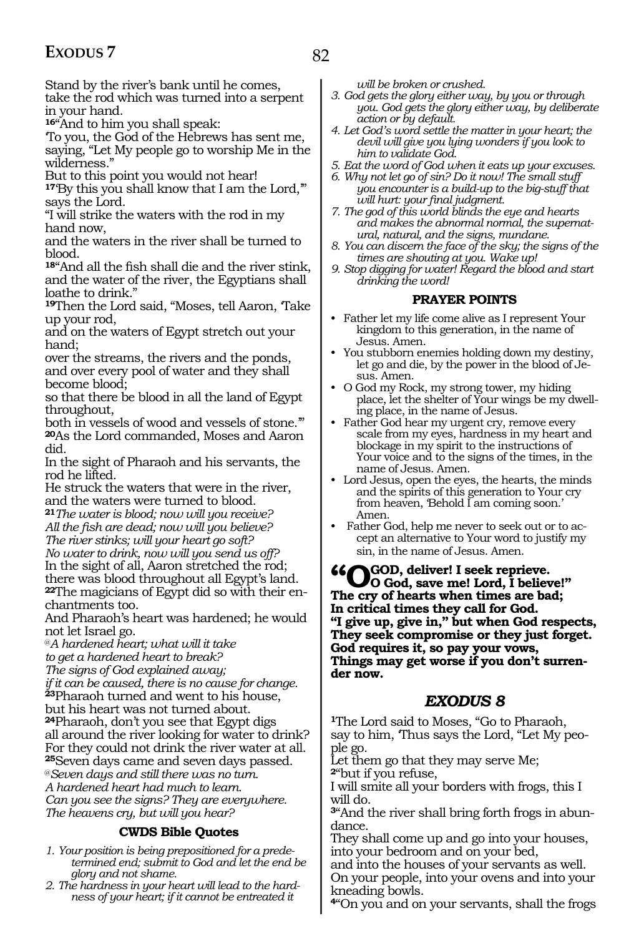82

Stand by the river's bank until he comes, take the rod which was turned into a serpent in your hand.

**<sup>16</sup>**"And to him you shall speak:

'To you, the God of the Hebrews has sent me, saying, "Let My people go to worship Me in the wilderness."

But to this point you would not hear!

**<sup>17</sup>**'By this you shall know that I am the Lord,'" says the Lord.

"I will strike the waters with the rod in my hand now,

and the waters in the river shall be turned to blood.

**<sup>18</sup>**"And all the fish shall die and the river stink, and the water of the river, the Egyptians shall loathe to drink."

**<sup>19</sup>**Then the Lord said, "Moses, tell Aaron, 'Take up your rod,

and on the waters of Egypt stretch out your hand;

over the streams, the rivers and the ponds, and over every pool of water and they shall become blood;

so that there be blood in all the land of Egypt throughout,

both in vessels of wood and vessels of stone." **<sup>20</sup>**As the Lord commanded, Moses and Aaron did.

In the sight of Pharaoh and his servants, the rod he lifted.

He struck the waters that were in the river, and the waters were turned to blood.

**<sup>21</sup>***The water is blood; now will you receive? All the fish are dead; now will you believe? The river stinks; will your heart go soft?*

*No water to drink, now will you send us off?* In the sight of all, Aaron stretched the rod; there was blood throughout all Egypt's land. **<sup>22</sup>**The magicians of Egypt did so with their en- chantments too.

And Pharaoh's heart was hardened; he would not let Israel go.

@*A hardened heart; what will it take to get a hardened heart to break?*

*The signs of God explained away;*

*if it can be caused, there is no cause for change.* **<sup>23</sup>**Pharaoh turned and went to his house,

but his heart was not turned about.

**<sup>24</sup>**Pharaoh, don't you see that Egypt digs all around the river looking for water to drink? For they could not drink the river water at all.

**<sup>25</sup>**Seven days came and seven days passed.

@*Seven days and still there was no turn. A hardened heart had much to learn.* 

*Can you see the signs? They are everywhere. The heavens cry, but will you hear?*

#### **CWDS Bible Quotes**

- *1. Your position is being prepositioned for a predetermined end; submit to God and let the end be glory and not shame.*
- *2. The hardness in your heart will lead to the hardness of your heart; if it cannot be entreated it*

*will be broken or crushed.*

- *3. God gets the glory either way, by you or through you. God gets the glory either way, by deliberate action or by default.*
- *4. Let God's word settle the matter in your heart; the devil will give you lying wonders if you look to him to validate God.*
- *5. Eat the word of God when it eats up your excuses.*
- *6. Why not let go of sin? Do it now! The small stuff you encounter is a build-up to the big-stuff that will hurt: your final judgment.*
- *7. The god of this world blinds the eye and hearts and makes the abnormal normal, the supernatural, natural, and the signs, mundane.*
- *8. You can discern the face of the sky; the signs of the times are shouting at you. Wake up!*
- *9. Stop digging for water! Regard the blood and start drinking the word!*

#### **PRAYER POINTS**

- Father let my life come alive as I represent Your kingdom to this generation, in the name of Jesus. Amen.
- You stubborn enemies holding down my destiny, let go and die, by the power in the blood of Jesus. Amen.
- O God my Rock, my strong tower, my hiding place, let the shelter of Your wings be my dwelling place, in the name of Jesus.
- Father God hear my urgent cry, remove every scale from my eyes, hardness in my heart and blockage in my spirit to the instructions of Your voice and to the signs of the times, in the name of Jesus. Amen.
- Lord Jesus, open the eyes, the hearts, the minds and the spirits of this generation to Your cry from heaven, 'Behold I am coming soon.' Amen.
- Father God, help me never to seek out or to accept an alternative to Your word to justify my sin, in the name of Jesus. Amen.

**"O God, deliver! I seek reprieve. O God, save me! Lord, I believe!" The cry of hearts when times are bad; In critical times they call for God. "I give up, give in," but when God respects, They seek compromise or they just forget. God requires it, so pay your vows, Things may get worse if you don't surrender now.**

### *EXODUS 8*

**<sup>1</sup>**The Lord said to Moses, "Go to Pharaoh, say to him, 'Thus says the Lord, "Let My people go.

Let them go that they may serve Me; **<sup>2</sup>**"but if you refuse,

I will smite all your borders with frogs, this I will do.

**3**"And the river shall bring forth frogs in abundance.

They shall come up and go into your houses, into your bedroom and on your bed,

and into the houses of your servants as well. On your people, into your ovens and into your

kneading bowls. **<sup>4</sup>**"On you and on your servants, shall the frogs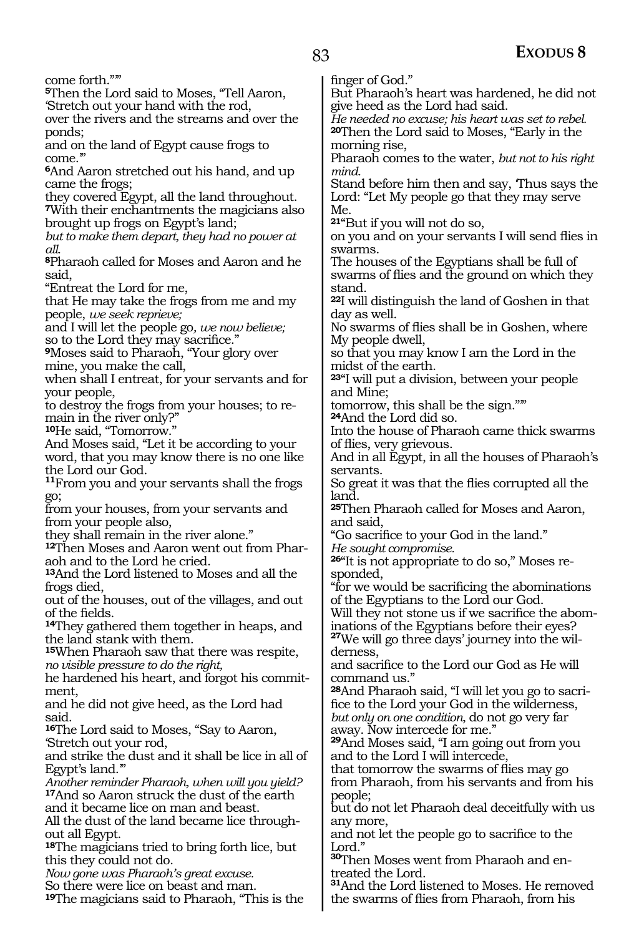come forth."'"

**<sup>5</sup>**Then the Lord said to Moses, "Tell Aaron, 'Stretch out your hand with the rod,

over the rivers and the streams and over the ponds;

and on the land of Egypt cause frogs to come."

**<sup>6</sup>**And Aaron stretched out his hand, and up came the frogs;

they covered Egypt, all the land throughout. **<sup>7</sup>**With their enchantments the magicians also brought up frogs on Egypt's land;

*but to make them depart, they had no power at all.*

**<sup>8</sup>**Pharaoh called for Moses and Aaron and he said,

"Entreat the Lord for me,

that He may take the frogs from me and my people, *we seek reprieve;*

and I will let the people go*, we now believe;* so to the Lord they may sacrifice."

**<sup>9</sup>**Moses said to Pharaoh, "Your glory over mine, you make the call,

when shall I entreat, for your servants and for your people,

to destroy the frogs from your houses; to remain in the river only?"

10He said, "Tomorrow."

And Moses said, "Let it be according to your word, that you may know there is no one like the Lord our God.

**<sup>11</sup>**From you and your servants shall the frogs go;

from your houses, from your servants and from your people also,

they shall remain in the river alone."

**12**Then Moses and Aaron went out from Pharaoh and to the Lord he cried.

**<sup>13</sup>**And the Lord listened to Moses and all the frogs died,

out of the houses, out of the villages, and out of the fields.

**<sup>14</sup>**They gathered them together in heaps, and the land stank with them.

**<sup>15</sup>**When Pharaoh saw that there was respite, *no visible pressure to do the right,*

he hardened his heart, and forgot his commitment,

and he did not give heed, as the Lord had said.

**<sup>16</sup>**The Lord said to Moses, "Say to Aaron, 'Stretch out your rod,

and strike the dust and it shall be lice in all of Egypt's land.'"

*Another reminder Pharaoh, when will you yield?* **<sup>17</sup>**And so Aaron struck the dust of the earth and it became lice on man and beast.

All the dust of the land became lice throughout all Egypt.

**<sup>18</sup>**The magicians tried to bring forth lice, but this they could not do.

*Now gone was Pharaoh's great excuse.*

So there were lice on beast and man.

**<sup>19</sup>**The magicians said to Pharaoh, "This is the

finger of God."

But Pharaoh's heart was hardened, he did not give heed as the Lord had said.

*He needed no excuse; his heart was set to rebel.* **<sup>20</sup>**Then the Lord said to Moses, "Early in the morning rise,

Pharaoh comes to the water, *but not to his right mind.*

Stand before him then and say, 'Thus says the Lord: "Let My people go that they may serve Me.

**<sup>21</sup>**"But if you will not do so,

on you and on your servants I will send flies in swarms.

The houses of the Egyptians shall be full of swarms of flies and the ground on which they stand.

**<sup>22</sup>**I will distinguish the land of Goshen in that day as well.

No swarms of flies shall be in Goshen, where My people dwell,

so that you may know I am the Lord in the midst of the earth.

**<sup>23</sup>**"I will put a division, between your people and Mine;

tomorrow, this shall be the sign."'"

**<sup>24</sup>**And the Lord did so.

Into the house of Pharaoh came thick swarms of flies, very grievous.

And in all Egypt, in all the houses of Pharaoh's servants.

So great it was that the flies corrupted all the land.

**<sup>25</sup>**Then Pharaoh called for Moses and Aaron, and said,

"Go sacrifice to your God in the land."

*He sought compromise.*

**26**"It is not appropriate to do so," Moses responded,

"for we would be sacrificing the abominations of the Egyptians to the Lord our God.

Will they not stone us if we sacrifice the abominations of the Egyptians before their eyes?

**27**We will go three days' journey into the wilderness,

and sacrifice to the Lord our God as He will command us."

**28**And Pharaoh said, "I will let you go to sacrifice to the Lord your God in the wilderness, *but only on one condition,* do not go very far away. Now intercede for me."

**<sup>29</sup>**And Moses said, "I am going out from you and to the Lord I will intercede,

that tomorrow the swarms of flies may go from Pharaoh, from his servants and from his people;

but do not let Pharaoh deal deceitfully with us any more,

and not let the people go to sacrifice to the Lord."

**<sup>30</sup>**Then Moses went from Pharaoh and en- treated the Lord.

**<sup>31</sup>**And the Lord listened to Moses. He removed the swarms of flies from Pharaoh, from his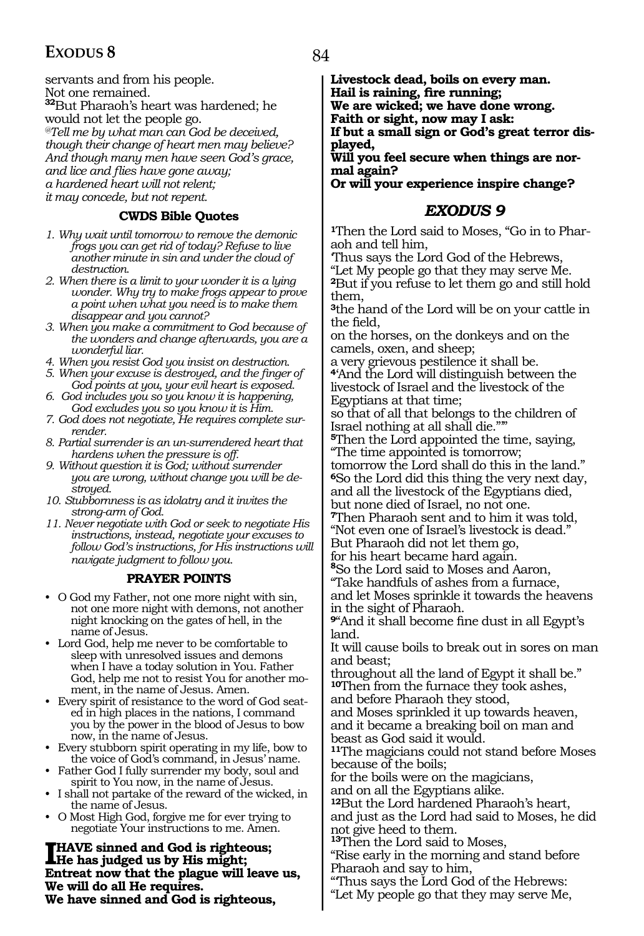servants and from his people. Not one remained. **<sup>32</sup>**But Pharaoh's heart was hardened; he would not let the people go. *@Tell me by what man can God be deceived, though their change of heart men may believe? And though many men have seen God's grace, and lice and flies have gone away; a hardened heart will not relent; it may concede, but not repent.*

#### **CWDS Bible Quotes**

- *1. Why wait until tomorrow to remove the demonic frogs you can get rid of today? Refuse to live another minute in sin and under the cloud of destruction.*
- *2. When there is a limit to your wonder it is a lying wonder. Why try to make frogs appear to prove a point when what you need is to make them disappear and you cannot?*
- *3. When you make a commitment to God because of the wonders and change afterwards, you are a wonderful liar.*
- *4. When you resist God you insist on destruction.*
- *5. When your excuse is destroyed, and the finger of God points at you, your evil heart is exposed.*
- *6. God includes you so you know it is happening, God excludes you so you know it is Him.*
- *7. God does not negotiate, He requires complete surrender.*
- *8. Partial surrender is an un-surrendered heart that hardens when the pressure is off.*
- *9. Without question it is God; without surrender you are wrong, without change you will be destroyed.*
- *10. Stubbornness is as idolatry and it invites the strong-arm of God.*
- *11. Never negotiate with God or seek to negotiate His instructions, instead, negotiate your excuses to follow God's instructions, for His instructions will navigate judgment to follow you.*

#### **PRAYER POINTS**

- O God my Father, not one more night with sin, not one more night with demons, not another night knocking on the gates of hell, in the name of Jesus.
- Lord God, help me never to be comfortable to sleep with unresolved issues and demons when I have a today solution in You. Father God, help me not to resist You for another moment, in the name of Jesus. Amen.
- Every spirit of resistance to the word of God seated in high places in the nations, I command you by the power in the blood of Jesus to bow now, in the name of Jesus.
- Every stubborn spirit operating in my life, bow to the voice of God's command, in Jesus' name.
- Father God I fully surrender my body, soul and spirit to You now, in the name of Jesus.
- I shall not partake of the reward of the wicked, in the name of Jesus.
- O Most High God, forgive me for ever trying to negotiate Your instructions to me. Amen.

**I HAVE sinned and God is righteous;**<br> **He has judged us by His might;**<br> **Entract now that the plants will learn Entreat now that the plague will leave us, We will do all He requires. We have sinned and God is righteous,**

**Livestock dead, boils on every man. Hail is raining, fire running; We are wicked; we have done wrong. Faith or sight, now may I ask: If but a small sign or God's great terror displayed,** 

**Will you feel secure when things are normal again?**

**Or will your experience inspire change?**

#### *EXODUS 9*

**<sup>1</sup>**Then the Lord said to Moses, "Go in to Phar- aoh and tell him,

'Thus says the Lord God of the Hebrews,

"Let My people go that they may serve Me. **<sup>2</sup>**But if you refuse to let them go and still hold them,

**<sup>3</sup>**the hand of the Lord will be on your cattle in the field,

on the horses, on the donkeys and on the camels, oxen, and sheep;

a very grievous pestilence it shall be.

**<sup>4</sup>**'And the Lord will distinguish between the livestock of Israel and the livestock of the Egyptians at that time;

so that of all that belongs to the children of Israel nothing at all shall die."'"

**<sup>5</sup>**Then the Lord appointed the time, saying, "The time appointed is tomorrow;

tomorrow the Lord shall do this in the land." **<sup>6</sup>**So the Lord did this thing the very next day, and all the livestock of the Egyptians died, but none died of Israel, no not one.

**<sup>7</sup>**Then Pharaoh sent and to him it was told, "Not even one of Israel's livestock is dead." But Pharaoh did not let them go,

for his heart became hard again.

**<sup>8</sup>**So the Lord said to Moses and Aaron,

"Take handfuls of ashes from a furnace, and let Moses sprinkle it towards the heavens in the sight of Pharaoh.

**<sup>9</sup>**"And it shall become fine dust in all Egypt's land.

It will cause boils to break out in sores on man and beast;

throughout all the land of Egypt it shall be." **<sup>10</sup>**Then from the furnace they took ashes,

and before Pharaoh they stood,

and Moses sprinkled it up towards heaven, and it became a breaking boil on man and beast as God said it would.

**<sup>11</sup>**The magicians could not stand before Moses because of the boils;

for the boils were on the magicians,

and on all the Egyptians alike.

**<sup>12</sup>**But the Lord hardened Pharaoh's heart, and just as the Lord had said to Moses, he did not give heed to them.

**<sup>13</sup>**Then the Lord said to Moses,

"Rise early in the morning and stand before Pharaoh and say to him,

"'Thus says the Lord God of the Hebrews: "Let My people go that they may serve Me,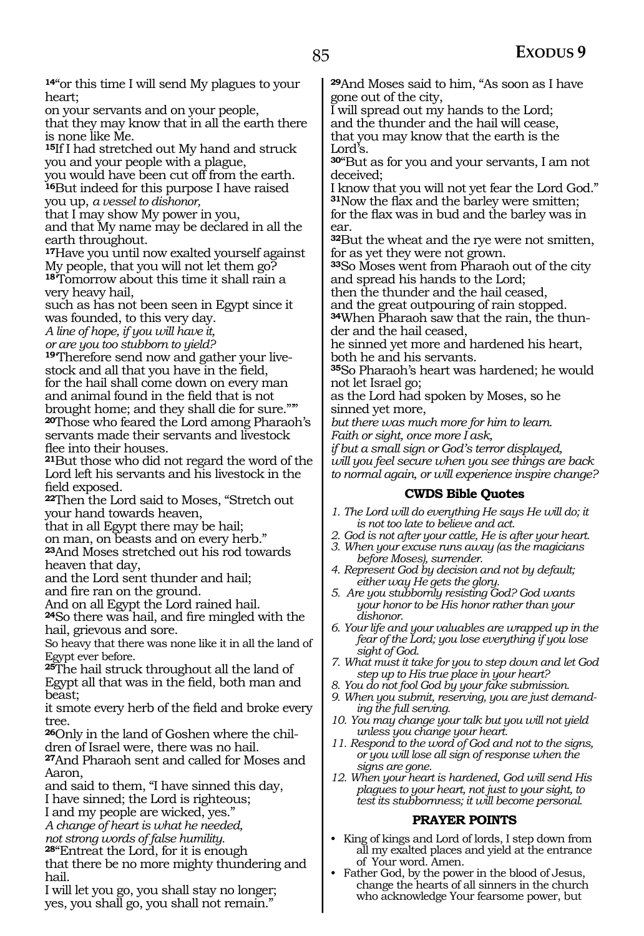**<sup>14</sup>**"or this time I will send My plagues to your heart;

on your servants and on your people,

that they may know that in all the earth there is none like Me.

**<sup>15</sup>**If I had stretched out My hand and struck you and your people with a plague,

you would have been cut off from the earth. **<sup>16</sup>**But indeed for this purpose I have raised you up, *a vessel to dishonor,* 

that I may show My power in you, and that My name may be declared in all the earth throughout.

**<sup>17</sup>**Have you until now exalted yourself against My people, that you will not let them go?

**<sup>18</sup>**'Tomorrow about this time it shall rain a very heavy hail,

such as has not been seen in Egypt since it was founded, to this very day.

*A line of hope, if you will have it,*

*or are you too stubborn to yield?* 

**19**'Therefore send now and gather your livestock and all that you have in the field, for the hail shall come down on every man and animal found in the field that is not brought home; and they shall die for sure."'" **<sup>20</sup>**Those who feared the Lord among Pharaoh's servants made their servants and livestock flee into their houses.

**<sup>21</sup>**But those who did not regard the word of the Lord left his servants and his livestock in the field exposed.

**<sup>22</sup>**Then the Lord said to Moses, "Stretch out your hand towards heaven,

that in all Egypt there may be hail;

on man, on beasts and on every herb."

**<sup>23</sup>**And Moses stretched out his rod towards heaven that day,

and the Lord sent thunder and hail;

and fire ran on the ground.

And on all Egypt the Lord rained hail.

**<sup>24</sup>**So there was hail, and fire mingled with the hail, grievous and sore.

So heavy that there was none like it in all the land of Egypt ever before.

**<sup>25</sup>**The hail struck throughout all the land of Egypt all that was in the field, both man and beast;

it smote every herb of the field and broke every tree.

**26**Only in the land of Goshen where the children of Israel were, there was no hail.

**<sup>27</sup>**And Pharaoh sent and called for Moses and Aaron,

and said to them, "I have sinned this day,

I have sinned; the Lord is righteous;

I and my people are wicked, yes." *A change of heart is what he needed,*

*not strong words of false humility.* 

**<sup>28</sup>**"Entreat the Lord, for it is enough

that there be no more mighty thundering and hail.

I will let you go, you shall stay no longer; yes, you shall go, you shall not remain."

**<sup>29</sup>**And Moses said to him, "As soon as I have gone out of the city,

I will spread out my hands to the Lord; and the thunder and the hail will cease, that you may know that the earth is the Lord's.

**<sup>30</sup>**"But as for you and your servants, I am not deceived;

I know that you will not yet fear the Lord God." **<sup>31</sup>**Now the flax and the barley were smitten; for the flax was in bud and the barley was in ear.

**<sup>32</sup>**But the wheat and the rye were not smitten, for as yet they were not grown.

**<sup>33</sup>**So Moses went from Pharaoh out of the city and spread his hands to the Lord;

then the thunder and the hail ceased,

and the great outpouring of rain stopped.

**34**When Pharaoh saw that the rain, the thunder and the hail ceased,

he sinned yet more and hardened his heart, both he and his servants.

**<sup>35</sup>**So Pharaoh's heart was hardened; he would not let Israel go;

as the Lord had spoken by Moses, so he sinned yet more,

*but there was much more for him to learn. Faith or sight, once more I ask,*

*if but a small sign or God's terror displayed, will you feel secure when you see things are back to normal again, or will experience inspire change?*

#### **CWDS Bible Quotes**

- *1. The Lord will do everything He says He will do; it is not too late to believe and act.*
- *2. God is not after your cattle, He is after your heart.*
- *3. When your excuse runs away (as the magicians before Moses), surrender.*
- *4. Represent God by decision and not by default; either way He gets the glory.*
- *5. Are you stubbornly resisting God? God wants your honor to be His honor rather than your dishonor.*
- *6. Your life and your valuables are wrapped up in the fear of the Lord; you lose everything if you lose sight of God.*
- *7. What must it take for you to step down and let God step up to His true place in your heart?*
- *8. You do not fool God by your fake submission.*
- *9. When you submit, reserving, you are just demanding the full serving.*
- *10. You may change your talk but you will not yield unless you change your heart.*
- *11. Respond to the word of God and not to the signs, or you will lose all sign of response when the signs are gone.*
- *12. When your heart is hardened, God will send His plagues to your heart, not just to your sight, to test its stubbornness; it will become personal.*

#### **PRAYER POINTS**

- King of kings and Lord of lords, I step down from all my exalted places and yield at the entrance of Your word. Amen.
- Father God, by the power in the blood of Jesus, change the hearts of all sinners in the church who acknowledge Your fearsome power, but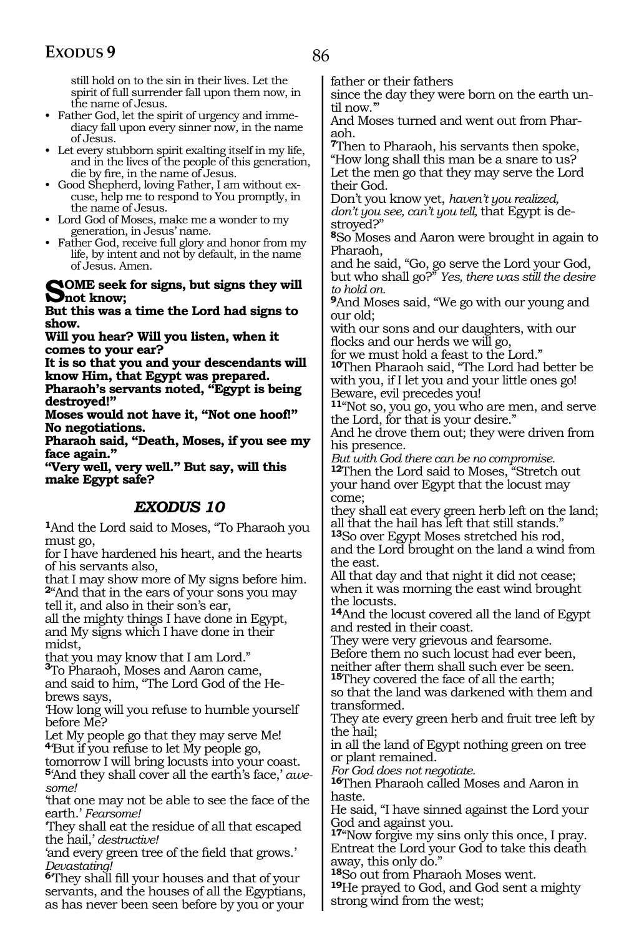still hold on to the sin in their lives. Let the spirit of full surrender fall upon them now, in the name of Jesus.

- Father God, let the spirit of urgency and immediacy fall upon every sinner now, in the name of Jesus.
- Let every stubborn spirit exalting itself in my life, and in the lives of the people of this generation, die by fire, in the name of Jesus.
- Good Shepherd, loving Father, I am without excuse, help me to respond to You promptly, in the name of Jesus.
- Lord God of Moses, make me a wonder to my generation, in Jesus' name.
- Father God, receive full glory and honor from my life, by intent and not by default, in the name of Jesus. Amen.

#### **SOME** seek for signs, but signs they will **Not know;**

**But this was a time the Lord had signs to show.**

**Will you hear? Will you listen, when it comes to your ear?**

**It is so that you and your descendants will know Him, that Egypt was prepared.**

**Pharaoh's servants noted, "Egypt is being destroyed!"**

**Moses would not have it, "Not one hoof!" No negotiations.**

**Pharaoh said, "Death, Moses, if you see my face again."**

**"Very well, very well." But say, will this make Egypt safe?**

### *EXODUS 10*

**<sup>1</sup>**And the Lord said to Moses, "To Pharaoh you must go,

for I have hardened his heart, and the hearts of his servants also,

that I may show more of My signs before him. **<sup>2</sup>**"And that in the ears of your sons you may tell it, and also in their son's ear,

all the mighty things I have done in Egypt, and My signs which I have done in their midst,

that you may know that I am Lord."

<sup>3</sup>To Pharaoh, Moses and Aaron came, and said to him, "The Lord God of the Hebrews says,

'How long will you refuse to humble yourself before Me?

Let My people go that they may serve Me! **<sup>4</sup>**'But if you refuse to let My people go,

tomorrow I will bring locusts into your coast. **<sup>5</sup>**'And they shall cover all the earth's face,' *awesome!*

'that one may not be able to see the face of the earth.' *Fearsome!*

'They shall eat the residue of all that escaped the hail,' *destructive!*

'and every green tree of the field that grows.' *Devastating!*

**<sup>6</sup>**'They shall fill your houses and that of your servants, and the houses of all the Egyptians, as has never been seen before by you or your

father or their fathers

since the day they were born on the earth until now."

And Moses turned and went out from Pharaoh.

**<sup>7</sup>**Then to Pharaoh, his servants then spoke, "How long shall this man be a snare to us? Let the men go that they may serve the Lord their God.

Don't you know yet, *haven't you realized, don't you see, can't you tell,* that Egypt is destroyed?"

**<sup>8</sup>**So Moses and Aaron were brought in again to Pharaoh,

and he said, "Go, go serve the Lord your God, but who shall go?" *Yes, there was still the desire to hold on.*

**<sup>9</sup>**And Moses said, "We go with our young and our old;

with our sons and our daughters, with our flocks and our herds we will go,

for we must hold a feast to the Lord."

**<sup>10</sup>**Then Pharaoh said, "The Lord had better be with you, if I let you and your little ones go! Beware, evil precedes you!

**<sup>11</sup>**"Not so, you go, you who are men, and serve the Lord, for that is your desire."

And he drove them out; they were driven from his presence.

*But with God there can be no compromise.* **<sup>12</sup>**Then the Lord said to Moses, "Stretch out your hand over Egypt that the locust may come;

they shall eat every green herb left on the land; all that the hail has left that still stands."

**<sup>13</sup>**So over Egypt Moses stretched his rod, and the Lord brought on the land a wind from the east.

All that day and that night it did not cease; when it was morning the east wind brought the locusts.

**<sup>14</sup>**And the locust covered all the land of Egypt and rested in their coast.

They were very grievous and fearsome. Before them no such locust had ever been, neither after them shall such ever be seen.

**<sup>15</sup>**They covered the face of all the earth; so that the land was darkened with them and

transformed.

They ate every green herb and fruit tree left by the hail;

in all the land of Egypt nothing green on tree or plant remained.

*For God does not negotiate.*

**<sup>16</sup>**Then Pharaoh called Moses and Aaron in haste.

He said, "I have sinned against the Lord your God and against you.

**<sup>17</sup>**"Now forgive my sins only this once, I pray. Entreat the Lord your God to take this death away, this only do."

**<sup>18</sup>**So out from Pharaoh Moses went.

**<sup>19</sup>**He prayed to God, and God sent a mighty strong wind from the west;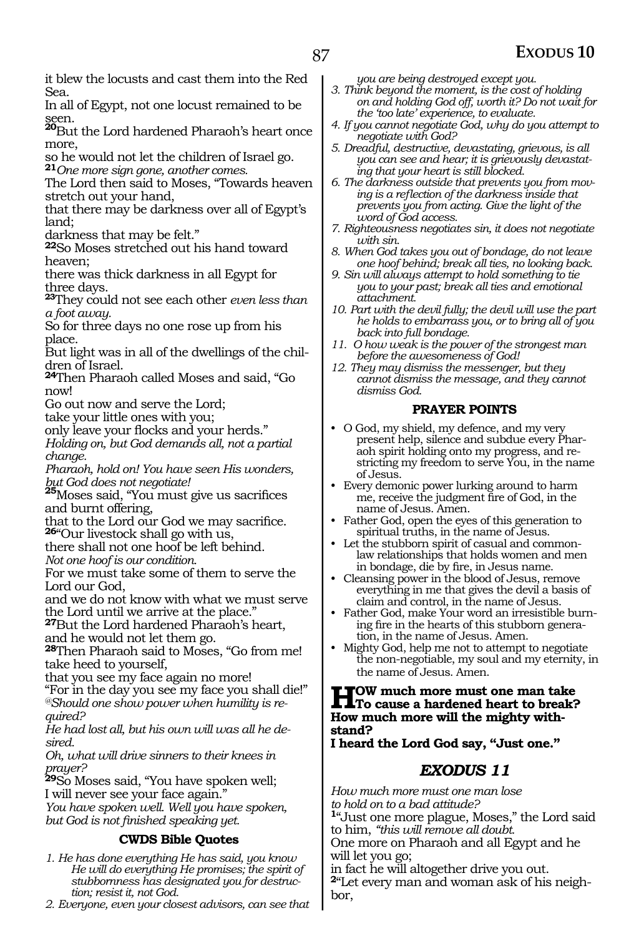it blew the locusts and cast them into the Red Sea.

In all of Egypt, not one locust remained to be

seen. **<sup>20</sup>**But the Lord hardened Pharaoh's heart once more,

so he would not let the children of Israel go. **<sup>21</sup>***One more sign gone, another comes.*

The Lord then said to Moses, "Towards heaven stretch out your hand,

that there may be darkness over all of Egypt's land;

darkness that may be felt."

**<sup>22</sup>**So Moses stretched out his hand toward heaven;

there was thick darkness in all Egypt for three days.

**<sup>23</sup>**They could not see each other *even less than a foot away.*

So for three days no one rose up from his place.

But light was in all of the dwellings of the children of Israel.

**<sup>24</sup>**Then Pharaoh called Moses and said, "Go now!

Go out now and serve the Lord;

take your little ones with you;

only leave your flocks and your herds."

*Holding on, but God demands all, not a partial change.*

*Pharaoh, hold on! You have seen His wonders,*

*but God does not negotiate!* **<sup>25</sup>**Moses said, "You must give us sacrifices and burnt offering,

that to the Lord our God we may sacrifice. **<sup>26</sup>**"Our livestock shall go with us,

there shall not one hoof be left behind.

*Not one hoof is our condition.*

For we must take some of them to serve the Lord our God,

and we do not know with what we must serve the Lord until we arrive at the place."

**<sup>27</sup>**But the Lord hardened Pharaoh's heart, and he would not let them go.

**<sup>28</sup>**Then Pharaoh said to Moses, "Go from me! take heed to yourself,

that you see my face again no more!

"For in the day you see my face you shall die!" *@Should one show power when humility is required?*

*He had lost all, but his own will was all he desired.*

*Oh, what will drive sinners to their knees in prayer?* 

**<sup>29</sup>**So Moses said, "You have spoken well; I will never see your face again."

*You have spoken well. Well you have spoken, but God is not finished speaking yet.*

#### **CWDS Bible Quotes**

*1. He has done everything He has said, you know He will do everything He promises; the spirit of stubbornness has designated you for destruction; resist it, not God.*

*2. Everyone, even your closest advisors, can see that* 

*you are being destroyed except you.*

- *3. Think beyond the moment, is the cost of holding on and holding God off, worth it? Do not wait for the 'too late' experience, to evaluate.*
- *4. If you cannot negotiate God, why do you attempt to negotiate with God?*
- *5. Dreadful, destructive, devastating, grievous, is all you can see and hear; it is grievously devastat-*
- *ing that your heart is still blocked. ing is a reflection of the darkness inside that prevents you from acting. Give the light of the word of God access.*
- *7. Righteousness negotiates sin, it does not negotiate with sin.*
- *8. When God takes you out of bondage, do not leave one hoof behind; break all ties, no looking back.*
- *9. Sin will always attempt to hold something to tie you to your past; break all ties and emotional attachment.*
- *10. Part with the devil fully; the devil will use the part he holds to embarrass you, or to bring all of you back into full bondage.*
- *11. O how weak is the power of the strongest man before the awesomeness of God!*
- *12. They may dismiss the messenger, but they cannot dismiss the message, and they cannot dismiss God.*

#### **PRAYER POINTS**

- O God, my shield, my defence, and my very present help, silence and subdue every Pharaoh spirit holding onto my progress, and restricting my freedom to serve You, in the name of Jesus.
- Every demonic power lurking around to harm me, receive the judgment fire of God, in the name of Jesus. Amen.
- Father God, open the eyes of this generation to spiritual truths, in the name of Jesus.
- Let the stubborn spirit of casual and commonlaw relationships that holds women and men in bondage, die by fire, in Jesus name.
- Cleansing power in the blood of Jesus, remove everything in me that gives the devil a basis of claim and control, in the name of Jesus.
- Father God, make Your word an irresistible burning fire in the hearts of this stubborn generation, in the name of Jesus. Amen.
- Mighty God, help me not to attempt to negotiate the non-negotiable, my soul and my eternity, in the name of Jesus. Amen.

### **How much more must one man take To cause a hardened heart to break? How much more will the mighty withstand?**

**I heard the Lord God say, "Just one."**

### *EXODUS 11*

*How much more must one man lose to hold on to a bad attitude?*

**<sup>1</sup>**"Just one more plague, Moses," the Lord said to him, *"this will remove all doubt.*

One more on Pharaoh and all Egypt and he will let you go;

in fact he will altogether drive you out. **2**"Let every man and woman ask of his neighbor,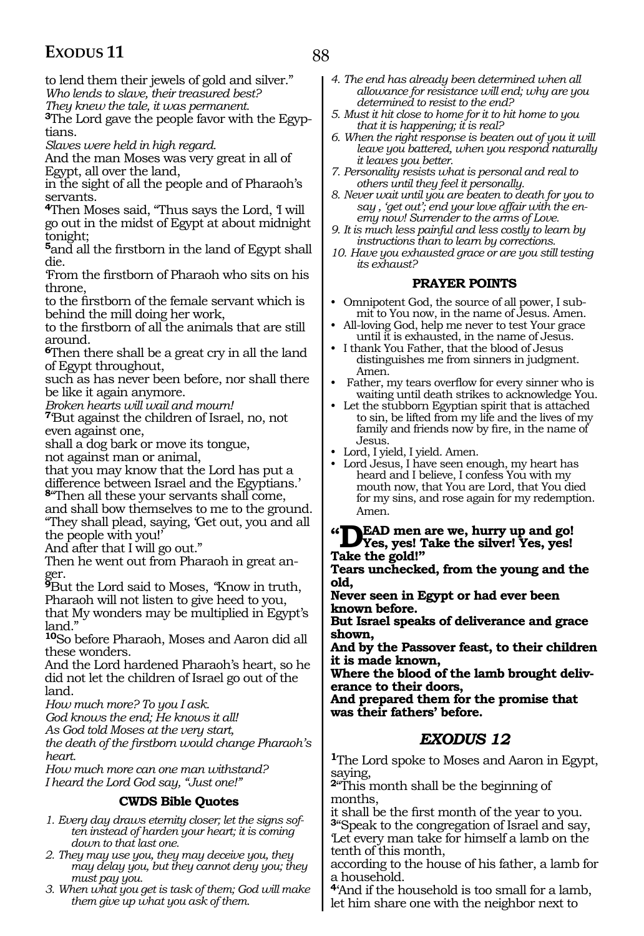88

to lend them their jewels of gold and silver." *Who lends to slave, their treasured best?*

*They knew the tale, it was permanent.*

**3**The Lord gave the people favor with the Egyptians.

*Slaves were held in high regard.*

And the man Moses was very great in all of Egypt, all over the land,

in the sight of all the people and of Pharaoh's servants.

**<sup>4</sup>**Then Moses said, "Thus says the Lord, 'I will go out in the midst of Egypt at about midnight tonight;

**<sup>5</sup>**and all the firstborn in the land of Egypt shall die.

'From the firstborn of Pharaoh who sits on his throne,

to the firstborn of the female servant which is behind the mill doing her work,

to the firstborn of all the animals that are still around.

**<sup>6</sup>**Then there shall be a great cry in all the land of Egypt throughout,

such as has never been before, nor shall there be like it again anymore.

*Broken hearts will wail and mourn!*

**<sup>7</sup>**'But against the children of Israel, no, not even against one,

shall a dog bark or move its tongue,

not against man or animal,

that you may know that the Lord has put a difference between Israel and the Egyptians.'

**<sup>8</sup>**"Then all these your servants shall come, and shall bow themselves to me to the ground. "They shall plead, saying, 'Get out, you and all the people with you!'

And after that I will go out."

Then he went out from Pharaoh in great anger.

**<sup>9</sup>**But the Lord said to Moses, *"*Know in truth, Pharaoh will not listen to give heed to you,

that My wonders may be multiplied in Egypt's land."

**<sup>10</sup>**So before Pharaoh, Moses and Aaron did all these wonders.

And the Lord hardened Pharaoh's heart, so he did not let the children of Israel go out of the land.

*How much more? To you I ask.*

*God knows the end; He knows it all!*

*As God told Moses at the very start,*

*the death of the firstborn would change Pharaoh's heart.*

*How much more can one man withstand? I heard the Lord God say, "Just one!"*

#### **CWDS Bible Quotes**

- *1. Every day draws eternity closer; let the signs soften instead of harden your heart; it is coming down to that last one.*
- *2. They may use you, they may deceive you, they may delay you, but they cannot deny you; they must pay you.*
- *3. When what you get is task of them; God will make them give up what you ask of them.*
- *4. The end has already been determined when all allowance for resistance will end; why are you determined to resist to the end?*
- *5. Must it hit close to home for it to hit home to you that it is happening; it is real?*
- *6. When the right response is beaten out of you it will leave you battered, when you respond naturally it leaves you better.*
- *7. Personality resists what is personal and real to others until they feel it personally.*
- *8. Never wait until you are beaten to death for you to say , 'get out'; end your love affair with the enemy now! Surrender to the arms of Love.*
- *9. It is much less painful and less costly to learn by instructions than to learn by corrections.*
- *10. Have you exhausted grace or are you still testing its exhaust?*

#### **PRAYER POINTS**

- Omnipotent God, the source of all power, I submit to You now, in the name of Jesus. Amen.
- All-loving God, help me never to test Your grace until it is exhausted, in the name of Jesus.
- I thank You Father, that the blood of Jesus distinguishes me from sinners in judgment. Amen.
- Father, my tears overflow for every sinner who is waiting until death strikes to acknowledge You.
- Let the stubborn Egyptian spirit that is attached to sin, be lifted from my life and the lives of my family and friends now by fire, in the name of Jesus.
- Lord, I yield, I yield. Amen.
- Lord Jesus, I have seen enough, my heart has heard and I believe, I confess You with my mouth now, that You are Lord, that You died for my sins, and rose again for my redemption. Amen.

### **"Dead men are we, hurry up and go! Yes, yes! Take the silver! Yes, yes! Take the gold!"**

**Tears unchecked, from the young and the old,**

**Never seen in Egypt or had ever been known before.**

**But Israel speaks of deliverance and grace shown,**

**And by the Passover feast, to their children it is made known,**

**Where the blood of the lamb brought deliverance to their doors,**

**And prepared them for the promise that was their fathers' before.**

### *EXODUS 12*

**<sup>1</sup>**The Lord spoke to Moses and Aaron in Egypt, saying,

**<sup>2</sup>**"This month shall be the beginning of

months,<br>it shall be the first month of the year to you. <sup>3"</sup>Speak to the congregation of Israel and say, 'Let every man take for himself a lamb on the tenth of this month,

according to the house of his father, a lamb for a household.

**<sup>4</sup>**'And if the household is too small for a lamb, let him share one with the neighbor next to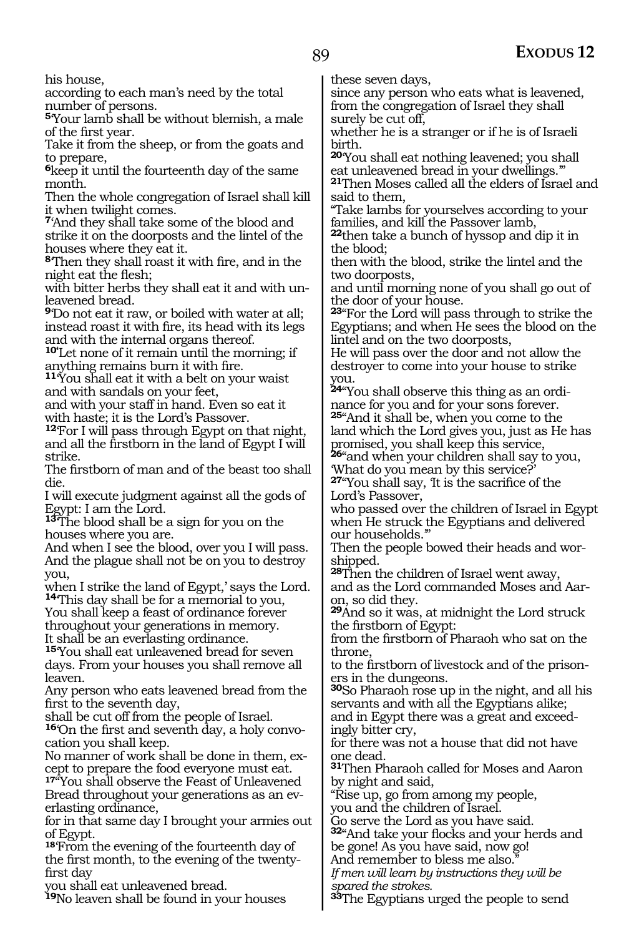his house,

according to each man's need by the total number of persons.

**<sup>5</sup>**'Your lamb shall be without blemish, a male of the first year.

Take it from the sheep, or from the goats and to prepare,

**<sup>6</sup>**keep it until the fourteenth day of the same month.

Then the whole congregation of Israel shall kill it when twilight comes.

**<sup>7</sup>**'And they shall take some of the blood and strike it on the doorposts and the lintel of the houses where they eat it.

**<sup>8</sup>**'Then they shall roast it with fire, and in the night eat the flesh;

with bitter herbs they shall eat it and with unleavened bread.

**<sup>9</sup>**'Do not eat it raw, or boiled with water at all; instead roast it with fire, its head with its legs and with the internal organs thereof.

**10'**Let none of it remain until the morning; if anything remains burn it with fire. **<sup>11</sup>**'You shall eat it with a belt on your waist

and with sandals on your feet,

and with your staff in hand. Even so eat it with haste; it is the Lord's Passover.

**<sup>12</sup>**'For I will pass through Egypt on that night, and all the firstborn in the land of Egypt I will strike.

The firstborn of man and of the beast too shall die.

I will execute judgment against all the gods of Egypt: I am the Lord.

**<sup>13</sup>**'The blood shall be a sign for you on the houses where you are.

And when I see the blood, over you I will pass. And the plague shall not be on you to destroy you,

when I strike the land of Egypt,' says the Lord. **<sup>14</sup>**'This day shall be for a memorial to you,

You shall keep a feast of ordinance forever throughout your generations in memory. It shall be an everlasting ordinance.

**<sup>15</sup>**'You shall eat unleavened bread for seven days. From your houses you shall remove all leaven.

Any person who eats leavened bread from the first to the seventh day,

shall be cut off from the people of Israel.

**16**'On the first and seventh day, a holy convocation you shall keep.

No manner of work shall be done in them, except to prepare the food everyone must eat.

**<sup>17</sup>**"You shall observe the Feast of Unleavened Bread throughout your generations as an everlasting ordinance,

for in that same day I brought your armies out of Egypt.

**<sup>18</sup>**'From the evening of the fourteenth day of the first month, to the evening of the twentyfirst day

you shall eat unleavened bread.

**<sup>19</sup>**No leaven shall be found in your houses

these seven days,

since any person who eats what is leavened, from the congregation of Israel they shall surely be cut off,

whether he is a stranger or if he is of Israeli birth.

**<sup>20</sup>**'You shall eat nothing leavened; you shall eat unleavened bread in your dwellings.'"

**<sup>21</sup>**Then Moses called all the elders of Israel and said to them,

"Take lambs for yourselves according to your families, and kill the Passover lamb,

**<sup>22</sup>**then take a bunch of hyssop and dip it in the blood;

then with the blood, strike the lintel and the two doorposts,

and until morning none of you shall go out of the door of your house.

**<sup>23</sup>**"For the Lord will pass through to strike the Egyptians; and when He sees the blood on the lintel and on the two doorposts,

He will pass over the door and not allow the destroyer to come into your house to strike you.

**24**"You shall observe this thing as an ordinance for you and for your sons forever.

**<sup>25</sup>**"And it shall be, when you come to the land which the Lord gives you, just as He has

promised, you shall keep this service, **<sup>26</sup>**"and when your children shall say to you, 'What do you mean by this service?'

**<sup>27</sup>**"You shall say, 'It is the sacrifice of the Lord's Passover,

who passed over the children of Israel in Egypt when He struck the Egyptians and delivered our households.'"

Then the people bowed their heads and worshipped.

**<sup>28</sup>**Then the children of Israel went away, and as the Lord commanded Moses and Aar- on, so did they.

**<sup>29</sup>**And so it was, at midnight the Lord struck the firstborn of Egypt:

from the firstborn of Pharaoh who sat on the throne,

to the firstborn of livestock and of the prisoners in the dungeons.

**<sup>30</sup>**So Pharaoh rose up in the night, and all his servants and with all the Egyptians alike; and in Egypt there was a great and exceedingly bitter cry,

for there was not a house that did not have one dead.

**<sup>31</sup>**Then Pharaoh called for Moses and Aaron by night and said,

"Rise up, go from among my people,

you and the children of Israel.

Go serve the Lord as you have said. **<sup>32</sup>**"And take your flocks and your herds and

be gone! As you have said, now go! And remember to bless me also."

*If men will learn by instructions they will be spared the strokes.*

**<sup>33</sup>**The Egyptians urged the people to send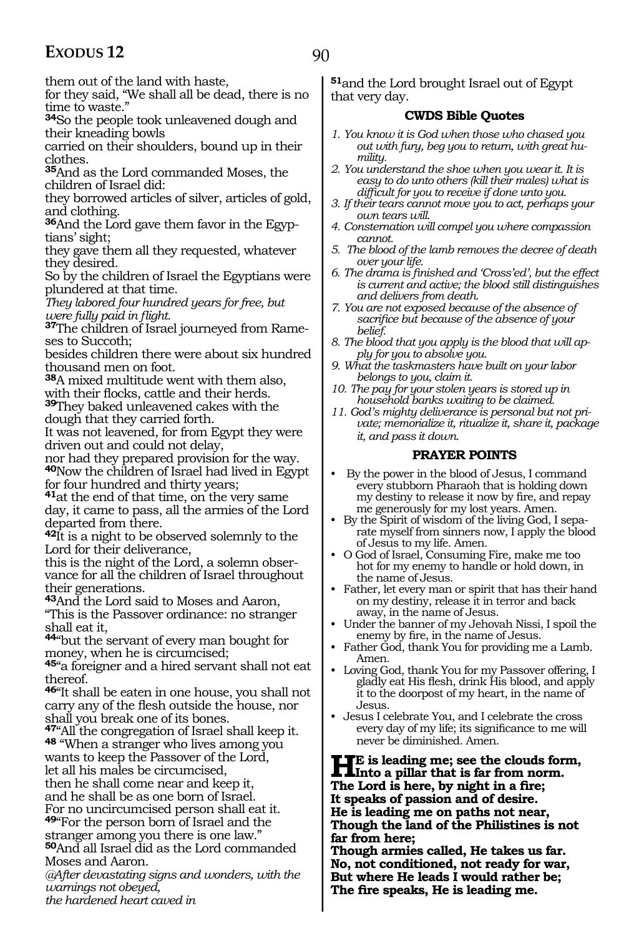90

them out of the land with haste,

for they said, "We shall all be dead, there is no time to waste."

**<sup>34</sup>**So the people took unleavened dough and their kneading bowls

carried on their shoulders, bound up in their clothes.

**<sup>35</sup>**And as the Lord commanded Moses, the children of Israel did:

they borrowed articles of silver, articles of gold, and clothing.

**36**And the Lord gave them favor in the Egyptians' sight;

they gave them all they requested, whatever they desired.

So by the children of Israel the Egyptians were plundered at that time.

*They labored four hundred years for free, but* 

*were fully paid in flight.* **37**The children of Israel journeyed from Rameses to Succoth;

besides children there were about six hundred thousand men on foot.

**<sup>38</sup>**A mixed multitude went with them also, with their flocks, cattle and their herds. **<sup>39</sup>**They baked unleavened cakes with the dough that they carried forth.

It was not leavened, for from Egypt they were driven out and could not delay,

nor had they prepared provision for the way. **<sup>40</sup>**Now the children of Israel had lived in Egypt for four hundred and thirty years;

**<sup>41</sup>**at the end of that time, on the very same day, it came to pass, all the armies of the Lord departed from there.

**<sup>42</sup>**It is a night to be observed solemnly to the Lord for their deliverance,

this is the night of the Lord, a solemn observance for all the children of Israel throughout their generations.

**<sup>43</sup>**And the Lord said to Moses and Aaron, "This is the Passover ordinance: no stranger shall eat it,

**<sup>44</sup>**"but the servant of every man bought for money, when he is circumcised;

**<sup>45</sup>**"a foreigner and a hired servant shall not eat thereof.

**<sup>46</sup>**"It shall be eaten in one house, you shall not carry any of the flesh outside the house, nor shall you break one of its bones.

**<sup>47</sup>**"All the congregation of Israel shall keep it. **<sup>48</sup>** "When a stranger who lives among you wants to keep the Passover of the Lord, let all his males be circumcised, then he shall come near and keep it,

and he shall be as one born of Israel. For no uncircumcised person shall eat it.

**<sup>49</sup>**"For the person born of Israel and the stranger among you there is one law." **<sup>50</sup>**And all Israel did as the Lord commanded

Moses and Aaron. *@After devastating signs and wonders, with the* 

*warnings not obeyed,*

*the hardened heart caved in*

**<sup>51</sup>**and the Lord brought Israel out of Egypt that very day.

#### **CWDS Bible Quotes**

- *1. You know it is God when those who chased you out with fury, beg you to return, with great humility.*
- *2. You understand the shoe when you wear it. It is easy to do unto others (kill their males) what is difficult for you to receive if done unto you.*
- *3. If their tears cannot move you to act, perhaps your own tears will.*
- *4. Consternation will compel you where compassion cannot.*
- *5. The blood of the lamb removes the decree of death over your life.*
- *6. The drama is finished and 'Cross'ed', but the effect is current and active; the blood still distinguishes and delivers from death.*
- *7. You are not exposed because of the absence of sacrifice but because of the absence of your belief.*
- *8. The blood that you apply is the blood that will apply for you to absolve you.*
- *9. What the taskmasters have built on your labor belongs to you, claim it.*
- *10. The pay for your stolen years is stored up in household banks waiting to be claimed.*
- *11. God's mighty deliverance is personal but not private; memorialize it, ritualize it, share it, package it, and pass it down.*

#### **PRAYER POINTS**

- By the power in the blood of Jesus, I command every stubborn Pharaoh that is holding down my destiny to release it now by fire, and repay me generously for my lost years. Amen.
- By the Spirit of wisdom of the living God, I separate myself from sinners now, I apply the blood of Jesus to my life. Amen.
- O God of Israel, Consuming Fire, make me too hot for my enemy to handle or hold down, in the name of Jesus.
- Father, let every man or spirit that has their hand on my destiny, release it in terror and back away, in the name of Jesus.
- Under the banner of my Jehovah Nissi, I spoil the enemy by fire, in the name of Jesus.
- Father God, thank You for providing me a Lamb. Amen.
- Loving God, thank You for my Passover offering, I gladly eat His flesh, drink His blood, and apply it to the doorpost of my heart, in the name of Jesus.
- Jesus I celebrate You, and I celebrate the cross every day of my life; its significance to me will never be diminished. Amen.

**HE** is leading me; see the clouds form,<br> **Into a pillar that is far from norm.**<br>
The Land is been by night in a first. **The Lord is here, by night in a fire; It speaks of passion and of desire. He is leading me on paths not near, Though the land of the Philistines is not far from here;**

**Though armies called, He takes us far. No, not conditioned, not ready for war, But where He leads I would rather be; The fire speaks, He is leading me.**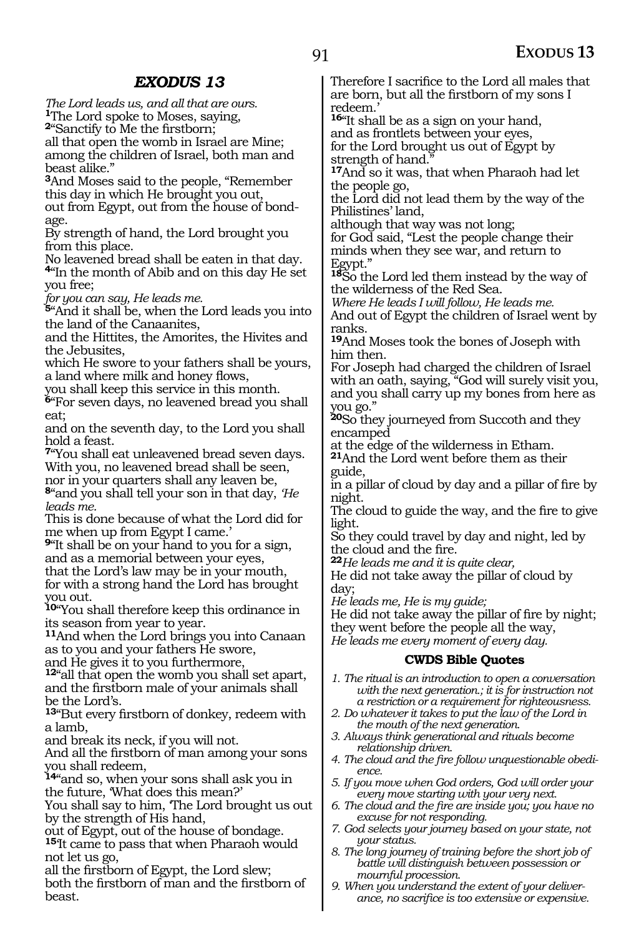*The Lord leads us, and all that are ours.* **<sup>1</sup>**The Lord spoke to Moses, saying, **<sup>2</sup>**"Sanctify to Me the firstborn;

all that open the womb in Israel are Mine; among the children of Israel, both man and beast alike."

**<sup>3</sup>**And Moses said to the people, "Remember this day in which He brought you out, out from Egypt, out from the house of bondage.

By strength of hand, the Lord brought you from this place.

No leavened bread shall be eaten in that day.

**<sup>4</sup>**"In the month of Abib and on this day He set you free;

*for you can say, He leads me.*

**<sup>5</sup>**"And it shall be, when the Lord leads you into the land of the Canaanites,

and the Hittites, the Amorites, the Hivites and the Jebusites,

which He swore to your fathers shall be yours, a land where milk and honey flows,

you shall keep this service in this month.

**<sup>6</sup>**"For seven days, no leavened bread you shall eat;

and on the seventh day, to the Lord you shall hold a feast.

**<sup>7</sup>**"You shall eat unleavened bread seven days. With you, no leavened bread shall be seen, nor in your quarters shall any leaven be, **<sup>8</sup>**"and you shall tell your son in that day, *'He leads me.*

This is done because of what the Lord did for me when up from Egypt I came.'

**<sup>9</sup>**"It shall be on your hand to you for a sign, and as a memorial between your eyes, that the Lord's law may be in your mouth, for with a strong hand the Lord has brought you out.

**<sup>10</sup>**"You shall therefore keep this ordinance in its season from year to year.

**<sup>11</sup>**And when the Lord brings you into Canaan as to you and your fathers He swore,

and He gives it to you furthermore,

**<sup>12</sup>**"all that open the womb you shall set apart, and the firstborn male of your animals shall be the Lord's.

**<sup>13</sup>**"But every firstborn of donkey, redeem with a lamb,

and break its neck, if you will not.

And all the firstborn of man among your sons you shall redeem,

**<sup>14</sup>**"and so, when your sons shall ask you in the future, 'What does this mean?'

You shall say to him, 'The Lord brought us out by the strength of His hand,

out of Egypt, out of the house of bondage.

**<sup>15</sup>**'It came to pass that when Pharaoh would not let us go,

all the firstborn of Egypt, the Lord slew; both the firstborn of man and the firstborn of beast.

Therefore I sacrifice to the Lord all males that are born, but all the firstborn of my sons I redeem.'

**<sup>16</sup>**"It shall be as a sign on your hand, and as frontlets between your eyes, for the Lord brought us out of Egypt by

strength of hand.

**<sup>17</sup>**And so it was, that when Pharaoh had let the people go,

the Lord did not lead them by the way of the Philistines' land,

although that way was not long;

for God said, "Lest the people change their minds when they see war, and return to Egypt."

**<sup>18</sup>**So the Lord led them instead by the way of the wilderness of the Red Sea.

*Where He leads I will follow, He leads me.*

And out of Egypt the children of Israel went by ranks.

**<sup>19</sup>**And Moses took the bones of Joseph with him then.

For Joseph had charged the children of Israel with an oath, saying, "God will surely visit you, and you shall carry up my bones from here as you go."

**<sup>20</sup>**So they journeyed from Succoth and they encamped

at the edge of the wilderness in Etham.

**<sup>21</sup>**And the Lord went before them as their guide,

in a pillar of cloud by day and a pillar of fire by night.

The cloud to guide the way, and the fire to give light.

So they could travel by day and night, led by the cloud and the fire.

**<sup>22</sup>***He leads me and it is quite clear,*

He did not take away the pillar of cloud by day;

*He leads me, He is my guide;*

He did not take away the pillar of fire by night; they went before the people all the way, *He leads me every moment of every day.*

#### **CWDS Bible Quotes**

- *1. The ritual is an introduction to open a conversation with the next generation.; it is for instruction not a restriction or a requirement for righteousness.*
- *2. Do whatever it takes to put the law of the Lord in the mouth of the next generation.*
- *3. Always think generational and rituals become relationship driven.*
- *4. The cloud and the fire follow unquestionable obedience.*
- *5. If you move when God orders, God will order your every move starting with your very next.*
- *6. The cloud and the fire are inside you; you have no excuse for not responding.*
- *7. God selects your journey based on your state, not your status.*
- *8. The long journey of training before the short job of battle will distinguish between possession or mournful procession.*
- *9. When you understand the extent of your deliverance, no sacrifice is too extensive or expensive.*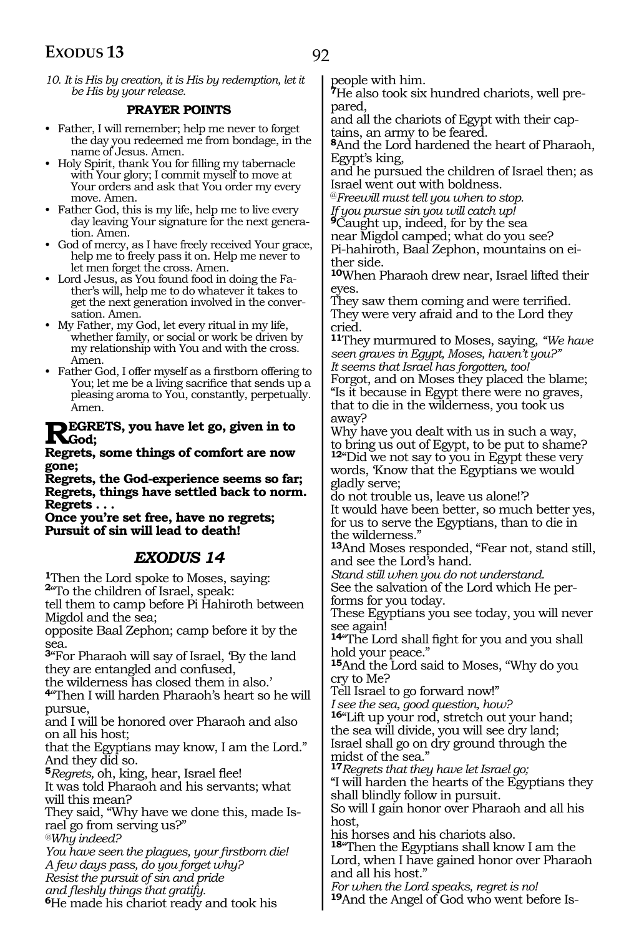*10. It is His by creation, it is His by redemption, let it be His by your release.* 

#### **PRAYER POINTS**

- Father, I will remember; help me never to forget the day you redeemed me from bondage, in the name of Jesus. Amen.
- Holy Spirit, thank You for filling my tabernacle with Your glory; I commit myself to move at Your orders and ask that You order my every move. Amen.
- Father God, this is my life, help me to live every day leaving Your signature for the next generation. Amen.
- God of mercy, as I have freely received Your grace, help me to freely pass it on. Help me never to let men forget the cross. Amen.
- Lord Jesus, as You found food in doing the Father's will, help me to do whatever it takes to get the next generation involved in the conversation. Amen.
- My Father, my God, let every ritual in my life, whether family, or social or work be driven by my relationship with You and with the cross. Amen.
- Father God, I offer myself as a firstborn offering to You; let me be a living sacrifice that sends up a pleasing aroma to You, constantly, perpetually. Amen.

#### **REGRETS, you have let go, given in to**  $\mathbf{K}_{\text{God}}$

**Regrets, some things of comfort are now gone;**

**Regrets, the God-experience seems so far; Regrets, things have settled back to norm. Regrets . . .**

**Once you're set free, have no regrets; Pursuit of sin will lead to death!**

#### *EXODUS 14*

**<sup>1</sup>**Then the Lord spoke to Moses, saying: **<sup>2</sup>**"To the children of Israel, speak:

tell them to camp before Pi Hahiroth between Migdol and the sea;

opposite Baal Zephon; camp before it by the sea.

**<sup>3</sup>**"For Pharaoh will say of Israel, 'By the land they are entangled and confused,

the wilderness has closed them in also.'

**<sup>4</sup>**"Then I will harden Pharaoh's heart so he will pursue,

and I will be honored over Pharaoh and also on all his host;

that the Egyptians may know, I am the Lord." And they did so.

**<sup>5</sup>***Regrets,* oh, king, hear, Israel flee!

It was told Pharaoh and his servants; what will this mean?

They said, "Why have we done this, made Is- rael go from serving us?"

*@Why indeed?* 

*You have seen the plagues, your firstborn die! A few days pass, do you forget why? Resist the pursuit of sin and pride and fleshly things that gratify.*  **<sup>6</sup>**He made his chariot ready and took his

people with him.

**<sup>7</sup>**He also took six hundred chariots, well pre- pared,

and all the chariots of Egypt with their cap- tains, an army to be feared.

**<sup>8</sup>**And the Lord hardened the heart of Pharaoh, Egypt's king,

and he pursued the children of Israel then; as Israel went out with boldness.

@*Freewill must tell you when to stop. If you pursue sin you will catch up!* 

**<sup>9</sup>**Caught up, indeed, for by the sea

near Migdol camped; what do you see?

Pi-hahiroth, Baal Zephon, mountains on ei- ther side.

**<sup>10</sup>**When Pharaoh drew near, Israel lifted their eyes.

They saw them coming and were terrified. They were very afraid and to the Lord they cried.

**<sup>11</sup>**They murmured to Moses, saying, *"We have seen graves in Egypt, Moses, haven't you?" It seems that Israel has forgotten, too!*  Forgot, and on Moses they placed the blame; "Is it because in Egypt there were no graves, that to die in the wilderness, you took us away?

Why have you dealt with us in such a way, to bring us out of Egypt, to be put to shame? **<sup>12</sup>**"Did we not say to you in Egypt these very words, 'Know that the Egyptians we would gladly serve;

do not trouble us, leave us alone!'? It would have been better, so much better yes, for us to serve the Egyptians, than to die in the wilderness."

**<sup>13</sup>**And Moses responded, "Fear not, stand still, and see the Lord's hand.

*Stand still when you do not understand.* See the salvation of the Lord which He per- forms for you today.

These Egyptians you see today, you will never see again!

**<sup>14</sup>**"The Lord shall fight for you and you shall hold your peace."

**<sup>15</sup>**And the Lord said to Moses, "Why do you cry to Me?

Tell Israel to go forward now!"

*I see the sea, good question, how?* 

**<sup>16</sup>**"Lift up your rod, stretch out your hand; the sea will divide, you will see dry land; Israel shall go on dry ground through the midst of the sea."

**<sup>17</sup>***Regrets that they have let Israel go;* 

"I will harden the hearts of the Egyptians they shall blindly follow in pursuit.

So will I gain honor over Pharaoh and all his host,

his horses and his chariots also.

**<sup>18</sup>**"Then the Egyptians shall know I am the Lord, when I have gained honor over Pharaoh and all his host."

*For when the Lord speaks, regret is no!*  **19**And the Angel of God who went before Is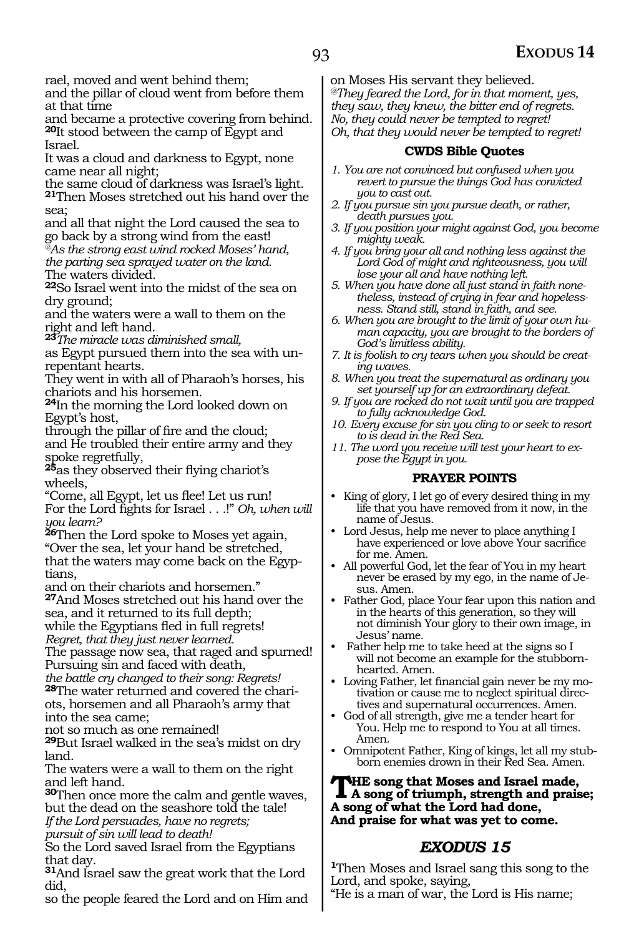rael, moved and went behind them;

and the pillar of cloud went from before them at that time

and became a protective covering from behind. **<sup>20</sup>**It stood between the camp of Egypt and Israel.

It was a cloud and darkness to Egypt, none came near all night;

the same cloud of darkness was Israel's light. **<sup>21</sup>**Then Moses stretched out his hand over the sea;

and all that night the Lord caused the sea to go back by a strong wind from the east! *@As the strong east wind rocked Moses' hand, the parting sea sprayed water on the land.* The waters divided.

**<sup>22</sup>**So Israel went into the midst of the sea on dry ground;

and the waters were a wall to them on the right and left hand.

**<sup>23</sup>***The miracle was diminished small,*

as Egypt pursued them into the sea with unrepentant hearts.

They went in with all of Pharaoh's horses, his chariots and his horsemen.

**<sup>24</sup>**In the morning the Lord looked down on Egypt's host,

through the pillar of fire and the cloud; and He troubled their entire army and they spoke regretfully,

**<sup>25</sup>**as they observed their flying chariot's wheels,

"Come, all Egypt, let us flee! Let us run! For the Lord fights for Israel . . .!" *Oh, when will you learn?* 

**<sup>26</sup>**Then the Lord spoke to Moses yet again, "Over the sea, let your hand be stretched, that the waters may come back on the Egyptians,

and on their chariots and horsemen."

**<sup>27</sup>**And Moses stretched out his hand over the sea, and it returned to its full depth;

while the Egyptians fled in full regrets!

*Regret, that they just never learned.* 

The passage now sea, that raged and spurned! Pursuing sin and faced with death,

*the battle cry changed to their song: Regrets!*  **28**The water returned and covered the chariots, horsemen and all Pharaoh's army that into the sea came;

not so much as one remained!

**<sup>29</sup>**But Israel walked in the sea's midst on dry land.

The waters were a wall to them on the right and left hand.

**<sup>30</sup>**Then once more the calm and gentle waves, but the dead on the seashore told the tale! *If the Lord persuades, have no regrets;*

*pursuit of sin will lead to death!* 

So the Lord saved Israel from the Egyptians that day.

**<sup>31</sup>**And Israel saw the great work that the Lord did,

so the people feared the Lord and on Him and

on Moses His servant they believed. *@They feared the Lord, for in that moment, yes, they saw, they knew, the bitter end of regrets. No, they could never be tempted to regret! Oh, that they would never be tempted to regret!*

#### **CWDS Bible Quotes**

- *1. You are not convinced but confused when you revert to pursue the things God has convicted you to cast out.*
- *2. If you pursue sin you pursue death, or rather, death pursues you.*
- *3. If you position your might against God, you become mighty weak.*
- *4. If you bring your all and nothing less against the Lord God of might and righteousness, you will lose your all and have nothing left.*
- *5. When you have done all just stand in faith nonetheless, instead of crying in fear and hopelessness. Stand still, stand in faith, and see.*
- *6. When you are brought to the limit of your own human capacity, you are brought to the borders of God's limitless ability.*
- *7. It is foolish to cry tears when you should be creating waves.*
- *8. When you treat the supernatural as ordinary you set yourself up for an extraordinary defeat.*
- *9. If you are rocked do not wait until you are trapped to fully acknowledge God.*
- *10. Every excuse for sin you cling to or seek to resort to is dead in the Red Sea.*
- *11. The word you receive will test your heart to expose the Egypt in you.*

#### **PRAYER POINTS**

- King of glory, I let go of every desired thing in my life that you have removed from it now, in the name of Jesus.
- Lord Jesus, help me never to place anything I have experienced or love above Your sacrifice for me. Amen.
- All powerful God, let the fear of You in my heart never be erased by my ego, in the name of Jesus. Amen.
- Father God, place Your fear upon this nation and in the hearts of this generation, so they will not diminish Your glory to their own image, in Jesus' name.
- Father help me to take heed at the signs so I will not become an example for the stubbornhearted. Amen.
- Loving Father, let financial gain never be my motivation or cause me to neglect spiritual directives and supernatural occurrences. Amen.
- God of all strength, give me a tender heart for You. Help me to respond to You at all times. Amen.
- Omnipotent Father, King of kings, let all my stubborn enemies drown in their Red Sea. Amen.

### **The song that Moses and Israel made, A song of triumph, strength and praise; A song of what the Lord had done, And praise for what was yet to come.**

### *EXODUS 15*

**<sup>1</sup>**Then Moses and Israel sang this song to the Lord, and spoke, saying,

"He is a man of war, the Lord is His name;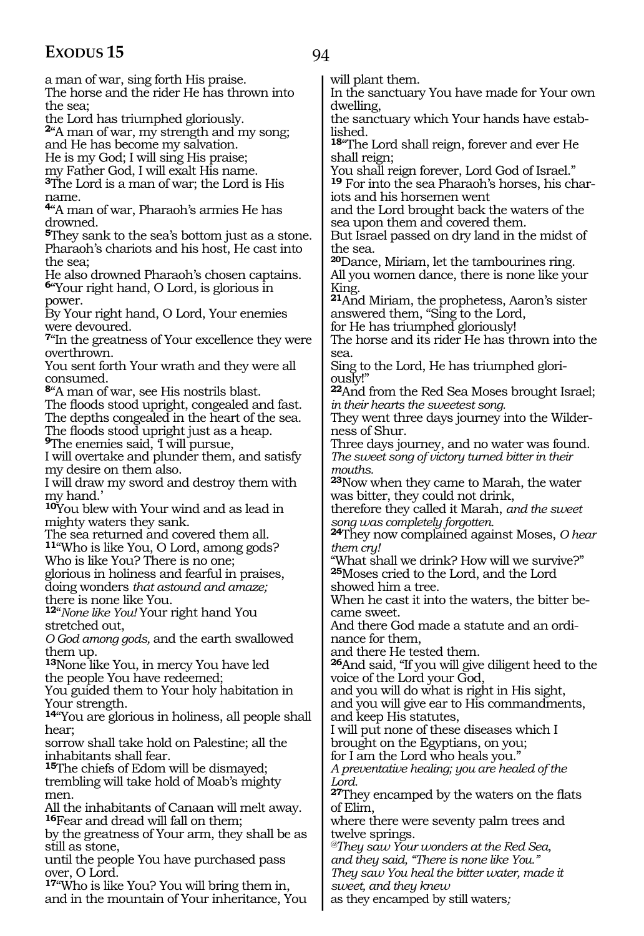94

a man of war, sing forth His praise. The horse and the rider He has thrown into the sea;

the Lord has triumphed gloriously.

**<sup>2</sup>**"A man of war, my strength and my song; and He has become my salvation.

He is my God; I will sing His praise;

my Father God, I will exalt His name.

**<sup>3</sup>**The Lord is a man of war; the Lord is His name.

**<sup>4</sup>**"A man of war, Pharaoh's armies He has drowned.

**<sup>5</sup>**They sank to the sea's bottom just as a stone. Pharaoh's chariots and his host, He cast into the sea;

He also drowned Pharaoh's chosen captains. **<sup>6</sup>**"Your right hand, O Lord, is glorious in power.

By Your right hand, O Lord, Your enemies were devoured.

**<sup>7</sup>**"In the greatness of Your excellence they were overthrown.

You sent forth Your wrath and they were all consumed.

**<sup>8</sup>**"A man of war, see His nostrils blast.

The floods stood upright, congealed and fast. The depths congealed in the heart of the sea.

The floods stood upright just as a heap. **9**The enemies said, I will pursue,

I will overtake and plunder them, and satisfy my desire on them also.

I will draw my sword and destroy them with my hand.'

**<sup>10</sup>**You blew with Your wind and as lead in mighty waters they sank.

The sea returned and covered them all. **<sup>11</sup>**"Who is like You, O Lord, among gods? Who is like You? There is no one;

glorious in holiness and fearful in praises, doing wonders *that astound and amaze;* there is none like You.

**<sup>12</sup>**"*None like You!* Your right hand You stretched out,

*O God among gods,* and the earth swallowed them up.

**<sup>13</sup>**None like You, in mercy You have led the people You have redeemed;

You guided them to Your holy habitation in Your strength.

**<sup>14</sup>**"You are glorious in holiness, all people shall hear;

sorrow shall take hold on Palestine; all the inhabitants shall fear.

**<sup>15</sup>**The chiefs of Edom will be dismayed; trembling will take hold of Moab's mighty men.

All the inhabitants of Canaan will melt away. **<sup>16</sup>**Fear and dread will fall on them;

by the greatness of Your arm, they shall be as still as stone,

until the people You have purchased pass over, O Lord.

**<sup>17</sup>**"Who is like You? You will bring them in, and in the mountain of Your inheritance, You will plant them.

In the sanctuary You have made for Your own dwelling,

the sanctuary which Your hands have established.

**<sup>18</sup>**"The Lord shall reign, forever and ever He shall reign;

You shall reign forever, Lord God of Israel." **19** For into the sea Pharaoh's horses, his chariots and his horsemen went

and the Lord brought back the waters of the sea upon them and covered them.

But Israel passed on dry land in the midst of the sea.

**<sup>20</sup>**Dance, Miriam, let the tambourines ring. All you women dance, there is none like your King.

**<sup>21</sup>**And Miriam, the prophetess, Aaron's sister answered them, "Sing to the Lord,

for He has triumphed gloriously!

The horse and its rider He has thrown into the sea.

Sing to the Lord, He has triumphed gloriously!"

**<sup>22</sup>**And from the Red Sea Moses brought Israel; *in their hearts the sweetest song.*

They went three days journey into the Wilderness of Shur.

Three days journey, and no water was found. *The sweet song of victory turned bitter in their mouths.*

**<sup>23</sup>**Now when they came to Marah, the water was bitter, they could not drink,

therefore they called it Marah, *and the sweet song was completely forgotten.*

**<sup>24</sup>**They now complained against Moses, *O hear them cry!*

"What shall we drink? How will we survive?" **<sup>25</sup>**Moses cried to the Lord, and the Lord showed him a tree.

When he cast it into the waters, the bitter be- came sweet.

And there God made a statute and an ordinance for them,

and there He tested them.

**<sup>26</sup>**And said, "If you will give diligent heed to the voice of the Lord your God,

and you will do what is right in His sight, and you will give ear to His commandments, and keep His statutes,

I will put none of these diseases which I brought on the Egyptians, on you;

for I am the Lord who heals you."

*A preventative healing; you are healed of the Lord.*

**<sup>27</sup>**They encamped by the waters on the flats of Elim,

where there were seventy palm trees and twelve springs.

*@They saw Your wonders at the Red Sea, and they said, "There is none like You." They saw You heal the bitter water, made it sweet, and they knew*

as they encamped by still waters*;*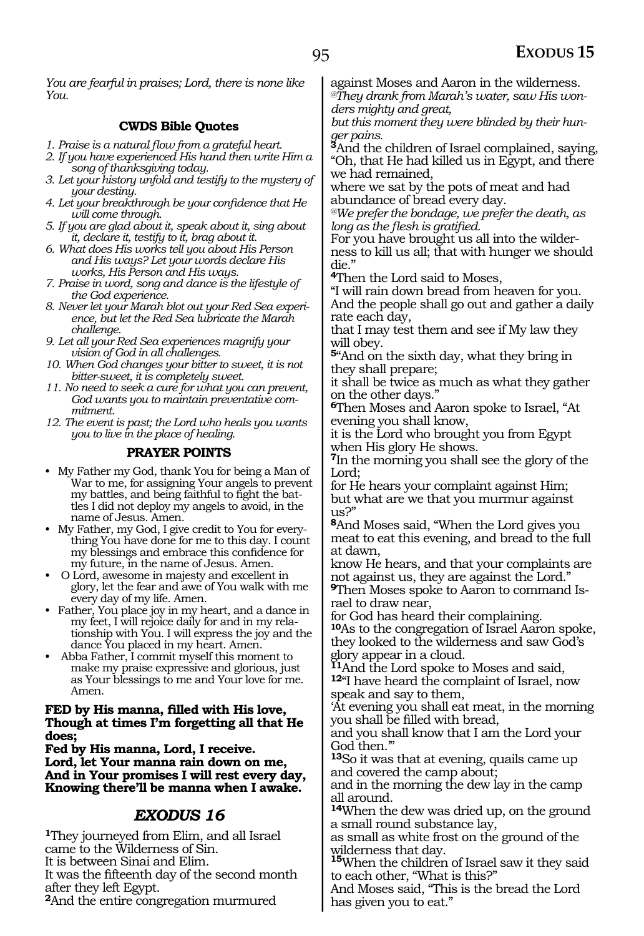*You are fearful in praises; Lord, there is none like You.*

#### **CWDS Bible Quotes**

- *1. Praise is a natural flow from a grateful heart.*
- *2. If you have experienced His hand then write Him a song of thanksgiving today.*
- *3. Let your history unfold and testify to the mystery of your destiny.*
- *4. Let your breakthrough be your confidence that He will come through.*
- *5. If you are glad about it, speak about it, sing about it, declare it, testify to it, brag about it.*
- *6. What does His works tell you about His Person and His ways? Let your words declare His works, His Person and His ways.*
- *7. Praise in word, song and dance is the lifestyle of the God experience.*
- *8. Never let your Marah blot out your Red Sea experience, but let the Red Sea lubricate the Marah challenge.*
- *9. Let all your Red Sea experiences magnify your vision of God in all challenges.*
- *10. When God changes your bitter to sweet, it is not bitter-sweet, it is completely sweet.*
- *11. No need to seek a cure for what you can prevent, God wants you to maintain preventative commitment.*
- *12. The event is past; the Lord who heals you wants you to live in the place of healing.*

#### **PRAYER POINTS**

- My Father my God, thank You for being a Man of War to me, for assigning Your angels to prevent my battles, and being faithful to fight the battles I did not deploy my angels to avoid, in the name of Jesus. Amen.
- My Father, my God, I give credit to You for everything You have done for me to this day. I count my blessings and embrace this confidence for my future, in the name of Jesus. Amen.
- O Lord, awesome in majesty and excellent in glory, let the fear and awe of You walk with me every day of my life. Amen.
- Father, You place joy in my heart, and a dance in my feet, I will rejoice daily for and in my relationship with You. I will express the joy and the dance You placed in my heart. Amen.
- Abba Father, I commit myself this moment to make my praise expressive and glorious, just as Your blessings to me and Your love for me. Amen.

#### **Fed by His manna, filled with His love, Though at times I'm forgetting all that He does;**

**Fed by His manna, Lord, I receive. Lord, let Your manna rain down on me, And in Your promises I will rest every day, Knowing there'll be manna when I awake.**

### *EXODUS 16*

**<sup>1</sup>**They journeyed from Elim, and all Israel came to the Wilderness of Sin. It is between Sinai and Elim. It was the fifteenth day of the second month after they left Egypt. **<sup>2</sup>**And the entire congregation murmured

against Moses and Aaron in the wilderness. *@They drank from Marah's water, saw His wonders mighty and great,*

*but this moment they were blinded by their hunger pains.*

**<sup>3</sup>**And the children of Israel complained, saying, "Oh, that He had killed us in Egypt, and there we had remained,

where we sat by the pots of meat and had abundance of bread every day.

*@We prefer the bondage, we prefer the death, as long as the flesh is gratified.*

For you have brought us all into the wilder- ness to kill us all; that with hunger we should die."

**<sup>4</sup>**Then the Lord said to Moses,

"I will rain down bread from heaven for you. And the people shall go out and gather a daily rate each day,

that I may test them and see if My law they will obey.

**<sup>5</sup>**"And on the sixth day, what they bring in they shall prepare;

it shall be twice as much as what they gather on the other days."

**<sup>6</sup>**Then Moses and Aaron spoke to Israel, "At evening you shall know,

it is the Lord who brought you from Egypt when His glory He shows.

**<sup>7</sup>**In the morning you shall see the glory of the Lord;

for He hears your complaint against Him; but what are we that you murmur against us?"

**<sup>8</sup>**And Moses said, "When the Lord gives you meat to eat this evening, and bread to the full at dawn,

know He hears, and that your complaints are not against us, they are against the Lord."

**<sup>9</sup>**Then Moses spoke to Aaron to command Is- rael to draw near,

for God has heard their complaining.

**<sup>10</sup>**As to the congregation of Israel Aaron spoke, they looked to the wilderness and saw God's glory appear in a cloud.

**<sup>11</sup>**And the Lord spoke to Moses and said, **<sup>12</sup>**"I have heard the complaint of Israel, now speak and say to them,

'At evening you shall eat meat, in the morning you shall be filled with bread,

and you shall know that I am the Lord your God then.'"

**<sup>13</sup>**So it was that at evening, quails came up and covered the camp about;

and in the morning the dew lay in the camp all around.

**<sup>14</sup>**When the dew was dried up, on the ground a small round substance lay,

as small as white frost on the ground of the wilderness that day.

**<sup>15</sup>**When the children of Israel saw it they said to each other, "What is this?"

And Moses said, "This is the bread the Lord has given you to eat."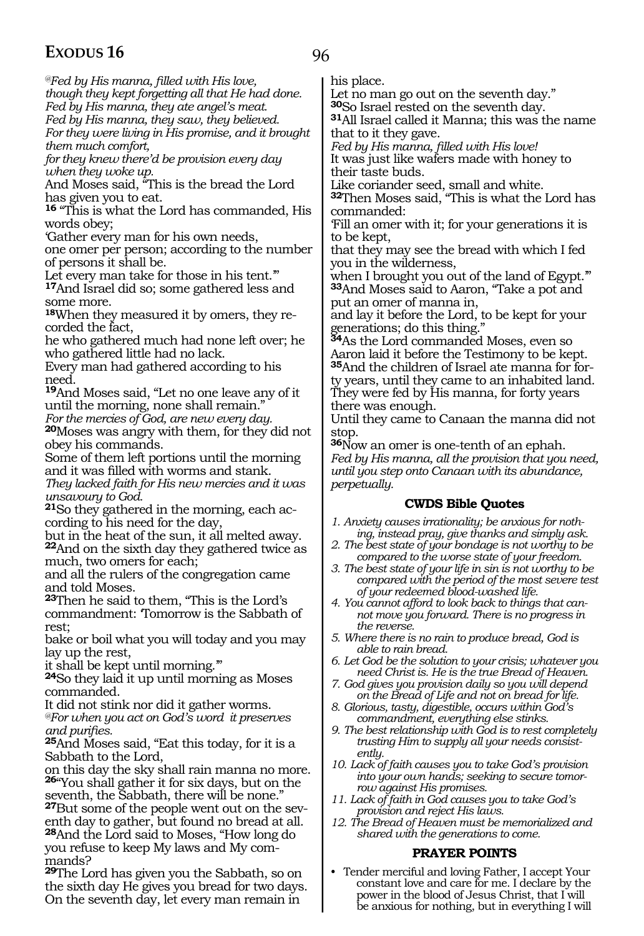96

*@Fed by His manna, filled with His love, though they kept forgetting all that He had done. Fed by His manna, they ate angel's meat. Fed by His manna, they saw, they believed.*

*For they were living in His promise, and it brought them much comfort,*

*for they knew there'd be provision every day when they woke up.* 

And Moses said, "This is the bread the Lord has given you to eat.

**<sup>16</sup>** "This is what the Lord has commanded, His words obey;

'Gather every man for his own needs,

one omer per person; according to the number of persons it shall be.

Let every man take for those in his tent.'" **<sup>17</sup>**And Israel did so; some gathered less and some more.

**<sup>18</sup>**When they measured it by omers, they re- corded the fact,

he who gathered much had none left over; he who gathered little had no lack.

Every man had gathered according to his need.

**<sup>19</sup>**And Moses said, "Let no one leave any of it until the morning, none shall remain."

*For the mercies of God, are new every day.* **<sup>20</sup>**Moses was angry with them, for they did not

obey his commands.

Some of them left portions until the morning and it was filled with worms and stank.

*They lacked faith for His new mercies and it was unsavoury to God.*

**<sup>21</sup>**So they gathered in the morning, each ac- cording to his need for the day,

but in the heat of the sun, it all melted away. **<sup>22</sup>**And on the sixth day they gathered twice as much, two omers for each;

and all the rulers of the congregation came and told Moses.

**<sup>23</sup>**Then he said to them, "This is the Lord's commandment: 'Tomorrow is the Sabbath of rest;

bake or boil what you will today and you may lay up the rest,

it shall be kept until morning.'"

**<sup>24</sup>**So they laid it up until morning as Moses commanded.

It did not stink nor did it gather worms.

*@For when you act on God's word it preserves and purifies.*

**<sup>25</sup>**And Moses said, "Eat this today, for it is a Sabbath to the Lord,

on this day the sky shall rain manna no more. **<sup>26</sup>**"You shall gather it for six days, but on the seventh, the Sabbath, there will be none."

**27**But some of the people went out on the seventh day to gather, but found no bread at all. **<sup>28</sup>**And the Lord said to Moses, "How long do you refuse to keep My laws and My commands?

**<sup>29</sup>**The Lord has given you the Sabbath, so on the sixth day He gives you bread for two days. On the seventh day, let every man remain in

his place.

Let no man go out on the seventh day."<br><sup>30</sup>So Israel rested on the seventh day.

**31**All Israel called it Manna; this was the name that to it they gave.

*Fed by His manna, filled with His love!* It was just like wafers made with honey to their taste buds.

Like coriander seed, small and white.

**<sup>32</sup>**Then Moses said, "This is what the Lord has commanded:

'Fill an omer with it; for your generations it is to be kept,

that they may see the bread with which I fed you in the wilderness,

when I brought you out of the land of Egypt." **<sup>33</sup>**And Moses said to Aaron, "Take a pot and put an omer of manna in,

and lay it before the Lord, to be kept for your generations; do this thing."

**<sup>34</sup>**As the Lord commanded Moses, even so Aaron laid it before the Testimony to be kept. **35**And the children of Israel ate manna for forty years, until they came to an inhabited land. They were fed by His manna, for forty years there was enough.

Until they came to Canaan the manna did not stop.

**<sup>36</sup>**Now an omer is one-tenth of an ephah. *Fed by His manna, all the provision that you need, until you step onto Canaan with its abundance, perpetually.*

#### **CWDS Bible Quotes**

*1. Anxiety causes irrationality; be anxious for nothing, instead pray, give thanks and simply ask.*

*2. The best state of your bondage is not worthy to be compared to the worse state of your freedom.*

- *3. The best state of your life in sin is not worthy to be compared with the period of the most severe test of your redeemed blood-washed life.*
- *4. You cannot afford to look back to things that cannot move you forward. There is no progress in the reverse.*
- *5. Where there is no rain to produce bread, God is able to rain bread.*
- *6. Let God be the solution to your crisis; whatever you need Christ is. He is the true Bread of Heaven.*
- *7. God gives you provision daily so you will depend on the Bread of Life and not on bread for life.*
- *8. Glorious, tasty, digestible, occurs within God's commandment, everything else stinks.*
- *9. The best relationship with God is to rest completely trusting Him to supply all your needs consistently.*
- *10. Lack of faith causes you to take God's provision into your own hands; seeking to secure tomorrow against His promises.*
- *11. Lack of faith in God causes you to take God's provision and reject His laws.*
- *12. The Bread of Heaven must be memorialized and shared with the generations to come.*

#### **PRAYER POINTS**

• Tender merciful and loving Father, I accept Your constant love and care for me. I declare by the power in the blood of Jesus Christ, that I will be anxious for nothing, but in everything I will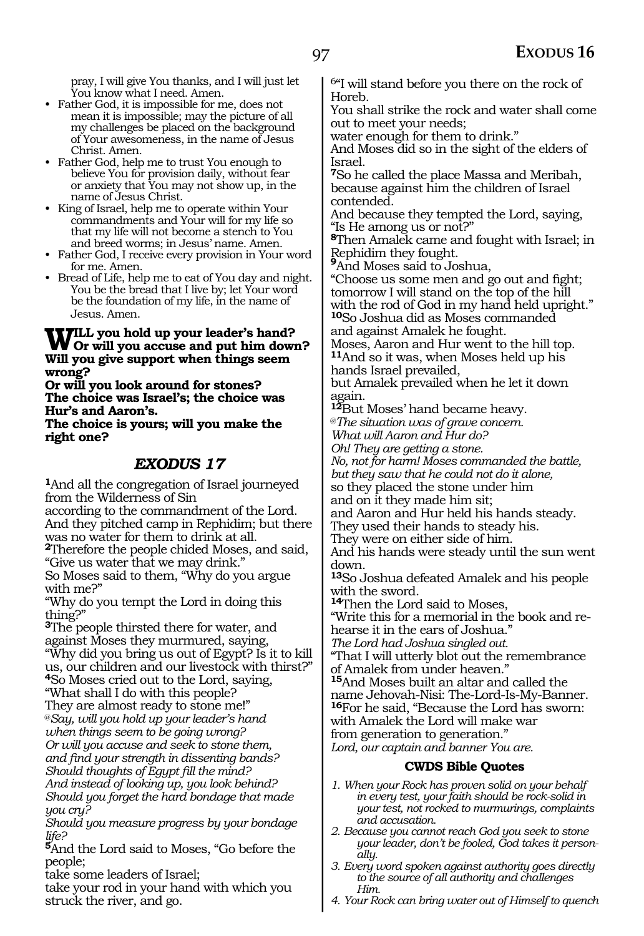pray, I will give You thanks, and I will just let You know what I need. Amen.

- Father God, it is impossible for me, does not mean it is impossible; may the picture of all my challenges be placed on the background of Your awesomeness, in the name of Jesus Christ. Amen.
- Father God, help me to trust You enough to believe You for provision daily, without fear or anxiety that You may not show up, in the name of Jesus Christ.
- King of Israel, help me to operate within Your commandments and Your will for my life so that my life will not become a stench to You and breed worms; in Jesus' name. Amen.
- Father God, I receive every provision in Your word for me. Amen.
- Bread of Life, help me to eat of You day and night. You be the bread that I live by; let Your word be the foundation of my life, in the name of Jesus. Amen.

#### **Will you hold up your leader's hand? Or will you accuse and put him down? Will you give support when things seem wrong?**

**Or will you look around for stones? The choice was Israel's; the choice was Hur's and Aaron's.**

**The choice is yours; will you make the right one?**

#### *EXODUS 17*

**<sup>1</sup>**And all the congregation of Israel journeyed from the Wilderness of Sin

according to the commandment of the Lord. And they pitched camp in Rephidim; but there was no water for them to drink at all.

**<sup>2</sup>**Therefore the people chided Moses, and said, "Give us water that we may drink."

So Moses said to them, "Why do you argue with me?"

"Why do you tempt the Lord in doing this thing?"

**<sup>3</sup>**The people thirsted there for water, and against Moses they murmured, saying,

"Why did you bring us out of Egypt? Is it to kill us, our children and our livestock with thirst?" **<sup>4</sup>**So Moses cried out to the Lord, saying,

"What shall I do with this people?

They are almost ready to stone me!" @*Say, will you hold up your leader's hand when things seem to be going wrong? Or will you accuse and seek to stone them, and find your strength in dissenting bands?*

*Should thoughts of Egypt fill the mind? And instead of looking up, you look behind? Should you forget the hard bondage that made you cry?*

*Should you measure progress by your bondage life?*

**<sup>5</sup>**And the Lord said to Moses, "Go before the people;

take some leaders of Israel;

take your rod in your hand with which you struck the river, and go.

6"I will stand before you there on the rock of Horeb.

You shall strike the rock and water shall come out to meet your needs;

water enough for them to drink."

And Moses did so in the sight of the elders of Israel.

**<sup>7</sup>**So he called the place Massa and Meribah, because against him the children of Israel contended.

And because they tempted the Lord, saying, "Is He among us or not?"

**<sup>8</sup>**Then Amalek came and fought with Israel; in Rephidim they fought.

**<sup>9</sup>**And Moses said to Joshua,

"Choose us some men and go out and fight; tomorrow I will stand on the top of the hill with the rod of God in my hand held upright." **<sup>10</sup>**So Joshua did as Moses commanded

and against Amalek he fought.

Moses, Aaron and Hur went to the hill top. **<sup>11</sup>**And so it was, when Moses held up his hands Israel prevailed,

but Amalek prevailed when he let it down again.

**<sup>12</sup>**But Moses' hand became heavy.

@*The situation was of grave concern.*

*What will Aaron and Hur do?*

*Oh! They are getting a stone.*

*No, not for harm! Moses commanded the battle, but they saw that he could not do it alone,* so they placed the stone under him

and on it they made him sit;

and Aaron and Hur held his hands steady.

They used their hands to steady his.

They were on either side of him.

And his hands were steady until the sun went down.

**<sup>13</sup>**So Joshua defeated Amalek and his people with the sword.

**<sup>14</sup>**Then the Lord said to Moses,

"Write this for a memorial in the book and rehearse it in the ears of Joshua."

*The Lord had Joshua singled out.*

"That I will utterly blot out the remembrance of Amalek from under heaven."

**<sup>15</sup>**And Moses built an altar and called the name Jehovah-Nisi: The-Lord-Is-My-Banner. **<sup>16</sup>**For he said, "Because the Lord has sworn: with Amalek the Lord will make war from generation to generation." *Lord, our captain and banner You are.*

#### **CWDS Bible Quotes**

- *1. When your Rock has proven solid on your behalf in every test, your faith should be rock-solid in your test, not rocked to murmurings, complaints and accusation.*
- *2. Because you cannot reach God you seek to stone your leader, don't be fooled, God takes it personally.*
- *3. Every word spoken against authority goes directly to the source of all authority and challenges Him.*
- *4. Your Rock can bring water out of Himself to quench*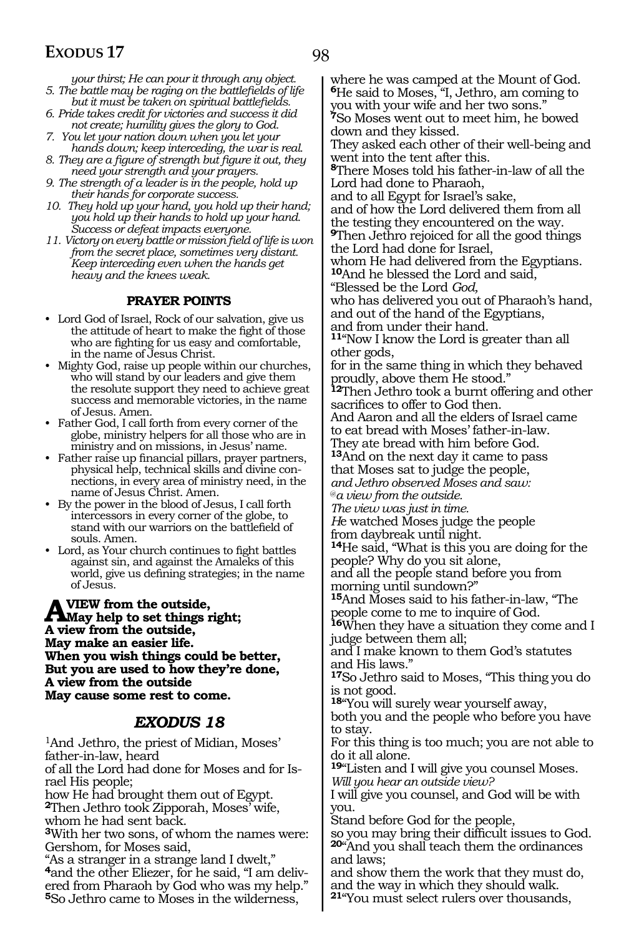98

*your thirst; He can pour it through any object. 5. The battle may be raging on the battlefields of life* 

- *but it must be taken on spiritual battlefields. 6. Pride takes credit for victories and success it did not create; humility gives the glory to God.*
- *7. You let your nation down when you let your hands down; keep interceding, the war is real.*
- *8. They are a figure of strength but figure it out, they need your strength and your prayers.*
- *9. The strength of a leader is in the people, hold up their hands for corporate success.*
- *10. They hold up your hand, you hold up their hand; you hold up their hands to hold up your hand. Success or defeat impacts everyone.*
- *11. Victory on every battle or mission field of life is won from the secret place, sometimes very distant. Keep interceding even when the hands get heavy and the knees weak.*

#### **PRAYER POINTS**

- Lord God of Israel, Rock of our salvation, give us the attitude of heart to make the fight of those who are fighting for us easy and comfortable, in the name of Jesus Christ.
- Mighty God, raise up people within our churches, who will stand by our leaders and give them the resolute support they need to achieve great success and memorable victories, in the name of Jesus. Amen.
- Father God, I call forth from every corner of the globe, ministry helpers for all those who are in ministry and on missions, in Jesus' name.
- Father raise up financial pillars, prayer partners, physical help, technical skills and divine connections, in every area of ministry need, in the name of Jesus Christ. Amen.
- By the power in the blood of Jesus, I call forth intercessors in every corner of the globe, to stand with our warriors on the battlefield of souls. Amen.
- Lord, as Your church continues to fight battles against sin, and against the Amaleks of this world, give us defining strategies; in the name of Jesus.

**A** VIEW from the outside,<br> **A** view help to set things right;<br>
A view from the outside **A view from the outside, May make an easier life. When you wish things could be better, But you are used to how they're done, A view from the outside May cause some rest to come.** 

#### *EXODUS 18*

1And Jethro, the priest of Midian, Moses' father-in-law, heard of all the Lord had done for Moses and for Israel His people; how He had brought them out of Egypt. **<sup>2</sup>**Then Jethro took Zipporah, Moses' wife, whom he had sent back. **<sup>3</sup>**With her two sons, of whom the names were: Gershom, for Moses said, "As a stranger in a strange land I dwelt," **<sup>4</sup>**and the other Eliezer, for he said, "I am deliv- ered from Pharaoh by God who was my help." **<sup>5</sup>**So Jethro came to Moses in the wilderness,

where he was camped at the Mount of God. **<sup>6</sup>**He said to Moses, "I, Jethro, am coming to you with your wife and her two sons." **<sup>7</sup>**So Moses went out to meet him, he bowed down and they kissed.

They asked each other of their well-being and went into the tent after this.

**<sup>8</sup>**There Moses told his father-in-law of all the Lord had done to Pharaoh,

and to all Egypt for Israel's sake,

and of how the Lord delivered them from all the testing they encountered on the way.

**<sup>9</sup>**Then Jethro rejoiced for all the good things the Lord had done for Israel,

whom He had delivered from the Egyptians. **<sup>10</sup>**And he blessed the Lord and said,

"Blessed be the Lord *God,*

who has delivered you out of Pharaoh's hand, and out of the hand of the Egyptians, and from under their hand.

**<sup>11</sup>**"Now I know the Lord is greater than all other gods,

for in the same thing in which they behaved proudly, above them He stood."

**<sup>12</sup>**Then Jethro took a burnt offering and other sacrifices to offer to God then.

And Aaron and all the elders of Israel came to eat bread with Moses' father-in-law.

They ate bread with him before God. **<sup>13</sup>**And on the next day it came to pass

that Moses sat to judge the people,

*and Jethro observed Moses and saw:* @*a view from the outside.*

*The view was just in time.*

*H*e watched Moses judge the people from daybreak until night.

**<sup>14</sup>**He said, "What is this you are doing for the people? Why do you sit alone,

and all the people stand before you from morning until sundown?"

**<sup>15</sup>**And Moses said to his father-in-law, "The people come to me to inquire of God.

**<sup>16</sup>**When they have a situation they come and I judge between them all;

and I make known to them God's statutes and His laws."

**<sup>17</sup>**So Jethro said to Moses, "This thing you do is not good.

**<sup>18</sup>**"You will surely wear yourself away,

both you and the people who before you have to stay.

For this thing is too much; you are not able to do it all alone.

**<sup>19</sup>**"Listen and I will give you counsel Moses. *Will you hear an outside view?*

I will give you counsel, and God will be with you.

Stand before God for the people,

so you may bring their difficult issues to God. **<sup>20</sup>**"And you shall teach them the ordinances and laws;

and show them the work that they must do, and the way in which they should walk. **<sup>21</sup>**"You must select rulers over thousands,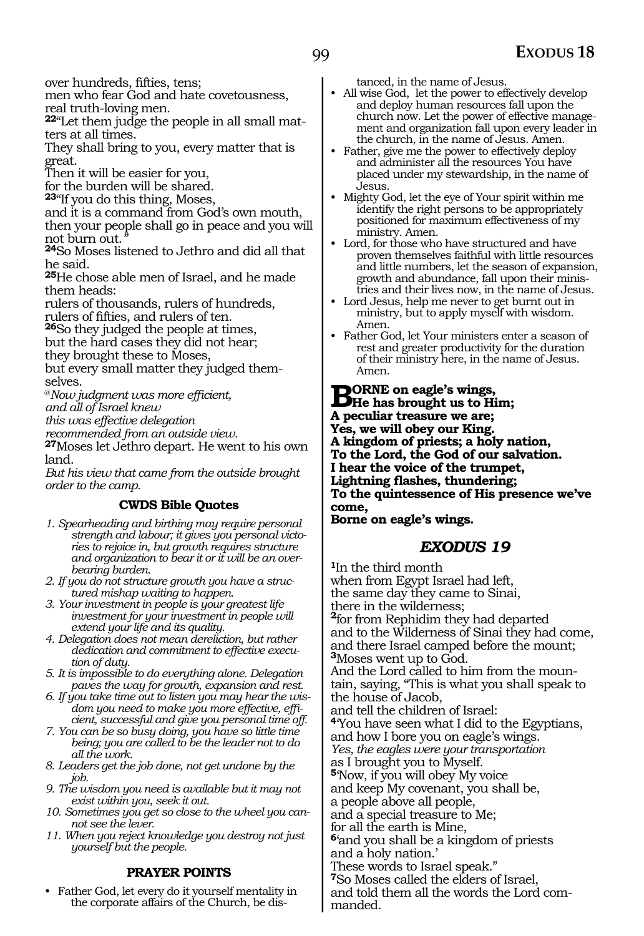over hundreds, fifties, tens;

men who fear God and hate covetousness, real truth-loving men.

**<sup>22</sup>**"Let them judge the people in all small mat- ters at all times.

They shall bring to you, every matter that is great.

Then it will be easier for you,

for the burden will be shared.

**<sup>23</sup>**"If you do this thing, Moses,

and it is a command from God's own mouth, then your people shall go in peace and you will not burn out."

<sup>24</sup>So Moses listened to Jethro and did all that he said.

**<sup>25</sup>**He chose able men of Israel, and he made them heads:

rulers of thousands, rulers of hundreds, rulers of fifties, and rulers of ten.

**<sup>26</sup>**So they judged the people at times,

but the hard cases they did not hear;

they brought these to Moses,

but every small matter they judged themselves.

@*Now judgment was more efficient, and all of Israel knew*

*this was effective delegation*

*recommended from an outside view.*

**<sup>27</sup>**Moses let Jethro depart. He went to his own land.

*But his view that came from the outside brought order to the camp.*

#### **CWDS Bible Quotes**

- *1. Spearheading and birthing may require personal strength and labour; it gives you personal victories to rejoice in, but growth requires structure and organization to bear it or it will be an overbearing burden.*
- *2. If you do not structure growth you have a structured mishap waiting to happen.*
- *3. Your investment in people is your greatest life investment for your investment in people will extend your life and its quality.*
- *4. Delegation does not mean dereliction, but rather dedication and commitment to effective execution of duty.*
- *5. It is impossible to do everything alone. Delegation paves the way for growth, expansion and rest.*
- *6. If you take time out to listen you may hear the wisdom you need to make you more effective, efficient, successful and give you personal time off.*
- *7. You can be so busy doing, you have so little time being; you are called to be the leader not to do all the work.*
- *8. Leaders get the job done, not get undone by the job.*
- *9. The wisdom you need is available but it may not exist within you, seek it out.*
- *10. Sometimes you get so close to the wheel you cannot see the lever.*
- *11. When you reject knowledge you destroy not just yourself but the people.*

#### **PRAYER POINTS**

• Father God, let every do it yourself mentality in the corporate affairs of the Church, be distanced, in the name of Jesus.

- All wise God, let the power to effectively develop and deploy human resources fall upon the church now. Let the power of effective management and organization fall upon every leader in the church, in the name of Jesus. Amen.
- Father, give me the power to effectively deploy and administer all the resources You have placed under my stewardship, in the name of Jesus.
- Mighty God, let the eye of Your spirit within me identify the right persons to be appropriately positioned for maximum effectiveness of my ministry. Amen.
- Lord, for those who have structured and have proven themselves faithful with little resources and little numbers, let the season of expansion, growth and abundance, fall upon their ministries and their lives now, in the name of Jesus.
- Lord Jesus, help me never to get burnt out in ministry, but to apply myself with wisdom. Amen.
- Father God, let Your ministers enter a season of rest and greater productivity for the duration of their ministry here, in the name of Jesus. Amen.

**BORNE** on eagle's wings,<br> **He has brought us to Him;**<br> **A meanling treasure we are: A peculiar treasure we are; Yes, we will obey our King. A kingdom of priests; a holy nation, To the Lord, the God of our salvation. I hear the voice of the trumpet, Lightning flashes, thundering; To the quintessence of His presence we've come,**

#### **Borne on eagle's wings.**

### *EXODUS 19*

**<sup>1</sup>**In the third month when from Egypt Israel had left, the same day they came to Sinai, there in the wilderness; **<sup>2</sup>**for from Rephidim they had departed and to the Wilderness of Sinai they had come, and there Israel camped before the mount; **<sup>3</sup>**Moses went up to God. And the Lord called to him from the mountain, saying, "This is what you shall speak to the house of Jacob, and tell the children of Israel: **<sup>4</sup>**'You have seen what I did to the Egyptians, and how I bore you on eagle's wings. *Yes, the eagles were your transportation* as I brought you to Myself. **<sup>5</sup>**'Now, if you will obey My voice and keep My covenant, you shall be, a people above all people, and a special treasure to Me; for all the earth is Mine, **<sup>6</sup>**'and you shall be a kingdom of priests and a holy nation.' These words to Israel speak." **<sup>7</sup>**So Moses called the elders of Israel, and told them all the words the Lord commanded.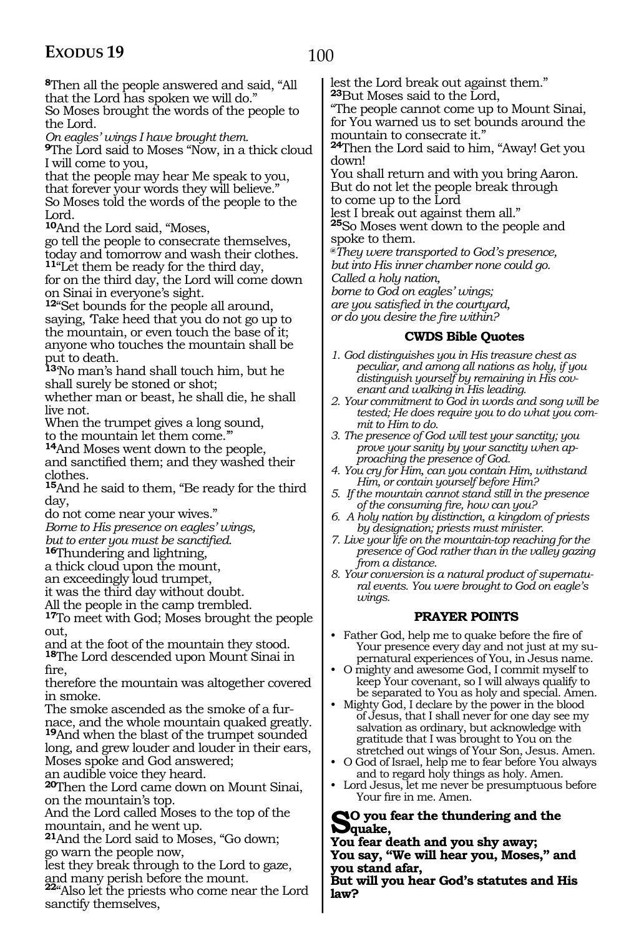100

**<sup>8</sup>**Then all the people answered and said, "All that the Lord has spoken we will do."

So Moses brought the words of the people to the Lord.

*On eagles' wings I have brought them.*

**<sup>9</sup>**The Lord said to Moses "Now, in a thick cloud I will come to you,

that the people may hear Me speak to you, that forever your words they will believe." So Moses told the words of the people to the Lord.

**<sup>10</sup>**And the Lord said, "Moses,

go tell the people to consecrate themselves, today and tomorrow and wash their clothes. **<sup>11</sup>**"Let them be ready for the third day,

for on the third day, the Lord will come down on Sinai in everyone's sight.

**<sup>12</sup>**"Set bounds for the people all around, saying, 'Take heed that you do not go up to the mountain, or even touch the base of it; anyone who touches the mountain shall be put to death.

**<sup>13</sup>**'No man's hand shall touch him, but he shall surely be stoned or shot;

whether man or beast, he shall die, he shall live not.

When the trumpet gives a long sound, to the mountain let them come.'

**<sup>14</sup>**And Moses went down to the people, and sanctified them; and they washed their clothes.

**<sup>15</sup>**And he said to them, "Be ready for the third day,

do not come near your wives."

*Borne to His presence on eagles' wings,*

*but to enter you must be sanctified.*

**<sup>16</sup>**Thundering and lightning,

a thick cloud upon the mount,

an exceedingly loud trumpet,

it was the third day without doubt.

All the people in the camp trembled.

**<sup>17</sup>**To meet with God; Moses brought the people out,

and at the foot of the mountain they stood. **<sup>18</sup>**The Lord descended upon Mount Sinai in

fire,

therefore the mountain was altogether covered in smoke.

The smoke ascended as the smoke of a furnace, and the whole mountain quaked greatly. **<sup>19</sup>**And when the blast of the trumpet sounded long, and grew louder and louder in their ears, Moses spoke and God answered;

an audible voice they heard.

**<sup>20</sup>**Then the Lord came down on Mount Sinai, on the mountain's top.

And the Lord called Moses to the top of the mountain, and he went up.

**<sup>21</sup>**And the Lord said to Moses, "Go down; go warn the people now,

lest they break through to the Lord to gaze,

and many perish before the mount. **<sup>22</sup>**"Also let the priests who come near the Lord sanctify themselves,

lest the Lord break out against them." **<sup>23</sup>**But Moses said to the Lord,

"The people cannot come up to Mount Sinai, for You warned us to set bounds around the mountain to consecrate it."

**<sup>24</sup>**Then the Lord said to him, "Away! Get you down!

You shall return and with you bring Aaron. But do not let the people break through to come up to the Lord

lest I break out against them all." **<sup>25</sup>**So Moses went down to the people and spoke to them.

**@***They were transported to God's presence, but into His inner chamber none could go. Called a holy nation,* 

*borne to God on eagles' wings; are you satisfied in the courtyard, or do you desire the fire within?*

#### **CWDS Bible Quotes**

- *1. God distinguishes you in His treasure chest as peculiar, and among all nations as holy, if you distinguish yourself by remaining in His covenant and walking in His leading.*
- *2. Your commitment to God in words and song will be tested; He does require you to do what you commit to Him to do.*
- *3. The presence of God will test your sanctity; you prove your sanity by your sanctity when approaching the presence of God.*
- *4. You cry for Him, can you contain Him, withstand Him, or contain yourself before Him?*
- *5. If the mountain cannot stand still in the presence of the consuming fire, how can you?*
- *6. A holy nation by distinction, a kingdom of priests by designation; priests must minister.*
- *7. Live your life on the mountain-top reaching for the presence of God rather than in the valley gazing from a distance.*
- *8. Your conversion is a natural product of supernatural events. You were brought to God on eagle's wings.*

#### **PRAYER POINTS**

- Father God, help me to quake before the fire of Your presence every day and not just at my supernatural experiences of You, in Jesus name.
- O mighty and awesome God, I commit myself to keep Your covenant, so I will always qualify to be separated to You as holy and special. Amen.
- Mighty God, I declare by the power in the blood of Jesus, that I shall never for one day see my salvation as ordinary, but acknowledge with gratitude that I was brought to You on the stretched out wings of Your Son, Jesus. Amen.
- O God of Israel, help me to fear before You always and to regard holy things as holy. Amen.
- Lord Jesus, let me never be presumptuous before Your fire in me. Amen.

#### **So you fear the thundering and the quake,**

**You fear death and you shy away; You say, "We will hear you, Moses," and you stand afar,**

**But will you hear God's statutes and His law?**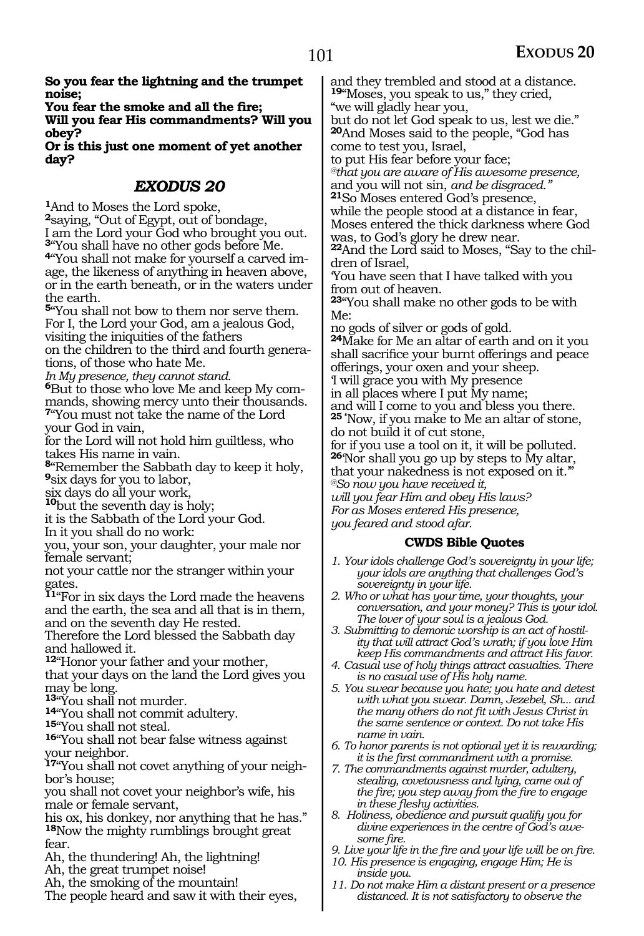**So you fear the lightning and the trumpet noise;**

**You fear the smoke and all the fire;** 

**Will you fear His commandments? Will you obey?**

**Or is this just one moment of yet another day?**

### *EXODUS 20*

**<sup>1</sup>**And to Moses the Lord spoke, **<sup>2</sup>**saying, "Out of Egypt, out of bondage, I am the Lord your God who brought you out. **<sup>3</sup>**"You shall have no other gods before Me. **4**"You shall not make for yourself a carved image, the likeness of anything in heaven above, or in the earth beneath, or in the waters under the earth.

**<sup>5</sup>**"You shall not bow to them nor serve them. For I, the Lord your God, am a jealous God, visiting the iniquities of the fathers on the children to the third and fourth genera-

tions, of those who hate Me. *In My presence, they cannot stand.*

**6**But to those who love Me and keep My commands, showing mercy unto their thousands. **<sup>7</sup>**"You must not take the name of the Lord your God in vain,

for the Lord will not hold him guiltless, who takes His name in vain.

**<sup>8</sup>**"Remember the Sabbath day to keep it holy, **<sup>9</sup>**six days for you to labor,

six days do all your work, **<sup>10</sup>**but the seventh day is holy;

it is the Sabbath of the Lord your God.

In it you shall do no work:

you, your son, your daughter, your male nor female servant;

not your cattle nor the stranger within your gates.

**<sup>11</sup>**"For in six days the Lord made the heavens and the earth, the sea and all that is in them, and on the seventh day He rested.

Therefore the Lord blessed the Sabbath day and hallowed it.

**<sup>12</sup>**"Honor your father and your mother, that your days on the land the Lord gives you

may be long.<br><sup>13</sup> You shall not murder.

**<sup>13</sup>**"You shall not murder. **<sup>14</sup>**"You shall not commit adultery. **<sup>15</sup>**"You shall not steal.

**<sup>16</sup>**"You shall not bear false witness against your neighbor.

**17**"You shall not covet anything of your neighbor's house;

you shall not covet your neighbor's wife, his male or female servant,

his ox, his donkey, nor anything that he has." **<sup>18</sup>**Now the mighty rumblings brought great fear.

Ah, the thundering! Ah, the lightning!

Ah, the great trumpet noise!

Ah, the smoking of the mountain!

The people heard and saw it with their eyes,

and they trembled and stood at a distance. **<sup>19</sup>**"Moses, you speak to us," they cried, "we will gladly hear you,

but do not let God speak to us, lest we die." **<sup>20</sup>**And Moses said to the people, "God has come to test you, Israel,

to put His fear before your face;

*@that you are aware of His awesome presence,* and you will not sin, *and be disgraced."*

**<sup>21</sup>**So Moses entered God's presence, while the people stood at a distance in fear, Moses entered the thick darkness where God was, to God's glory he drew near.

**<sup>22</sup>**And the Lord said to Moses, "Say to the chil- dren of Israel,

'You have seen that I have talked with you from out of heaven.

**<sup>23</sup>**"You shall make no other gods to be with Me:

no gods of silver or gods of gold.

**<sup>24</sup>**Make for Me an altar of earth and on it you shall sacrifice your burnt offerings and peace offerings, your oxen and your sheep. 'I will grace you with My presence

in all places where I put My name;

and will I come to you and bless you there. **25 '**Now, if you make to Me an altar of stone, do not build it of cut stone,

for if you use a tool on it, it will be polluted. **<sup>26</sup>**'Nor shall you go up by steps to My altar,

that your nakedness is not exposed on it.'"

*@So now you have received it,*

*will you fear Him and obey His laws? For as Moses entered His presence,*

*you feared and stood afar.*

#### **CWDS Bible Quotes**

- *1. Your idols challenge God's sovereignty in your life; your idols are anything that challenges God's sovereignty in your life.*
- *2. Who or what has your time, your thoughts, your conversation, and your money? This is your idol. The lover of your soul is a jealous God.*
- *3. Submitting to demonic worship is an act of hostility that will attract God's wrath; if you love Him keep His commandments and attract His favor.*
- *4. Casual use of holy things attract casualties. There is no casual use of His holy name.*
- *5. You swear because you hate; you hate and detest with what you swear. Damn, Jezebel, Sh... and the many others do not fit with Jesus Christ in the same sentence or context. Do not take His name in vain.*
- *6. To honor parents is not optional yet it is rewarding; it is the first commandment with a promise.*
- *7. The commandments against murder, adultery, stealing, covetousness and lying, came out of the fire; you step away from the fire to engage in these fleshy activities.*
- *8. Holiness, obedience and pursuit qualify you for divine experiences in the centre of God's awesome fire.*
- *9. Live your life in the fire and your life will be on fire.*
- *10. His presence is engaging, engage Him; He is inside you.*
- *11. Do not make Him a distant present or a presence distanced. It is not satisfactory to observe the*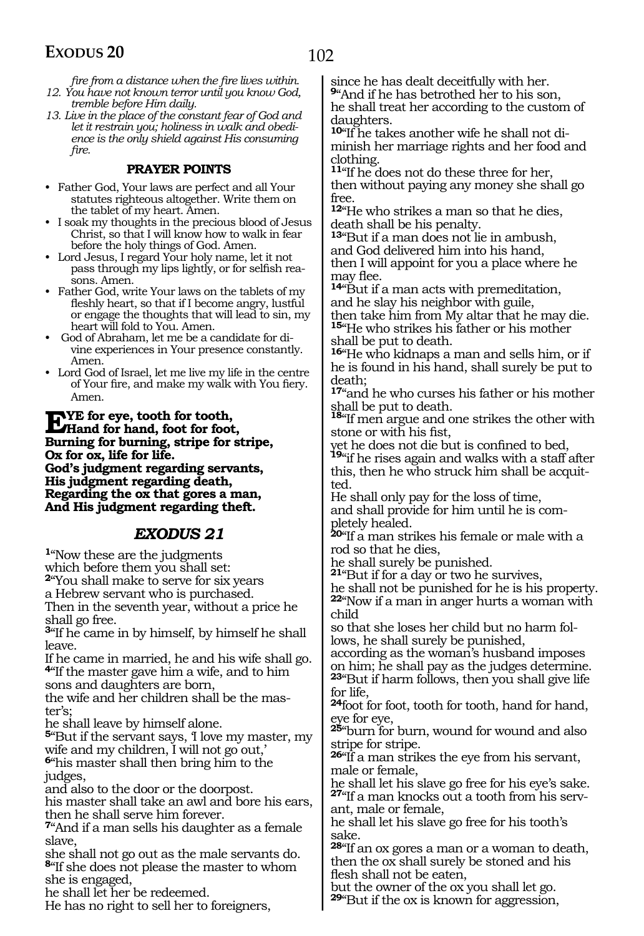*fire from a distance when the fire lives within. 12. You have not known terror until you know God,* 

*tremble before Him daily. 13. Live in the place of the constant fear of God and let it restrain you; holiness in walk and obedience is the only shield against His consuming fire.* 

#### **PRAYER POINTS**

• Father God, Your laws are perfect and all Your statutes righteous altogether. Write them on the tablet of my heart. Amen.

• I soak my thoughts in the precious blood of Jesus Christ, so that I will know how to walk in fear before the holy things of God. Amen.

• Lord Jesus, I regard Your holy name, let it not pass through my lips lightly, or for selfish reasons. Amen.

• Father God, write Your laws on the tablets of my fleshly heart, so that if I become angry, lustful or engage the thoughts that will lead to sin, my heart will fold to You. Amen.

• God of Abraham, let me be a candidate for divine experiences in Your presence constantly. Amen.

• Lord God of Israel, let me live my life in the centre of Your fire, and make my walk with You fiery. Amen.

**EVE** for eye, tooth for tooth,<br> **Hand for hand, foot for foot,**<br> **Purping for huming, strips for a Burning for burning, stripe for stripe, Ox for ox, life for life. God's judgment regarding servants, His judgment regarding death, Regarding the ox that gores a man, And His judgment regarding theft.**

#### *EXODUS 21*

**<sup>1</sup>**"Now these are the judgments

which before them you shall set:

**<sup>2</sup>**"You shall make to serve for six years

a Hebrew servant who is purchased.

Then in the seventh year, without a price he shall go free.

**<sup>3</sup>**"If he came in by himself, by himself he shall leave.

If he came in married, he and his wife shall go. **<sup>4</sup>**"If the master gave him a wife, and to him sons and daughters are born,

the wife and her children shall be the master's;

he shall leave by himself alone.

**<sup>5</sup>**"But if the servant says, 'I love my master, my wife and my children, I will not go out,'

**<sup>6</sup>**"his master shall then bring him to the judges,

and also to the door or the doorpost.

his master shall take an awl and bore his ears, then he shall serve him forever.

**<sup>7</sup>**"And if a man sells his daughter as a female slave,

she shall not go out as the male servants do. **<sup>8</sup>**"If she does not please the master to whom she is engaged,

he shall let her be redeemed.

He has no right to sell her to foreigners,

since he has dealt deceitfully with her.

**<sup>9</sup>**"And if he has betrothed her to his son, he shall treat her according to the custom of daughters.

**10**"If he takes another wife he shall not diminish her marriage rights and her food and clothing.

**<sup>11</sup>**"If he does not do these three for her, then without paying any money she shall go free.

**<sup>12</sup>**"He who strikes a man so that he dies, death shall be his penalty.

**<sup>13</sup>**"But if a man does not lie in ambush, and God delivered him into his hand, then I will appoint for you a place where he may flee.

**<sup>14</sup>**"But if a man acts with premeditation, and he slay his neighbor with guile,

then take him from My altar that he may die. **<sup>15</sup>**"He who strikes his father or his mother shall be put to death.

**<sup>16</sup>**"He who kidnaps a man and sells him, or if he is found in his hand, shall surely be put to death;

**<sup>17</sup>**"and he who curses his father or his mother

shall be put to death. **<sup>18</sup>**"If men argue and one strikes the other with stone or with his fist,

yet he does not die but is confined to bed, **<sup>19</sup>**"if he rises again and walks with a staff after this, then he who struck him shall be acquitted.

He shall only pay for the loss of time, and shall provide for him until he is completely healed.

**<sup>20</sup>**"If a man strikes his female or male with a rod so that he dies,

he shall surely be punished.

**<sup>21</sup>**"But if for a day or two he survives,

he shall not be punished for he is his property. **<sup>22</sup>**"Now if a man in anger hurts a woman with child

so that she loses her child but no harm follows, he shall surely be punished,

according as the woman's husband imposes on him; he shall pay as the judges determine. **<sup>23</sup>**"But if harm follows, then you shall give life for life,

**<sup>24</sup>**foot for foot, tooth for tooth, hand for hand, eye for eye,

**<sup>25</sup>**"burn for burn, wound for wound and also stripe for stripe.

**<sup>26</sup>**"If a man strikes the eye from his servant, male or female,

he shall let his slave go free for his eye's sake. **27**"If a man knocks out a tooth from his servant, male or female,

he shall let his slave go free for his tooth's sake.

**<sup>28</sup>**"If an ox gores a man or a woman to death, then the ox shall surely be stoned and his flesh shall not be eaten,

but the owner of the ox you shall let go. **<sup>29</sup>**"But if the ox is known for aggression,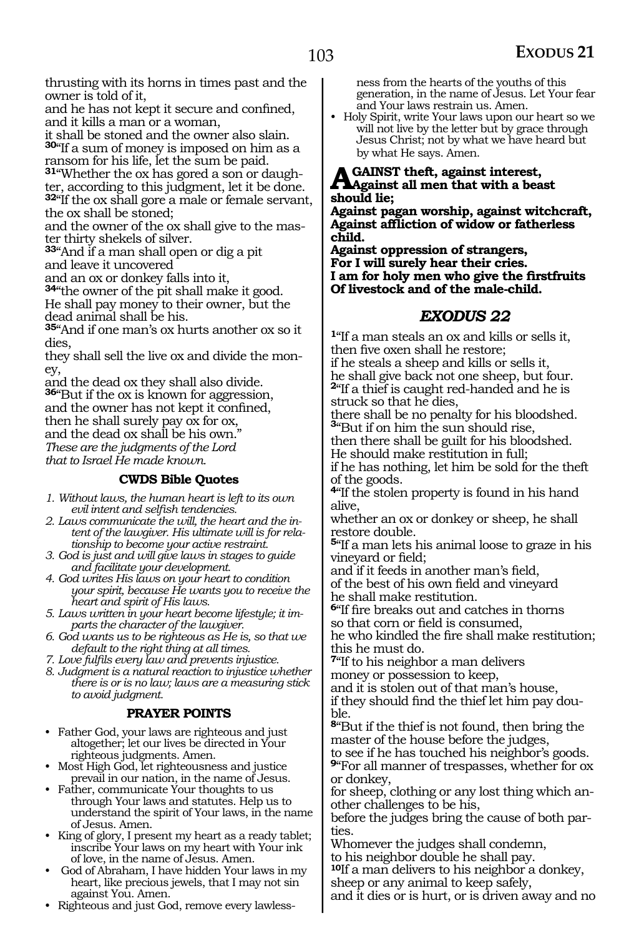thrusting with its horns in times past and the owner is told of it,

and he has not kept it secure and confined, and it kills a man or a woman,

it shall be stoned and the owner also slain. **<sup>30</sup>**"If a sum of money is imposed on him as a ransom for his life, let the sum be paid.

**31**"Whether the ox has gored a son or daughter, according to this judgment, let it be done. **<sup>32</sup>**"If the ox shall gore a male or female servant, the ox shall be stoned;

and the owner of the ox shall give to the mas- ter thirty shekels of silver.

**<sup>33</sup>**"And if a man shall open or dig a pit and leave it uncovered

and an ox or donkey falls into it,

**<sup>34</sup>**"the owner of the pit shall make it good. He shall pay money to their owner, but the dead animal shall be his.

**<sup>35</sup>**"And if one man's ox hurts another ox so it dies,

they shall sell the live ox and divide the money,

and the dead ox they shall also divide. **<sup>36</sup>**"But if the ox is known for aggression, and the owner has not kept it confined, then he shall surely pay ox for ox, and the dead ox shall be his own. *These are the judgments of the Lord that to Israel He made known.*

#### **CWDS Bible Quotes**

*1. Without laws, the human heart is left to its own evil intent and selfish tendencies.*

*2. Laws communicate the will, the heart and the intent of the lawgiver. His ultimate will is for relationship to become your active restraint.*

- *3. God is just and will give laws in stages to guide and facilitate your development.*
- *4. God writes His laws on your heart to condition your spirit, because He wants you to receive the heart and spirit of His laws.*
- *5. Laws written in your heart become lifestyle; it imparts the character of the lawgiver.*

*6. God wants us to be righteous as He is, so that we default to the right thing at all times.*

*7. Love fulfils every law and prevents injustice.*

*8. Judgment is a natural reaction to injustice whether there is or is no law; laws are a measuring stick to avoid judgment.*

#### **PRAYER POINTS**

• Father God, your laws are righteous and just altogether; let our lives be directed in Your righteous judgments. Amen.

• Most High God, let righteousness and justice prevail in our nation, in the name of Jesus.

- Father, communicate Your thoughts to us through Your laws and statutes. Help us to understand the spirit of Your laws, in the name of Jesus. Amen.
- King of glory, I present my heart as a ready tablet; inscribe Your laws on my heart with Your ink of love, in the name of Jesus. Amen.
- God of Abraham, I have hidden Your laws in my heart, like precious jewels, that I may not sin against You. Amen.
- Righteous and just God, remove every lawless-

ness from the hearts of the youths of this generation, in the name of Jesus. Let Your fear and Your laws restrain us. Amen.

• Holy Spirit, write Your laws upon our heart so we will not live by the letter but by grace through Jesus Christ; not by what we have heard but by what He says. Amen.

**Against theft, against interest, Against all men that with a beast should lie;**

**Against pagan worship, against witchcraft, Against affliction of widow or fatherless child.**

**Against oppression of strangers, For I will surely hear their cries. I am for holy men who give the firstfruits Of livestock and of the male-child.**

#### *EXODUS 22*

**<sup>1</sup>**"If a man steals an ox and kills or sells it, then five oxen shall he restore;

if he steals a sheep and kills or sells it, he shall give back not one sheep, but four. **<sup>2</sup>**"If a thief is caught red-handed and he is struck so that he dies,

there shall be no penalty for his bloodshed. **<sup>3</sup>**"But if on him the sun should rise,

then there shall be guilt for his bloodshed. He should make restitution in full;

if he has nothing, let him be sold for the theft of the goods.

**<sup>4</sup>**"If the stolen property is found in his hand alive,

whether an ox or donkey or sheep, he shall restore double.

**<sup>5</sup>**"If a man lets his animal loose to graze in his vineyard or field;

and if it feeds in another man's field, of the best of his own field and vineyard he shall make restitution.

**<sup>6</sup>**"If fire breaks out and catches in thorns so that corn or field is consumed,

he who kindled the fire shall make restitution; this he must do.

**<sup>7</sup>**"If to his neighbor a man delivers

money or possession to keep,

and it is stolen out of that man's house, if they should find the thief let him pay double.

**<sup>8</sup>**"But if the thief is not found, then bring the master of the house before the judges,

to see if he has touched his neighbor's goods. **<sup>9</sup>**"For all manner of trespasses, whether for ox or donkey,

for sheep, clothing or any lost thing which another challenges to be his,

before the judges bring the cause of both parties.

Whomever the judges shall condemn,

to his neighbor double he shall pay.

**<sup>10</sup>**If a man delivers to his neighbor a donkey, sheep or any animal to keep safely,

and it dies or is hurt, or is driven away and no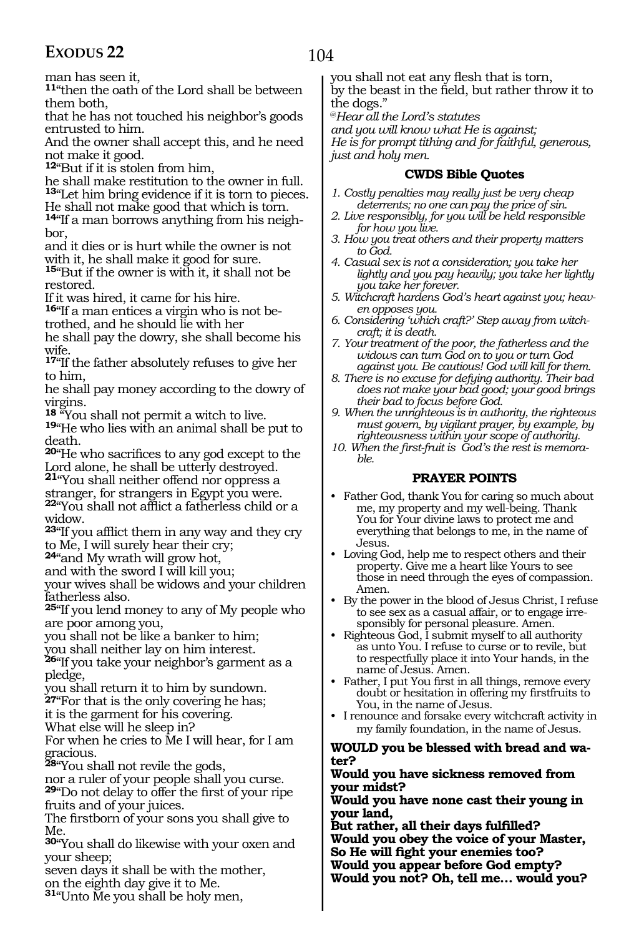man has seen it,

**<sup>11</sup>**"then the oath of the Lord shall be between them both,

that he has not touched his neighbor's goods entrusted to him.

And the owner shall accept this, and he need not make it good.

**<sup>12</sup>**"But if it is stolen from him,

he shall make restitution to the owner in full. **<sup>13</sup>**"Let him bring evidence if it is torn to pieces. He shall not make good that which is torn.

**14**"If a man borrows anything from his neighbor.

and it dies or is hurt while the owner is not with it, he shall make it good for sure.

**<sup>15</sup>**"But if the owner is with it, it shall not be restored.

If it was hired, it came for his hire.

**16**"If a man entices a virgin who is not betrothed, and he should lie with her

he shall pay the dowry, she shall become his wife.

**<sup>17</sup>**"If the father absolutely refuses to give her to him,

he shall pay money according to the dowry of

virgins.<br><sup>18</sup> "You shall not permit a witch to live.

**19** "He who lies with an animal shall be put to death.

**<sup>20</sup>**"He who sacrifices to any god except to the Lord alone, he shall be utterly destroyed.

**<sup>21</sup>**"You shall neither offend nor oppress a

stranger, for strangers in Egypt you were. **<sup>22</sup>**"You shall not afflict a fatherless child or a widow.

**<sup>23</sup>**"If you afflict them in any way and they cry to Me, I will surely hear their cry;

**<sup>24</sup>**"and My wrath will grow hot,

and with the sword I will kill you;

your wives shall be widows and your children fatherless also.

**<sup>25</sup>**"If you lend money to any of My people who are poor among you,

you shall not be like a banker to him;

you shall neither lay on him interest.

**<sup>26</sup>**"If you take your neighbor's garment as a pledge,

you shall return it to him by sundown.

**27**"For that is the only covering he has;

it is the garment for his covering.

What else will he sleep in?

For when he cries to Me I will hear, for I am gracious.

**<sup>28</sup>**"You shall not revile the gods,

nor a ruler of your people shall you curse. **<sup>29</sup>**"Do not delay to offer the first of your ripe fruits and of your juices.

The firstborn of your sons you shall give to Me.

**<sup>30</sup>**"You shall do likewise with your oxen and your sheep;

seven days it shall be with the mother, on the eighth day give it to Me.

**<sup>31</sup>**"Unto Me you shall be holy men,

you shall not eat any flesh that is torn, by the beast in the field, but rather throw it to the dogs."

@*Hear all the Lord's statutes*

*and you will know what He is against;*

*He is for prompt tithing and for faithful, generous, just and holy men.*

#### **CWDS Bible Quotes**

- *1. Costly penalties may really just be very cheap deterrents; no one can pay the price of sin.*
- *2. Live responsibly, for you will be held responsible for how you live.*
- *3. How you treat others and their property matters to God.*
- *4. Casual sex is not a consideration; you take her lightly and you pay heavily; you take her lightly you take her forever.*
- *5. Witchcraft hardens God's heart against you; heaven opposes you.*
- *6. Considering 'which craft?' Step away from witchcraft; it is death.*
- *7. Your treatment of the poor, the fatherless and the widows can turn God on to you or turn God against you. Be cautious! God will kill for them.*
- *8. There is no excuse for defying authority. Their bad does not make your bad good; your good brings their bad to focus before God.*

*9. When the unrighteous is in authority, the righteous must govern, by vigilant prayer, by example, by righteousness within your scope of authority.*

*10. When the first-fruit is God's the rest is memorable.* 

#### **PRAYER POINTS**

- Father God, thank You for caring so much about me, my property and my well-being. Thank You for Your divine laws to protect me and everything that belongs to me, in the name of Jesus.
- Loving God, help me to respect others and their property. Give me a heart like Yours to see those in need through the eyes of compassion. Amen.
- By the power in the blood of Jesus Christ, I refuse to see sex as a casual affair, or to engage irresponsibly for personal pleasure. Amen.
- Righteous God, I submit myself to all authority as unto You. I refuse to curse or to revile, but to respectfully place it into Your hands, in the name of Jesus. Amen.
- Father, I put You first in all things, remove every doubt or hesitation in offering my firstfruits to You, in the name of Jesus.
- I renounce and forsake every witchcraft activity in my family foundation, in the name of Jesus.

# **Would you be blessed with bread and wa- ter?**

#### **Would you have sickness removed from your midst?**

**Would you have none cast their young in your land,**

**But rather, all their days fulfilled? Would you obey the voice of your Master, So He will fight your enemies too? Would you appear before God empty? Would you not? Oh, tell me… would you?**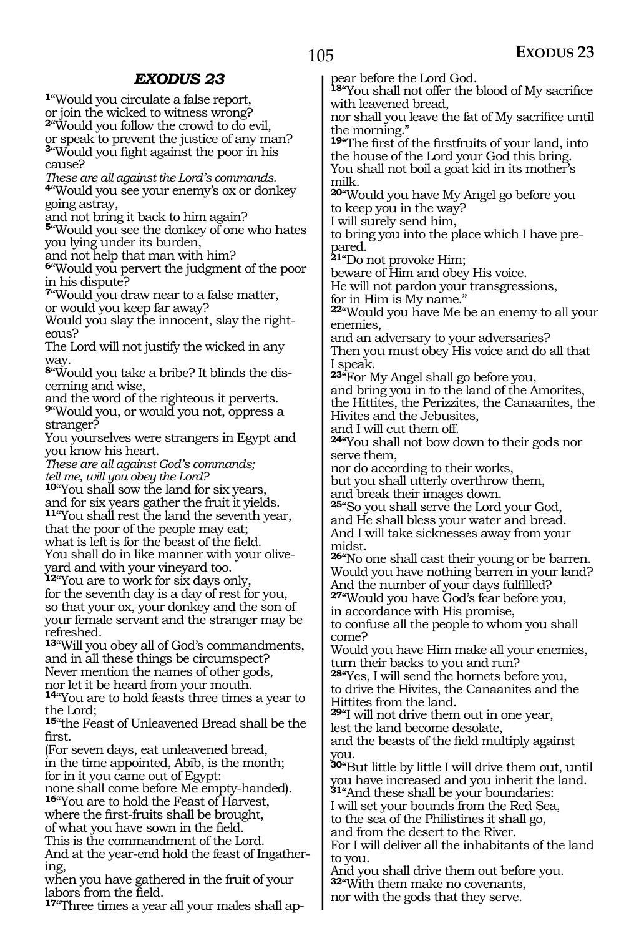**<sup>1</sup>**"Would you circulate a false report, or join the wicked to witness wrong?

**<sup>2</sup>**"Would you follow the crowd to do evil, or speak to prevent the justice of any man? **<sup>3</sup>**"Would you fight against the poor in his cause?

*These are all against the Lord's commands.* **<sup>4</sup>**"Would you see your enemy's ox or donkey going astray,

and not bring it back to him again?

**<sup>5</sup>**"Would you see the donkey of one who hates you lying under its burden,

and not help that man with him?

**<sup>6</sup>**"Would you pervert the judgment of the poor in his dispute?

**<sup>7</sup>**"Would you draw near to a false matter, or would you keep far away?

Would you slay the innocent, slay the righteous?

The Lord will not justify the wicked in any way.

**8**"Would you take a bribe? It blinds the discerning and wise,

and the word of the righteous it perverts. **<sup>9</sup>**"Would you, or would you not, oppress a

stranger?

You yourselves were strangers in Egypt and you know his heart.

*These are all against God's commands; tell me, will you obey the Lord?* 

**<sup>10</sup>**"You shall sow the land for six years, and for six years gather the fruit it yields. **<sup>11</sup>**"You shall rest the land the seventh year,

that the poor of the people may eat; what is left is for the beast of the field. You shall do in like manner with your oliveyard and with your vineyard too.

**<sup>12</sup>**"You are to work for six days only, for the seventh day is a day of rest for you, so that your ox, your donkey and the son of your female servant and the stranger may be refreshed.

**<sup>13</sup>**"Will you obey all of God's commandments, and in all these things be circumspect? Never mention the names of other gods, nor let it be heard from your mouth.

**<sup>14</sup>**"You are to hold feasts three times a year to the Lord;

**<sup>15</sup>**"the Feast of Unleavened Bread shall be the first.

(For seven days, eat unleavened bread, in the time appointed, Abib, is the month; for in it you came out of Egypt:

none shall come before Me empty-handed). **<sup>16</sup>**"You are to hold the Feast of Harvest,

where the first-fruits shall be brought, of what you have sown in the field.

This is the commandment of the Lord.

And at the year-end hold the feast of Ingathering,

when you have gathered in the fruit of your labors from the field.

**17**"Three times a year all your males shall ap-

pear before the Lord God.

**<sup>18</sup>**"You shall not offer the blood of My sacrifice with leavened bread,

nor shall you leave the fat of My sacrifice until the morning."

**<sup>19</sup>**"The first of the firstfruits of your land, into the house of the Lord your God this bring. You shall not boil a goat kid in its mother's milk.

**<sup>20</sup>**"Would you have My Angel go before you to keep you in the way?

I will surely send him,

to bring you into the place which I have prepared.

**<sup>21</sup>**"Do not provoke Him;

beware of Him and obey His voice.

He will not pardon your transgressions, for in Him is My name."

**<sup>22</sup>**"Would you have Me be an enemy to all your enemies,

and an adversary to your adversaries?

Then you must obey His voice and do all that I speak.

**<sup>23</sup>**"For My Angel shall go before you,

and bring you in to the land of the Amorites, the Hittites, the Perizzites, the Canaanites, the Hivites and the Jebusites,

and I will cut them off.

**<sup>24</sup>**"You shall not bow down to their gods nor serve them,

nor do according to their works,

but you shall utterly overthrow them,

and break their images down.

**<sup>25</sup>**"So you shall serve the Lord your God, and He shall bless your water and bread. And I will take sicknesses away from your midst.

**<sup>26</sup>**"No one shall cast their young or be barren. Would you have nothing barren in your land? And the number of your days fulfilled?

**<sup>27</sup>**"Would you have God's fear before you, in accordance with His promise,

to confuse all the people to whom you shall come?

Would you have Him make all your enemies, turn their backs to you and run?

**<sup>28</sup>**"Yes, I will send the hornets before you, to drive the Hivites, the Canaanites and the Hittites from the land.

**<sup>29</sup>**"I will not drive them out in one year, lest the land become desolate,

and the beasts of the field multiply against you.

**<sup>30</sup>**"But little by little I will drive them out, until you have increased and you inherit the land. **<sup>31</sup>**"And these shall be your boundaries:

I will set your bounds from the Red Sea, to the sea of the Philistines it shall go,

and from the desert to the River.

For I will deliver all the inhabitants of the land to you.

And you shall drive them out before you. **<sup>32</sup>**"With them make no covenants, nor with the gods that they serve.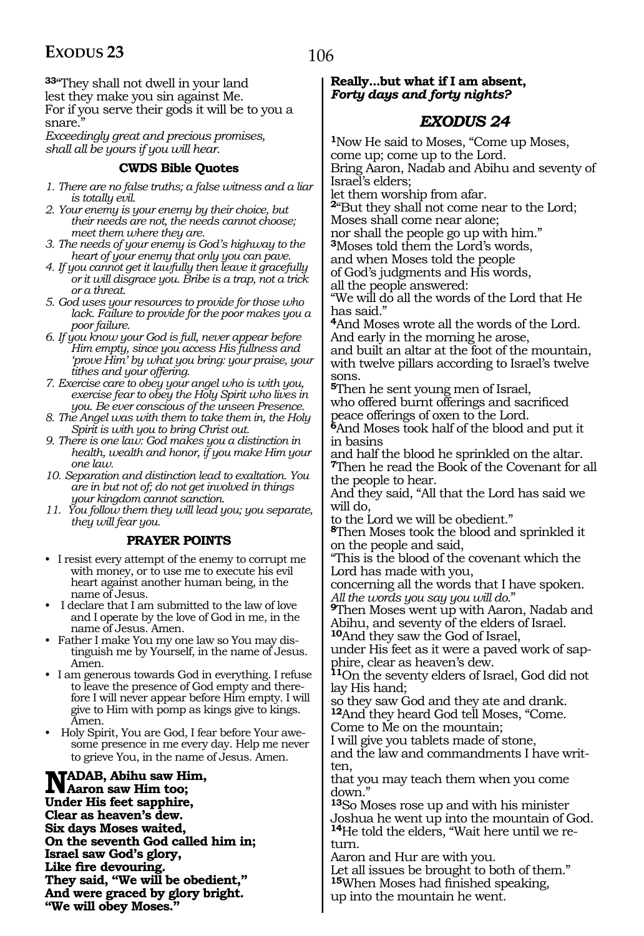**<sup>33</sup>**"They shall not dwell in your land lest they make you sin against Me. For if you serve their gods it will be to you a snare.

*Exceedingly great and precious promises, shall all be yours if you will hear.*

#### **CWDS Bible Quotes**

- *1. There are no false truths; a false witness and a liar is totally evil.*
- *2. Your enemy is your enemy by their choice, but their needs are not, the needs cannot choose; meet them where they are.*
- *3. The needs of your enemy is God's highway to the heart of your enemy that only you can pave.*
- *4. If you cannot get it lawfully then leave it gracefully or it will disgrace you. Bribe is a trap, not a trick or a threat.*
- *5. God uses your resources to provide for those who lack. Failure to provide for the poor makes you a poor failure.*
- *6. If you know your God is full, never appear before Him empty, since you access His fullness and 'prove Him' by what you bring: your praise, your tithes and your offering.*
- *7. Exercise care to obey your angel who is with you, exercise fear to obey the Holy Spirit who lives in you. Be ever conscious of the unseen Presence.*
- *8. The Angel was with them to take them in, the Holy Spirit is with you to bring Christ out.*
- *9. There is one law: God makes you a distinction in health, wealth and honor, if you make Him your one law.*
- *10. Separation and distinction lead to exaltation. You are in but not of; do not get involved in things your kingdom cannot sanction.*
- *11. You follow them they will lead you; you separate, they will fear you.*

#### **PRAYER POINTS**

- I resist every attempt of the enemy to corrupt me with money, or to use me to execute his evil heart against another human being, in the name of Jesus.
- I declare that I am submitted to the law of love and I operate by the love of God in me, in the name of Jesus. Amen.
- Father I make You my one law so You may distinguish me by Yourself, in the name of Jesus. Amen.
- I am generous towards God in everything. I refuse to leave the presence of God empty and therefore I will never appear before Him empty. I will give to Him with pomp as kings give to kings. Amen.
- Holy Spirit, You are God, I fear before Your awesome presence in me every day. Help me never to grieve You, in the name of Jesus. Amen.

**Nadab, Abihu saw Him, Aaron saw Him too; Under His feet sapphire, Clear as heaven's dew. Six days Moses waited, On the seventh God called him in; Israel saw God's glory, Like fire devouring. They said, "We will be obedient," And were graced by glory bright. "We will obey Moses."** 

#### **Really...but what if I am absent,** *Forty days and forty nights?*

### *EXODUS 24*

**<sup>1</sup>**Now He said to Moses, "Come up Moses, come up; come up to the Lord. Bring Aaron, Nadab and Abihu and seventy of Israel's elders;

let them worship from afar.

**<sup>2</sup>**"But they shall not come near to the Lord;

Moses shall come near alone; nor shall the people go up with him."

**<sup>3</sup>**Moses told them the Lord's words,

and when Moses told the people

of God's judgments and His words,

all the people answered:

"We will do all the words of the Lord that He has said.'

**<sup>4</sup>**And Moses wrote all the words of the Lord. And early in the morning he arose,

and built an altar at the foot of the mountain, with twelve pillars according to Israel's twelve sons.

**<sup>5</sup>**Then he sent young men of Israel, who offered burnt offerings and sacrificed peace offerings of oxen to the Lord.

**<sup>6</sup>**And Moses took half of the blood and put it in basins

and half the blood he sprinkled on the altar. **<sup>7</sup>**Then he read the Book of the Covenant for all the people to hear.

And they said, "All that the Lord has said we will do,

to the Lord we will be obedient."

**<sup>8</sup>**Then Moses took the blood and sprinkled it on the people and said,

"This is the blood of the covenant which the Lord has made with you,

concerning all the words that I have spoken. *All the words you say you will do*."

**<sup>9</sup>**Then Moses went up with Aaron, Nadab and Abihu, and seventy of the elders of Israel.

**<sup>10</sup>**And they saw the God of Israel,

under His feet as it were a paved work of sapphire, clear as heaven's dew.

**<sup>11</sup>**On the seventy elders of Israel, God did not lay His hand;

so they saw God and they ate and drank. **<sup>12</sup>**And they heard God tell Moses, "Come.

Come to Me on the mountain;

I will give you tablets made of stone, and the law and commandments I have written,

that you may teach them when you come down."

**<sup>13</sup>**So Moses rose up and with his minister Joshua he went up into the mountain of God. **14**He told the elders, "Wait here until we return.

Aaron and Hur are with you.

Let all issues be brought to both of them." **<sup>15</sup>**When Moses had finished speaking, up into the mountain he went.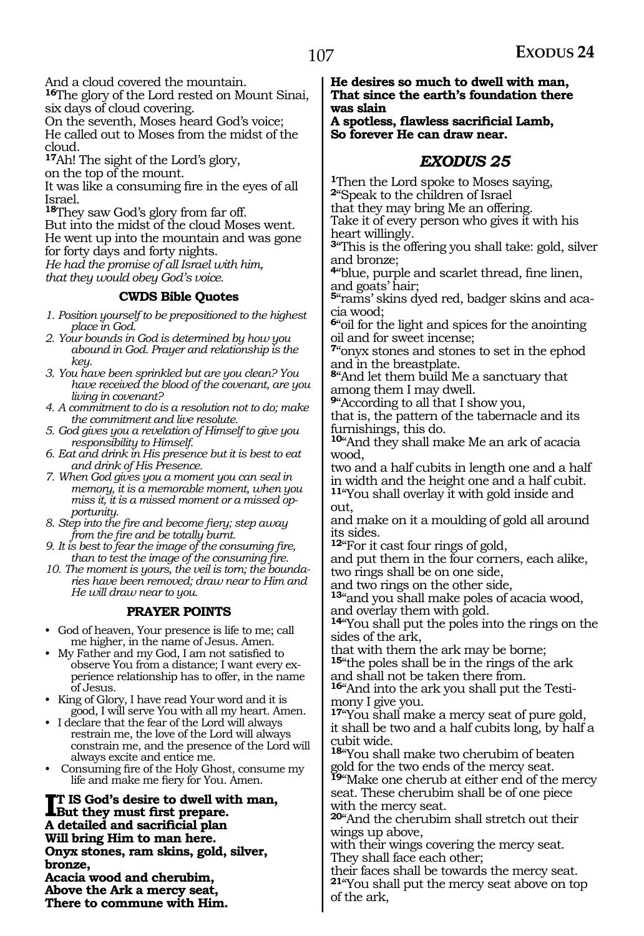And a cloud covered the mountain.

**<sup>16</sup>**The glory of the Lord rested on Mount Sinai, six days of cloud covering.

On the seventh, Moses heard God's voice; He called out to Moses from the midst of the cloud.

**<sup>17</sup>**Ah! The sight of the Lord's glory,

on the top of the mount.

It was like a consuming fire in the eyes of all Israel.

**<sup>18</sup>**They saw God's glory from far off.

But into the midst of the cloud Moses went.

He went up into the mountain and was gone for forty days and forty nights.

*He had the promise of all Israel with him, that they would obey God's voice.*

#### **CWDS Bible Quotes**

- *1. Position yourself to be prepositioned to the highest place in God.*
- *2. Your bounds in God is determined by how you abound in God. Prayer and relationship is the key.*
- *3. You have been sprinkled but are you clean? You have received the blood of the covenant, are you living in covenant?*
- *4. A commitment to do is a resolution not to do; make the commitment and live resolute.*
- *5. God gives you a revelation of Himself to give you responsibility to Himself.*
- *6. Eat and drink in His presence but it is best to eat and drink of His Presence.*
- *7. When God gives you a moment you can seal in memory, it is a memorable moment, when you miss it, it is a missed moment or a missed opportunity.*
- *8. Step into the fire and become fiery; step away from the fire and be totally burnt.*
- *9. It is best to fear the image of the consuming fire, than to test the image of the consuming fire.*
- *10. The moment is yours, the veil is torn; the boundaries have been removed; draw near to Him and He will draw near to you.*

#### **PRAYER POINTS**

- God of heaven, Your presence is life to me; call me higher, in the name of Jesus. Amen.
- My Father and my God, I am not satisfied to observe You from a distance; I want every experience relationship has to offer, in the name of Jesus.
- King of Glory, I have read Your word and it is good, I will serve You with all my heart. Amen.
- I declare that the fear of the Lord will always restrain me, the love of the Lord will always constrain me, and the presence of the Lord will always excite and entice me.
- Consuming fire of the Holy Ghost, consume my life and make me fiery for You. Amen.

**II** IS God's desire to dwell with<br>But they must first prepare. **t is God's desire to dwell with man, A detailed and sacrificial plan Will bring Him to man here. Onyx stones, ram skins, gold, silver, bronze, Acacia wood and cherubim,**

**Above the Ark a mercy seat, There to commune with Him.** **He desires so much to dwell with man, That since the earth's foundation there was slain**

**A spotless, flawless sacrificial Lamb, So forever He can draw near.**

#### *EXODUS 25*

**<sup>1</sup>**Then the Lord spoke to Moses saying, **<sup>2</sup>**"Speak to the children of Israel

that they may bring Me an offering.

Take it of every person who gives it with his heart willingly.

**<sup>3</sup>**"This is the offering you shall take: gold, silver and bronze;

**<sup>4</sup>**"blue, purple and scarlet thread, fine linen, and goats' hair;

**5**"rams' skins dyed red, badger skins and acacia wood;

**<sup>6</sup>**"oil for the light and spices for the anointing oil and for sweet incense;

**<sup>7</sup>**"onyx stones and stones to set in the ephod and in the breastplate.

**<sup>8</sup>**"And let them build Me a sanctuary that among them I may dwell.

**<sup>9</sup>**"According to all that I show you,

that is, the pattern of the tabernacle and its furnishings, this do.

**<sup>10</sup>**"And they shall make Me an ark of acacia wood,

two and a half cubits in length one and a half in width and the height one and a half cubit. **<sup>11</sup>**"You shall overlay it with gold inside and

out,

and make on it a moulding of gold all around its sides.

**<sup>12</sup>**"For it cast four rings of gold,

and put them in the four corners, each alike, two rings shall be on one side,

and two rings on the other side,

**<sup>13</sup>**"and you shall make poles of acacia wood, and overlay them with gold.

**<sup>14</sup>**"You shall put the poles into the rings on the sides of the ark,

that with them the ark may be borne;

**<sup>15</sup>**"the poles shall be in the rings of the ark and shall not be taken there from.

**16**"And into the ark you shall put the Testimony I give you.

**<sup>17</sup>**"You shall make a mercy seat of pure gold, it shall be two and a half cubits long, by half a cubit wide.

**<sup>18</sup>**"You shall make two cherubim of beaten gold for the two ends of the mercy seat.

**<sup>19</sup>**"Make one cherub at either end of the mercy seat. These cherubim shall be of one piece with the mercy seat.

**<sup>20</sup>**"And the cherubim shall stretch out their wings up above,

with their wings covering the mercy seat. They shall face each other;

their faces shall be towards the mercy seat. **<sup>21</sup>**"You shall put the mercy seat above on top of the ark,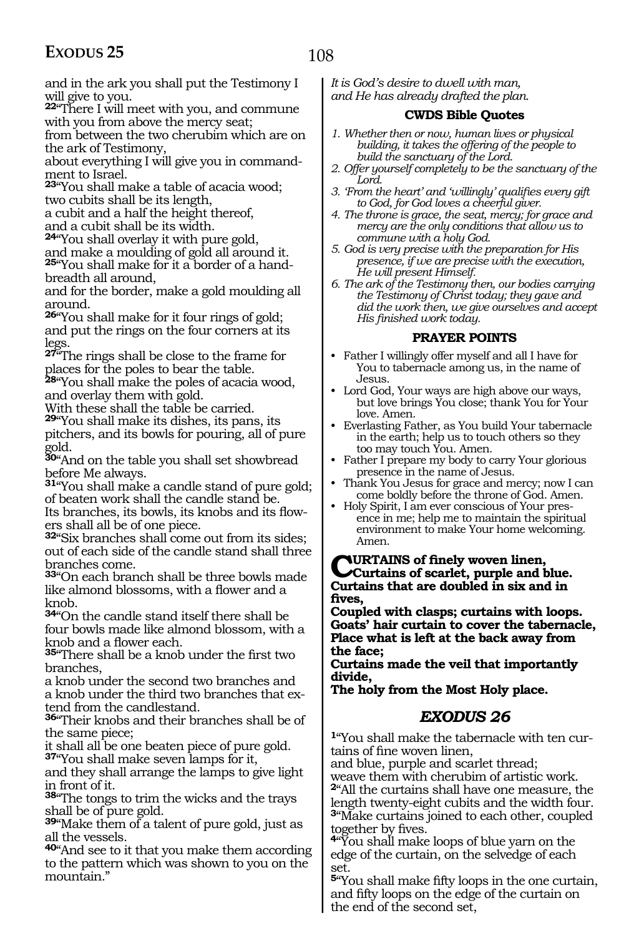and in the ark you shall put the Testimony I will give to you.

**<sup>22</sup>**"There I will meet with you, and commune with you from above the mercy seat;

from between the two cherubim which are on the ark of Testimony,

about everything I will give you in commandment to Israel.

**<sup>23</sup>**"You shall make a table of acacia wood; two cubits shall be its length,

a cubit and a half the height thereof, and a cubit shall be its width.

**<sup>24</sup>**"You shall overlay it with pure gold,

and make a moulding of gold all around it. **25**"You shall make for it a border of a handbreadth all around,

and for the border, make a gold moulding all around.

**<sup>26</sup>**"You shall make for it four rings of gold; and put the rings on the four corners at its legs.

**<sup>27</sup>**"The rings shall be close to the frame for places for the poles to bear the table.

**<sup>28</sup>**"You shall make the poles of acacia wood, and overlay them with gold.

With these shall the table be carried. **<sup>29</sup>**"You shall make its dishes, its pans, its pitchers, and its bowls for pouring, all of pure gold.

**<sup>30</sup>**"And on the table you shall set showbread before Me always.

**<sup>31</sup>**"You shall make a candle stand of pure gold; of beaten work shall the candle stand be. Its branches, its bowls, its knobs and its flow-

ers shall all be of one piece. **<sup>32</sup>**"Six branches shall come out from its sides; out of each side of the candle stand shall three branches come.

**<sup>33</sup>**"On each branch shall be three bowls made like almond blossoms, with a flower and a knob.

**<sup>34</sup>**"On the candle stand itself there shall be four bowls made like almond blossom, with a knob and a flower each.

**<sup>35</sup>**"There shall be a knob under the first two branches,

a knob under the second two branches and a knob under the third two branches that extend from the candlestand.

**<sup>36</sup>**"Their knobs and their branches shall be of the same piece;

it shall all be one beaten piece of pure gold. **<sup>37</sup>**"You shall make seven lamps for it,

and they shall arrange the lamps to give light in front of it.

**<sup>38</sup>**"The tongs to trim the wicks and the trays shall be of pure gold.

**<sup>39</sup>**"Make them of a talent of pure gold, just as all the vessels.

**<sup>40</sup>**"And see to it that you make them according to the pattern which was shown to you on the mountain."

*It is God's desire to dwell with man, and He has already drafted the plan.*

#### **CWDS Bible Quotes**

*1. Whether then or now, human lives or physical building, it takes the offering of the people to build the sanctuary of the Lord.* 

*2. Offer yourself completely to be the sanctuary of the Lord.*

*3. 'From the heart' and 'willingly' qualifies every gift to God, for God loves a cheerful giver.*

*4. The throne is grace, the seat, mercy; for grace and mercy are the only conditions that allow us to commune with a holy God.*

*5. God is very precise with the preparation for His presence, if we are precise with the execution, He will present Himself.*

*6. The ark of the Testimony then, our bodies carrying the Testimony of Christ today; they gave and did the work then, we give ourselves and accept His finished work today.* 

#### **PRAYER POINTS**

• Father I willingly offer myself and all I have for You to tabernacle among us, in the name of Jesus.

• Lord God, Your ways are high above our ways, but love brings You close; thank You for Your love. Amen.

• Everlasting Father, as You build Your tabernacle in the earth; help us to touch others so they too may touch You. Amen.

• Father I prepare my body to carry Your glorious presence in the name of Jesus.

• Thank You Jesus for grace and mercy; now I can come boldly before the throne of God. Amen.

• Holy Spirit, I am ever conscious of Your presence in me; help me to maintain the spiritual environment to make Your home welcoming. Amen.

**Curtains of finely woven linen, Curtains of scarlet, purple and blue. Curtains that are doubled in six and in fives,**

**Coupled with clasps; curtains with loops. Goats' hair curtain to cover the tabernacle, Place what is left at the back away from the face;**

**Curtains made the veil that importantly divide,**

**The holy from the Most Holy place.** 

### *EXODUS 26*

**1**"You shall make the tabernacle with ten curtains of fine woven linen,

and blue, purple and scarlet thread;

weave them with cherubim of artistic work.

**<sup>2</sup>**"All the curtains shall have one measure, the length twenty-eight cubits and the width four. **<sup>3</sup>**"Make curtains joined to each other, coupled

together by fives. **<sup>4</sup>**"You shall make loops of blue yarn on the edge of the curtain, on the selvedge of each set.

**<sup>5</sup>**"You shall make fifty loops in the one curtain, and fifty loops on the edge of the curtain on the end of the second set,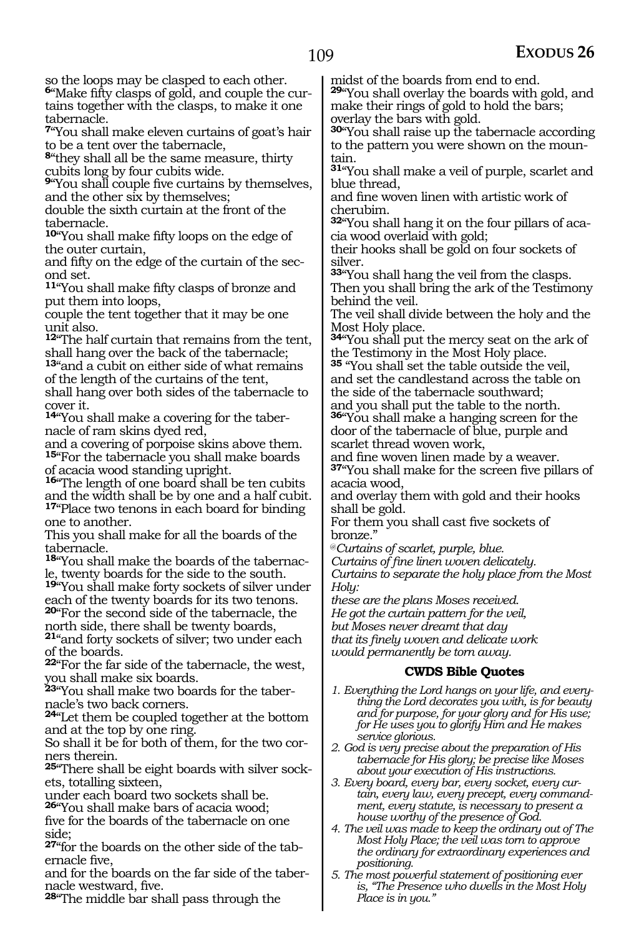so the loops may be clasped to each other.

**<sup>6</sup>**"Make fifty clasps of gold, and couple the cur- tains together with the clasps, to make it one tabernacle.

**<sup>7</sup>**"You shall make eleven curtains of goat's hair to be a tent over the tabernacle,

**<sup>8</sup>**"they shall all be the same measure, thirty cubits long by four cubits wide.

**<sup>9</sup>**"You shall couple five curtains by themselves, and the other six by themselves;

double the sixth curtain at the front of the tabernacle.

**<sup>10</sup>**"You shall make fifty loops on the edge of the outer curtain,

and fifty on the edge of the curtain of the second set.

**<sup>11</sup>**"You shall make fifty clasps of bronze and put them into loops,

couple the tent together that it may be one unit also.

**<sup>12</sup>**"The half curtain that remains from the tent, shall hang over the back of the tabernacle;

**<sup>13</sup>**"and a cubit on either side of what remains of the length of the curtains of the tent,

shall hang over both sides of the tabernacle to cover it.

**14**"You shall make a covering for the tabernacle of ram skins dyed red,

and a covering of porpoise skins above them. **<sup>15</sup>**"For the tabernacle you shall make boards of acacia wood standing upright.

**<sup>16</sup>**"The length of one board shall be ten cubits and the width shall be by one and a half cubit. **<sup>17</sup>**"Place two tenons in each board for binding one to another.

This you shall make for all the boards of the tabernacle.

**18**"You shall make the boards of the tabernacle, twenty boards for the side to the south.

**<sup>19</sup>**"You shall make forty sockets of silver under each of the twenty boards for its two tenons.

**<sup>20</sup>**"For the second side of the tabernacle, the north side, there shall be twenty boards, **<sup>21</sup>**"and forty sockets of silver; two under each

of the boards.

**<sup>22</sup>**"For the far side of the tabernacle, the west, you shall make six boards.

**23**"You shall make two boards for the tabernacle's two back corners.

**<sup>24</sup>**"Let them be coupled together at the bottom and at the top by one ring.

So shall it be for both of them, for the two corners therein.

**25**"There shall be eight boards with silver sockets, totalling sixteen,

under each board two sockets shall be.

**<sup>26</sup>**"You shall make bars of acacia wood;

five for the boards of the tabernacle on one side;

**<sup>27</sup>"for the boards on the other side of the tab-<br>ernacle five,** 

and for the boards on the far side of the taber- nacle westward, five.

**<sup>28</sup>**"The middle bar shall pass through the

midst of the boards from end to end.

**<sup>29</sup>**"You shall overlay the boards with gold, and make their rings of gold to hold the bars; overlay the bars with gold.

**<sup>30</sup>**"You shall raise up the tabernacle according to the pattern you were shown on the mountain.

**<sup>31</sup>**"You shall make a veil of purple, scarlet and blue thread,

and fine woven linen with artistic work of cherubim.

**32**"You shall hang it on the four pillars of acacia wood overlaid with gold;

their hooks shall be gold on four sockets of silver.

**<sup>33</sup>**"You shall hang the veil from the clasps. Then you shall bring the ark of the Testimony behind the veil.

The veil shall divide between the holy and the Most Holy place.

**<sup>34</sup>**"You shall put the mercy seat on the ark of the Testimony in the Most Holy place.

**<sup>35</sup>** "You shall set the table outside the veil, and set the candlestand across the table on the side of the tabernacle southward;

and you shall put the table to the north. **<sup>36</sup>**"You shall make a hanging screen for the door of the tabernacle of blue, purple and scarlet thread woven work,

and fine woven linen made by a weaver. **<sup>37</sup>**"You shall make for the screen five pillars of acacia wood,

and overlay them with gold and their hooks shall be gold.

For them you shall cast five sockets of bronze."

@*Curtains of scarlet, purple, blue.*

*Curtains of fine linen woven delicately.*

*Curtains to separate the holy place from the Most Holy:*

*these are the plans Moses received. He got the curtain pattern for the veil, but Moses never dreamt that day that its finely woven and delicate work would permanently be torn away.*

#### **CWDS Bible Quotes**

- *1. Everything the Lord hangs on your life, and everything the Lord decorates you with, is for beauty and for purpose, for your glory and for His use; for He uses you to glorify Him and He makes service glorious.*
- *2. God is very precise about the preparation of His tabernacle for His glory; be precise like Moses about your execution of His instructions.*
- *3. Every board, every bar, every socket, every curtain, every law, every precept, every commandment, every statute, is necessary to present a house worthy of the presence of God.*
- *4. The veil was made to keep the ordinary out of The Most Holy Place; the veil was torn to approve the ordinary for extraordinary experiences and positioning.*
- *5. The most powerful statement of positioning ever is, "The Presence who dwells in the Most Holy Place is in you."*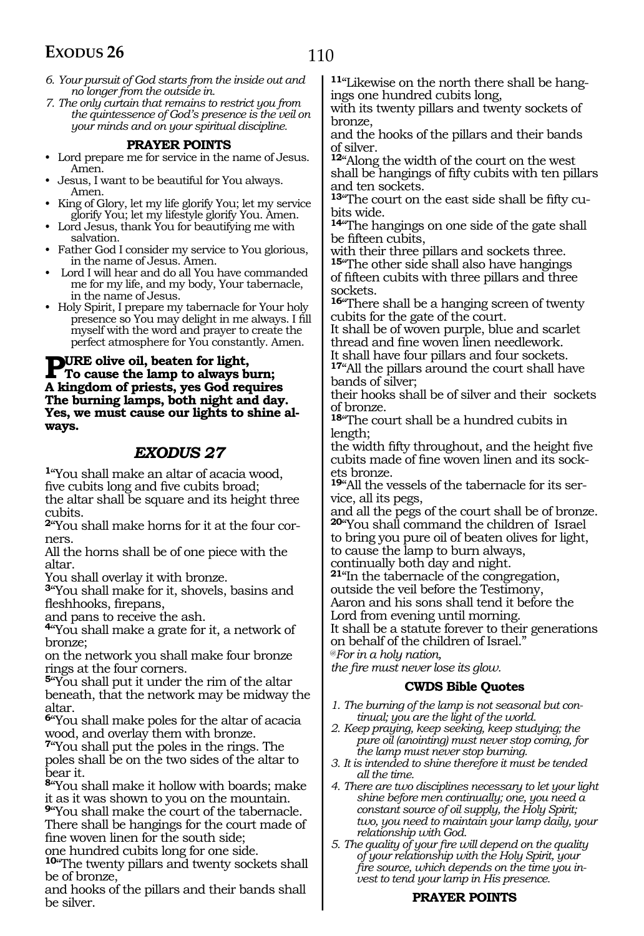- *6. Your pursuit of God starts from the inside out and no longer from the outside in.*
- *7. The only curtain that remains to restrict you from the quintessence of God's presence is the veil on your minds and on your spiritual discipline.*

- **PRAYER POINTS** Lord prepare me for service in the name of Jesus. Amen.
- Jesus, I want to be beautiful for You always. Amen.
- King of Glory, let my life glorify You; let my service glorify You; let my lifestyle glorify You. Amen.
- Lord Jesus, thank You for beautifying me with salvation.
- Father God I consider my service to You glorious, in the name of Jesus. Amen.
- Lord I will hear and do all You have commanded me for my life, and my body, Your tabernacle, in the name of Jesus.
- Holy Spirit, I prepare my tabernacle for Your holy presence so You may delight in me always. I fill myself with the word and prayer to create the perfect atmosphere for You constantly. Amen.

#### **PURE olive oil, beaten for light,<br>To cause the lamp to always burn;<br>A ligarlary of missing Cod manujus A kingdom of priests, yes God requires The burning lamps, both night and day. Yes, we must cause our lights to shine always.**

#### *EXODUS 27*

**<sup>1</sup>**"You shall make an altar of acacia wood, five cubits long and five cubits broad; the altar shall be square and its height three cubits.

**2**"You shall make horns for it at the four corners.

All the horns shall be of one piece with the altar.

You shall overlay it with bronze.

**<sup>3</sup>**"You shall make for it, shovels, basins and fleshhooks, firepans,

and pans to receive the ash.

**<sup>4</sup>**"You shall make a grate for it, a network of bronze;

on the network you shall make four bronze rings at the four corners.

**<sup>5</sup>**"You shall put it under the rim of the altar beneath, that the network may be midway the altar.

**<sup>6</sup>**"You shall make poles for the altar of acacia wood, and overlay them with bronze.

**<sup>7</sup>**"You shall put the poles in the rings. The poles shall be on the two sides of the altar to bear it.

**<sup>8</sup>**"You shall make it hollow with boards; make it as it was shown to you on the mountain.

**<sup>9</sup>**"You shall make the court of the tabernacle. There shall be hangings for the court made of fine woven linen for the south side;

one hundred cubits long for one side.

**<sup>10</sup>**"The twenty pillars and twenty sockets shall be of bronze,

and hooks of the pillars and their bands shall be silver.

**11**"Likewise on the north there shall be hangings one hundred cubits long,

with its twenty pillars and twenty sockets of bronze,

and the hooks of the pillars and their bands of silver.

**<sup>12</sup>**"Along the width of the court on the west shall be hangings of fifty cubits with ten pillars and ten sockets.

**<sup>13</sup>**"The court on the east side shall be fifty cu- bits wide.

**<sup>14</sup>**"The hangings on one side of the gate shall be fifteen cubits,

with their three pillars and sockets three. **<sup>15</sup>**"The other side shall also have hangings

of fifteen cubits with three pillars and three sockets.

**<sup>16</sup>**"There shall be a hanging screen of twenty cubits for the gate of the court.

It shall be of woven purple, blue and scarlet thread and fine woven linen needlework.

It shall have four pillars and four sockets. **<sup>17</sup>**"All the pillars around the court shall have bands of silver;

their hooks shall be of silver and their sockets of bronze.

**<sup>18</sup>**"The court shall be a hundred cubits in length;

the width fifty throughout, and the height five cubits made of fine woven linen and its sock- ets bronze.

**<sup>19</sup>**"All the vessels of the tabernacle for its ser- vice, all its pegs,

and all the pegs of the court shall be of bronze. **<sup>20</sup>**"You shall command the children of Israel

to bring you pure oil of beaten olives for light,

to cause the lamp to burn always,

continually both day and night.

**<sup>21</sup>**"In the tabernacle of the congregation,

outside the veil before the Testimony, Aaron and his sons shall tend it before the

Lord from evening until morning.

It shall be a statute forever to their generations

on behalf of the children of Israel."

@*For in a holy nation,* 

*the fire must never lose its glow.*

#### **CWDS Bible Quotes**

- *1. The burning of the lamp is not seasonal but continual; you are the light of the world.*
- *2. Keep praying, keep seeking, keep studying; the pure oil (anointing) must never stop coming, for the lamp must never stop burning.*
- *3. It is intended to shine therefore it must be tended all the time.*
- *4. There are two disciplines necessary to let your light shine before men continually; one, you need a constant source of oil supply, the Holy Spirit; two, you need to maintain your lamp daily, your relationship with God.*

*5. The quality of your fire will depend on the quality of your relationship with the Holy Spirit, your fire source, which depends on the time you invest to tend your lamp in His presence.*

#### **PRAYER POINTS**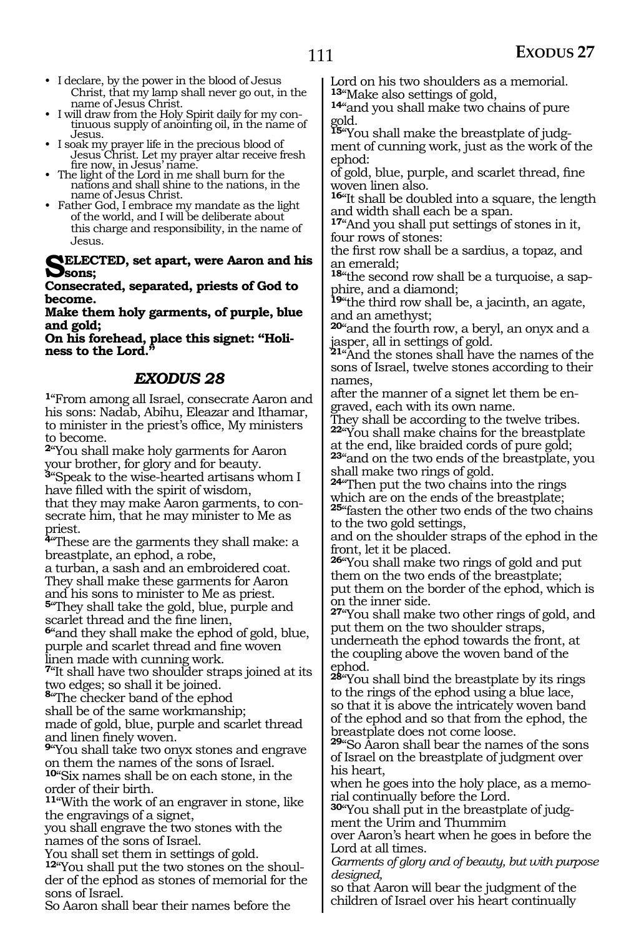- I declare, by the power in the blood of Jesus Christ, that my lamp shall never go out, in the
- I will draw from the Holy Spirit daily for my continuous supply of anointing oil, in the name of Jesus.
- Jesus. I soak my prayer life in the precious blood of Jesus Christ. Let my prayer altar receive fresh
- Fire now, in Jesus' name.<br>• The light of the Lord in me shall burn for the nations and shall shine to the nations, in the nations and shall shine to the nations, in the
- Father God, I embrace my mandate as the light of the world, and I will be deliberate about this charge and responsibility, in the name of Jesus.

**SELECTED, set apart, were Aaron and his sons;**

**Consecrated, separated, priests of God to become.**

**Make them holy garments, of purple, blue and gold;**

**On his forehead, place this signet: "Holiness to the Lord."**

#### *EXODUS 28*

**<sup>1</sup>**"From among all Israel, consecrate Aaron and his sons: Nadab, Abihu, Eleazar and Ithamar, to minister in the priest's office, My ministers to become.

**<sup>2</sup>**"You shall make holy garments for Aaron your brother, for glory and for beauty. **<sup>3</sup>**"Speak to the wise-hearted artisans whom I have filled with the spirit of wisdom, that they may make Aaron garments, to con- secrate him, that he may minister to Me as priest.

**<sup>4</sup>**"These are the garments they shall make: a breastplate, an ephod, a robe,

a turban, a sash and an embroidered coat. They shall make these garments for Aaron and his sons to minister to Me as priest. **<sup>5</sup>**"They shall take the gold, blue, purple and scarlet thread and the fine linen,

**<sup>6</sup>**"and they shall make the ephod of gold, blue, purple and scarlet thread and fine woven linen made with cunning work.

**<sup>7</sup>**"It shall have two shoulder straps joined at its two edges; so shall it be joined. **<sup>8</sup>**"The checker band of the ephod

shall be of the same workmanship;

made of gold, blue, purple and scarlet thread

<sup>9"</sup>You shall take two onyx stones and engrave on them the names of the sons of Israel. **<sup>10</sup>**"Six names shall be on each stone, in the order of their birth.

**<sup>11</sup>**"With the work of an engraver in stone, like the engravings of a signet,

you shall engrave the two stones with the names of the sons of Israel.

You shall set them in settings of gold.

**12**"You shall put the two stones on the shoulder of the ephod as stones of memorial for the sons of Israel.

So Aaron shall bear their names before the

Lord on his two shoulders as a memorial.<br><sup>13</sup> Make also settings of gold,

14" and you shall make two chains of pure gold.

**15**"You shall make the breastplate of judgment of cunning work, just as the work of the ephod:

of gold, blue, purple, and scarlet thread, fine woven linen also.

**<sup>16</sup>**"It shall be doubled into a square, the length and width shall each be a span.

**<sup>17</sup>**"And you shall put settings of stones in it, four rows of stones:

the first row shall be a sardius, a topaz, and an emerald;

**18**"the second row shall be a turquoise, a sapphire, and a diamond;

**<sup>19</sup>**"the third row shall be, a jacinth, an agate, and an amethyst;

**<sup>20</sup>**"and the fourth row, a beryl, an onyx and a jasper, all in settings of gold.

**<sup>21</sup>**"And the stones shall have the names of the sons of Israel, twelve stones according to their names,

after the manner of a signet let them be engraved, each with its own name.

They shall be according to the twelve tribes. **<sup>22</sup>**"You shall make chains for the breastplate at the end, like braided cords of pure gold;

**<sup>23</sup>**"and on the two ends of the breastplate, you shall make two rings of gold.

**<sup>24</sup>**"Then put the two chains into the rings which are on the ends of the breastplate; **<sup>25</sup>**"fasten the other two ends of the two chains to the two gold settings,

and on the shoulder straps of the ephod in the front, let it be placed.

**<sup>26</sup>**"You shall make two rings of gold and put them on the two ends of the breastplate; put them on the border of the ephod, which is on the inner side.

**<sup>27</sup>**"You shall make two other rings of gold, and put them on the two shoulder straps, underneath the ephod towards the front, at the coupling above the woven band of the ephod.

**<sup>28</sup>**"You shall bind the breastplate by its rings to the rings of the ephod using a blue lace, so that it is above the intricately woven band of the ephod and so that from the ephod, the breastplate does not come loose.

**<sup>29</sup>**"So Aaron shall bear the names of the sons of Israel on the breastplate of judgment over his heart,

when he goes into the holy place, as a memorial continually before the Lord.

**30**"You shall put in the breastplate of judgment the Urim and Thummim

over Aaron's heart when he goes in before the Lord at all times.

*Garments of glory and of beauty, but with purpose designed,*

so that Aaron will bear the judgment of the children of Israel over his heart continually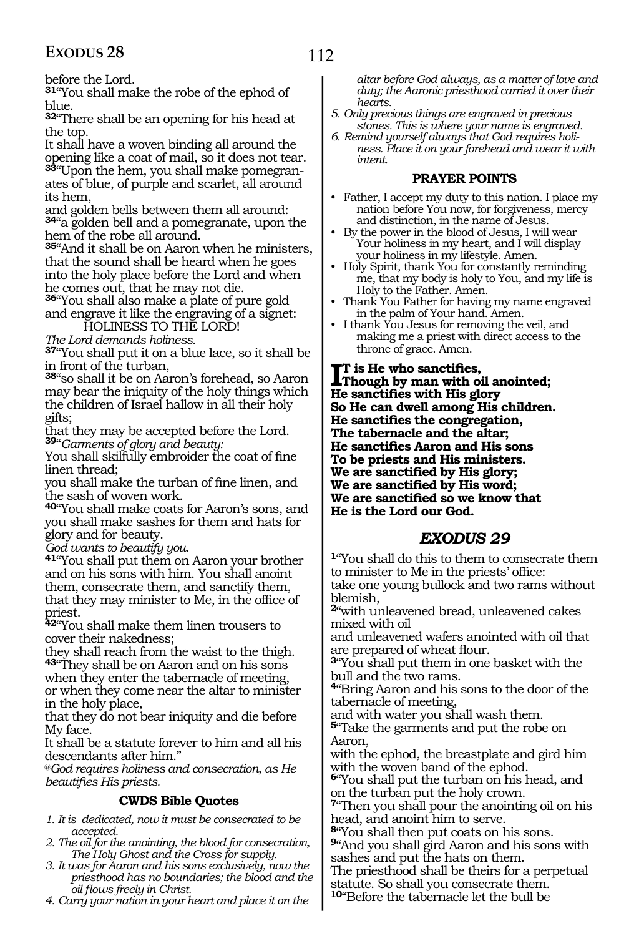before the Lord.

**<sup>31</sup>**"You shall make the robe of the ephod of blue.

**<sup>32</sup>**"There shall be an opening for his head at the top.

It shall have a woven binding all around the opening like a coat of mail, so it does not tear. **33**"Upon the hem, you shall make pomegranates of blue, of purple and scarlet, all around its hem,

and golden bells between them all around: **<sup>34</sup>**"a golden bell and a pomegranate, upon the hem of the robe all around.

**<sup>35</sup>**"And it shall be on Aaron when he ministers, that the sound shall be heard when he goes into the holy place before the Lord and when he comes out, that he may not die.

**<sup>36</sup>**"You shall also make a plate of pure gold and engrave it like the engraving of a signet:

HOLINESS TO THE LORD!

*The Lord demands holiness.*

**<sup>37</sup>**"You shall put it on a blue lace, so it shall be in front of the turban,

**<sup>38</sup>**"so shall it be on Aaron's forehead, so Aaron may bear the iniquity of the holy things which the children of Israel hallow in all their holy gifts;

that they may be accepted before the Lord. **<sup>39</sup>**"*Garments of glory and beauty:*

You shall skilfully embroider the coat of fine linen thread;

you shall make the turban of fine linen, and the sash of woven work.

**<sup>40</sup>**"You shall make coats for Aaron's sons, and you shall make sashes for them and hats for glory and for beauty.

*God wants to beautify you.* 

**<sup>41</sup>**"You shall put them on Aaron your brother and on his sons with him. You shall anoint them, consecrate them, and sanctify them, that they may minister to Me, in the office of priest.

**<sup>42</sup>**"You shall make them linen trousers to cover their nakedness;

they shall reach from the waist to the thigh. **<sup>43</sup>**"They shall be on Aaron and on his sons when they enter the tabernacle of meeting, or when they come near the altar to minister in the holy place,

that they do not bear iniquity and die before My face.

It shall be a statute forever to him and all his descendants after him."

@*God requires holiness and consecration, as He beautifies His priests.*

#### **CWDS Bible Quotes**

- *1. It is dedicated, now it must be consecrated to be accepted.*
- *2. The oil for the anointing, the blood for consecration, The Holy Ghost and the Cross for supply.*
- *3. It was for Aaron and his sons exclusively, now the priesthood has no boundaries; the blood and the oil flows freely in Christ.*
- *4. Carry your nation in your heart and place it on the*

*altar before God always, as a matter of love and duty; the Aaronic priesthood carried it over their hearts.* 

- *5. Only precious things are engraved in precious stones. This is where your name is engraved.*
- *6. Remind yourself always that God requires holiness. Place it on your forehead and wear it with intent.*

#### **PRAYER POINTS**

- Father, I accept my duty to this nation. I place my nation before You now, for forgiveness, mercy and distinction, in the name of Jesus.
- By the power in the blood of Jesus, I will wear Your holiness in my heart, and I will display your holiness in my lifestyle. Amen.
- Holy Spirit, thank You for constantly reminding me, that my body is holy to You, and my life is Holy to the Father. Amen.
- Thank You Father for having my name engraved in the palm of Your hand. Amen.
- I thank You Jesus for removing the veil, and making me a priest with direct access to the throne of grace. Amen.

**IT** is He who sanctifies,<br> **Though by man with oil**<br> **He sensitions** with His cla **Though by man with oil anointed; He sanctifies with His glory So He can dwell among His children. He sanctifies the congregation, The tabernacle and the altar; He sanctifies Aaron and His sons To be priests and His ministers. We are sanctified by His glory; We are sanctified by His word; We are sanctified so we know that He is the Lord our God.**

### *EXODUS 29*

**<sup>1</sup>**"You shall do this to them to consecrate them to minister to Me in the priests' office: take one young bullock and two rams without blemish,

**<sup>2</sup>**"with unleavened bread, unleavened cakes mixed with oil

and unleavened wafers anointed with oil that are prepared of wheat flour.

**<sup>3</sup>**"You shall put them in one basket with the bull and the two rams.

**<sup>4</sup>**"Bring Aaron and his sons to the door of the tabernacle of meeting,

and with water you shall wash them.

**<sup>5</sup>**"Take the garments and put the robe on Aaron,

with the ephod, the breastplate and gird him with the woven band of the ephod.

**<sup>6</sup>**"You shall put the turban on his head, and on the turban put the holy crown.

**<sup>7</sup>**"Then you shall pour the anointing oil on his head, and anoint him to serve.

**<sup>8</sup>**"You shall then put coats on his sons.

**<sup>9</sup>**"And you shall gird Aaron and his sons with sashes and put the hats on them.

The priesthood shall be theirs for a perpetual statute. So shall you consecrate them.

**<sup>10</sup>**"Before the tabernacle let the bull be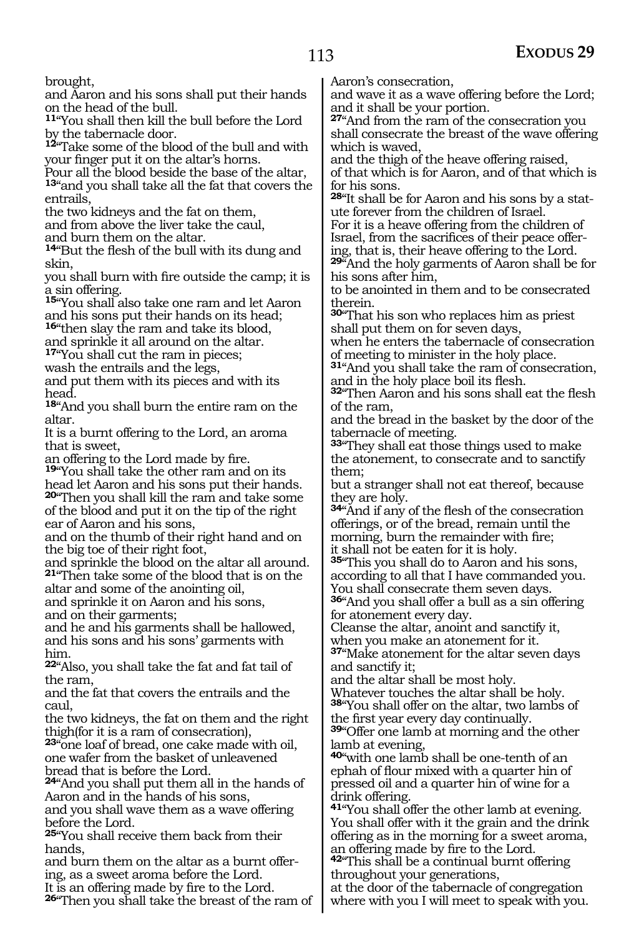brought,

and Aaron and his sons shall put their hands on the head of the bull.

**<sup>11</sup>**"You shall then kill the bull before the Lord by the tabernacle door.

**<sup>12</sup>**"Take some of the blood of the bull and with your finger put it on the altar's horns.

Pour all the blood beside the base of the altar, **<sup>13</sup>**"and you shall take all the fat that covers the entrails,

the two kidneys and the fat on them,

and from above the liver take the caul,

and burn them on the altar.

**<sup>14</sup>**"But the flesh of the bull with its dung and skin,

you shall burn with fire outside the camp; it is a sin offering.

**<sup>15</sup>**"You shall also take one ram and let Aaron and his sons put their hands on its head;

**<sup>16</sup>**"then slay the ram and take its blood, and sprinkle it all around on the altar.

**<sup>17</sup>**"You shall cut the ram in pieces;

wash the entrails and the legs,

and put them with its pieces and with its head.

**<sup>18</sup>**"And you shall burn the entire ram on the altar.

It is a burnt offering to the Lord, an aroma that is sweet,

an offering to the Lord made by fire.

**<sup>19</sup>**"You shall take the other ram and on its head let Aaron and his sons put their hands. **<sup>20</sup>**"Then you shall kill the ram and take some of the blood and put it on the tip of the right ear of Aaron and his sons,

and on the thumb of their right hand and on the big toe of their right foot,

and sprinkle the blood on the altar all around. **<sup>21</sup>**"Then take some of the blood that is on the

altar and some of the anointing oil, and sprinkle it on Aaron and his sons,

and on their garments;

and he and his garments shall be hallowed, and his sons and his sons' garments with him.

**<sup>22</sup>**"Also, you shall take the fat and fat tail of the ram,

and the fat that covers the entrails and the caul,

the two kidneys, the fat on them and the right thigh(for it is a ram of consecration),

**<sup>23</sup>**"one loaf of bread, one cake made with oil, one wafer from the basket of unleavened bread that is before the Lord.

**<sup>24</sup>**"And you shall put them all in the hands of Aaron and in the hands of his sons, and you shall wave them as a wave offering before the Lord.

**<sup>25</sup>**"You shall receive them back from their

hands,<br>and burn them on the altar as a burnt offering, as a sweet aroma before the Lord.

It is an offering made by fire to the Lord.

**<sup>26</sup>**"Then you shall take the breast of the ram of

Aaron's consecration,

and wave it as a wave offering before the Lord; and it shall be your portion.

**<sup>27</sup>**"And from the ram of the consecration you shall consecrate the breast of the wave offering which is waved,

and the thigh of the heave offering raised, of that which is for Aaron, and of that which is for his sons.

**28**"It shall be for Aaron and his sons by a statute forever from the children of Israel.

For it is a heave offering from the children of Israel, from the sacrifices of their peace offering, that is, their heave offering to the Lord.

**<sup>29</sup>**"And the holy garments of Aaron shall be for his sons after him,

to be anointed in them and to be consecrated therein.

**<sup>30</sup>**"That his son who replaces him as priest shall put them on for seven days,

when he enters the tabernacle of consecration of meeting to minister in the holy place.

**<sup>31</sup>**"And you shall take the ram of consecration, and in the holy place boil its flesh.

**<sup>32</sup>**"Then Aaron and his sons shall eat the flesh of the ram,

and the bread in the basket by the door of the tabernacle of meeting.

**<sup>33</sup>**"They shall eat those things used to make the atonement, to consecrate and to sanctify them;

but a stranger shall not eat thereof, because they are holy.

**<sup>34</sup>**"And if any of the flesh of the consecration offerings, or of the bread, remain until the morning, burn the remainder with fire;

it shall not be eaten for it is holy.

**<sup>35</sup>**"This you shall do to Aaron and his sons, according to all that I have commanded you. You shall consecrate them seven days.

**<sup>36</sup>**"And you shall offer a bull as a sin offering for atonement every day.

Cleanse the altar, anoint and sanctify it, when you make an atonement for it.

**<sup>37</sup>**"Make atonement for the altar seven days and sanctify it;

and the altar shall be most holy.

Whatever touches the altar shall be holy. **<sup>38</sup>**"You shall offer on the altar, two lambs of

39<sup>"</sup>Offer one lamb at morning and the other lamb at evening,

**<sup>40</sup>**"with one lamb shall be one-tenth of an ephah of flour mixed with a quarter hin of pressed oil and a quarter hin of wine for a drink offering.

**<sup>41</sup>**"You shall offer the other lamb at evening. You shall offer with it the grain and the drink offering as in the morning for a sweet aroma, an offering made by fire to the Lord.

**<sup>42</sup>**"This shall be a continual burnt offering throughout your generations,

at the door of the tabernacle of congregation where with you I will meet to speak with you.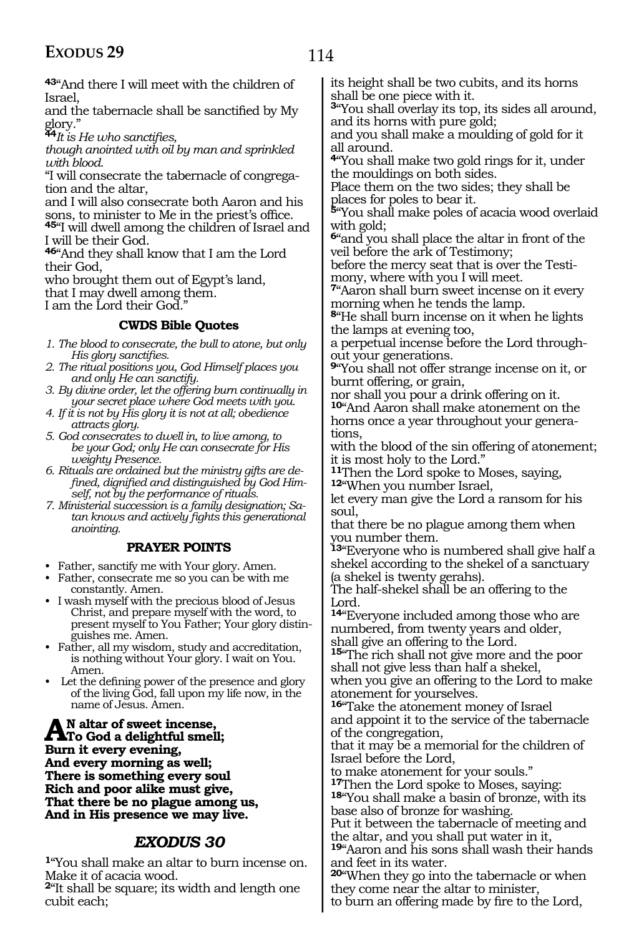**<sup>43</sup>**"And there I will meet with the children of Israel,

and the tabernacle shall be sanctified by My glory."

**<sup>44</sup>***It is He who sanctifies,* 

*though anointed with oil by man and sprinkled with blood.*

"I will consecrate the tabernacle of congregation and the altar,

and I will also consecrate both Aaron and his sons, to minister to Me in the priest's office.

**<sup>45</sup>**"I will dwell among the children of Israel and I will be their God.

**<sup>46</sup>**"And they shall know that I am the Lord their God,

who brought them out of Egypt's land, that I may dwell among them.

I am the Lord their God.

#### **CWDS Bible Quotes**

*1. The blood to consecrate, the bull to atone, but only His glory sanctifies.*

- *2. The ritual positions you, God Himself places you and only He can sanctify.*
- *3. By divine order, let the offering burn continually in your secret place where God meets with you.*
- *4. If it is not by His glory it is not at all; obedience attracts glory.*

*5. God consecrates to dwell in, to live among, to be your God; only He can consecrate for His weighty Presence.*

*6. Rituals are ordained but the ministry gifts are defined, dignified and distinguished by God Himself, not by the performance of rituals.*

*7. Ministerial succession is a family designation; Satan knows and actively fights this generational anointing.*

#### **PRAYER POINTS**

- Father, sanctify me with Your glory. Amen.
- Father, consecrate me so you can be with me constantly. Amen.
- I wash myself with the precious blood of Jesus Christ, and prepare myself with the word, to present myself to You Father; Your glory distinguishes me. Amen.
- Father, all my wisdom, study and accreditation, is nothing without Your glory. I wait on You. Amen.
- Let the defining power of the presence and glory of the living God, fall upon my life now, in the name of Jesus. Amen.

A <sup>N</sup> altar of sweet incense,<br>To God a delightful smell;<br>Purm it experiences **Burn it every evening, And every morning as well; There is something every soul Rich and poor alike must give, That there be no plague among us, And in His presence we may live.**

#### *EXODUS 30*

**<sup>1</sup>**"You shall make an altar to burn incense on. Make it of acacia wood.

**<sup>2</sup>**"It shall be square; its width and length one cubit each;

its height shall be two cubits, and its horns shall be one piece with it.

**<sup>3</sup>**"You shall overlay its top, its sides all around, and its horns with pure gold;

and you shall make a moulding of gold for it all around.

**<sup>4</sup>**"You shall make two gold rings for it, under the mouldings on both sides.

Place them on the two sides; they shall be places for poles to bear it.

**<sup>5</sup>**"You shall make poles of acacia wood overlaid with gold;

**<sup>6</sup>**"and you shall place the altar in front of the veil before the ark of Testimony;

before the mercy seat that is over the Testimony, where with you I will meet.

**<sup>7</sup>**"Aaron shall burn sweet incense on it every morning when he tends the lamp.

**<sup>8</sup>**"He shall burn incense on it when he lights the lamps at evening too,

a perpetual incense before the Lord throughout your generations.

**<sup>9</sup>**"You shall not offer strange incense on it, or burnt offering, or grain,

nor shall you pour a drink offering on it. **<sup>10</sup>**"And Aaron shall make atonement on the horns once a year throughout your generations,

with the blood of the sin offering of atonement; it is most holy to the Lord."

**<sup>11</sup>**Then the Lord spoke to Moses, saying, **<sup>12</sup>**"When you number Israel,

let every man give the Lord a ransom for his soul,

that there be no plague among them when you number them.

**<sup>13</sup>**"Everyone who is numbered shall give half a shekel according to the shekel of a sanctuary (a shekel is twenty gerahs).

The half-shekel shall be an offering to the Lord.

**<sup>14</sup>**"Everyone included among those who are numbered, from twenty years and older, shall give an offering to the Lord.

**<sup>15</sup>**"The rich shall not give more and the poor shall not give less than half a shekel, when you give an offering to the Lord to make

atonement for yourselves. **<sup>16</sup>**"Take the atonement money of Israel and appoint it to the service of the tabernacle of the congregation,

that it may be a memorial for the children of Israel before the Lord,

to make atonement for your souls."<br><sup>17</sup>Then the Lord spoke to Moses, saying:

18"You shall make a basin of bronze, with its base also of bronze for washing.

Put it between the tabernacle of meeting and the altar, and you shall put water in it,

**<sup>19</sup>**"Aaron and his sons shall wash their hands and feet in its water.

**<sup>20</sup>**"When they go into the tabernacle or when they come near the altar to minister,

to burn an offering made by fire to the Lord,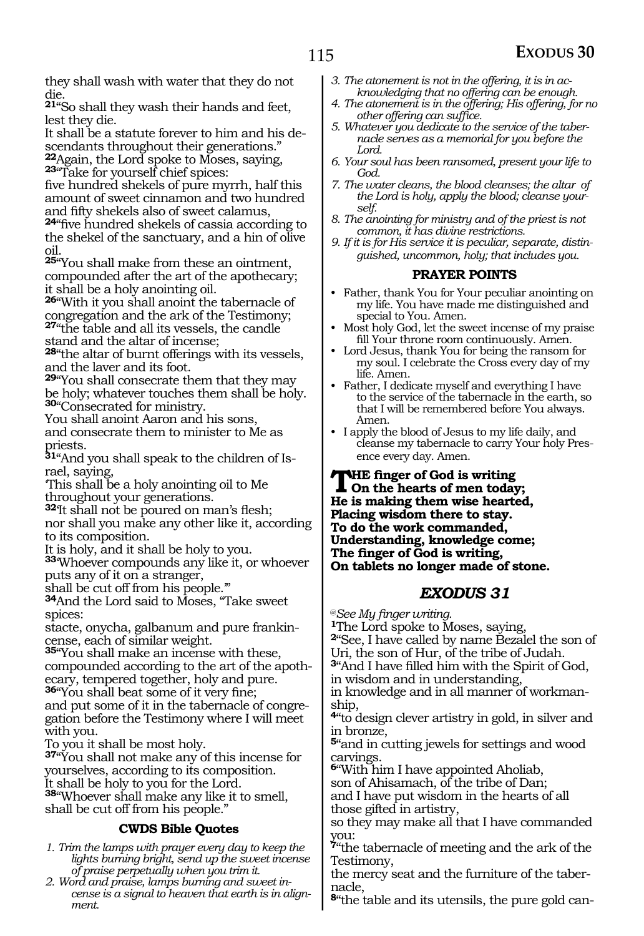they shall wash with water that they do not die.

**<sup>21</sup>**"So shall they wash their hands and feet, lest they die.

It shall be a statute forever to him and his descendants throughout their generations."

**<sup>22</sup>**Again, the Lord spoke to Moses, saying, **23**"Take for yourself chief spices:

five hundred shekels of pure myrrh, half this amount of sweet cinnamon and two hundred

**24**"five hundred shekels of cassia according to the shekel of the sanctuary, and a hin of olive oil.

**<sup>25</sup>**"You shall make from these an ointment, compounded after the art of the apothecary; it shall be a holy anointing oil.

**<sup>26</sup>**"With it you shall anoint the tabernacle of congregation and the ark of the Testimony; **<sup>27</sup>**"the table and all its vessels, the candle stand and the altar of incense;

**<sup>28</sup>**"the altar of burnt offerings with its vessels, and the laver and its foot.

**<sup>29</sup>**"You shall consecrate them that they may be holy; whatever touches them shall be holy. **<sup>30</sup>**"Consecrated for ministry.

You shall anoint Aaron and his sons, and consecrate them to minister to Me as priests.

**31**"And you shall speak to the children of Israel, saying,

'This shall be a holy anointing oil to Me throughout your generations.

**<sup>32</sup>**'It shall not be poured on man's flesh; nor shall you make any other like it, according to its composition.

It is holy, and it shall be holy to you.

**<sup>33</sup>**'Whoever compounds any like it, or whoever puts any of it on a stranger,

shall be cut off from his people.'"

**<sup>34</sup>**And the Lord said to Moses, "Take sweet spices:

stacte, onycha, galbanum and pure frankincense, each of similar weight.

**<sup>35</sup>**"You shall make an incense with these, compounded according to the art of the apothecary, tempered together, holy and pure.

**<sup>36</sup>**"You shall beat some of it very fine; and put some of it in the tabernacle of congregation before the Testimony where I will meet with you.

To you it shall be most holy.

**<sup>37</sup>**"You shall not make any of this incense for yourselves, according to its composition. It shall be holy to you for the Lord. **<sup>38</sup>**"Whoever shall make any like it to smell, shall be cut off from his people."

#### **CWDS Bible Quotes**

- *1. Trim the lamps with prayer every day to keep the lights burning bright, send up the sweet incense of praise perpetually when you trim it.*
- *2. Word and praise, lamps burning and sweet incense is a signal to heaven that earth is in alignment.*
- *3. The atonement is not in the offering, it is in acknowledging that no offering can be enough.*
- *4. The atonement is in the offering; His offering, for no other offering can suffice.*
- *5. Whatever you dedicate to the service of the tabernacle serves as a memorial for you before the Lord.*
- *6. Your soul has been ransomed, present your life to God.*
- *7. The water cleans, the blood cleanses; the altar of the Lord is holy, apply the blood; cleanse yourself.*
- *8. The anointing for ministry and of the priest is not common, it has divine restrictions.*
- *9. If it is for His service it is peculiar, separate, distinguished, uncommon, holy; that includes you.*

#### **PRAYER POINTS**

- Father, thank You for Your peculiar anointing on my life. You have made me distinguished and special to You. Amen.
- Most holy God, let the sweet incense of my praise fill Your throne room continuously. Amen.
- Lord Jesus, thank You for being the ransom for my soul. I celebrate the Cross every day of my life. Amen.
- Father, I dedicate myself and everything I have to the service of the tabernacle in the earth, so that I will be remembered before You always. Amen.
- I apply the blood of Jesus to my life daily, and cleanse my tabernacle to carry Your holy Presence every day. Amen.

#### **THE finger of God is writing**<br>On the hearts of men today;<br>He is median them wise hearts **He is making them wise hearted, Placing wisdom there to stay. To do the work commanded, Understanding, knowledge come; The finger of God is writing, On tablets no longer made of stone.**

### *EXODUS 31*

@*See My finger writing.*

**<sup>1</sup>**The Lord spoke to Moses, saying,

**<sup>2</sup>**"See, I have called by name Bezalel the son of Uri, the son of Hur, of the tribe of Judah.

**<sup>3</sup>**"And I have filled him with the Spirit of God,

in wisdom and in understanding,

in knowledge and in all manner of workmanship,

**<sup>4</sup>**"to design clever artistry in gold, in silver and in bronze,

**<sup>5</sup>**"and in cutting jewels for settings and wood carvings.

**<sup>6</sup>**"With him I have appointed Aholiab,

son of Ahisamach, of the tribe of Dan; and I have put wisdom in the hearts of all

those gifted in artistry,

so they may make all that I have commanded you:

**<sup>7</sup>**"the tabernacle of meeting and the ark of the Testimony,

the mercy seat and the furniture of the taber- nacle,

**8**"the table and its utensils, the pure gold can-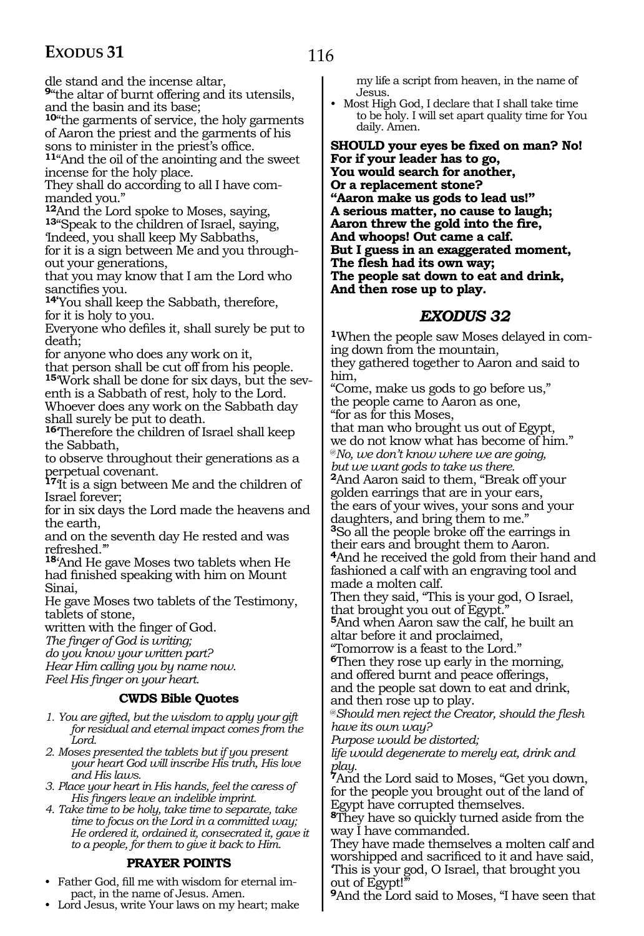116

dle stand and the incense altar,

**<sup>9</sup>**"the altar of burnt offering and its utensils, and the basin and its base;

**<sup>10</sup>**"the garments of service, the holy garments of Aaron the priest and the garments of his

1<sup>1</sup>"And the oil of the anointing and the sweet incense for the holy place.

They shall do according to all I have commanded you."

**<sup>12</sup>**And the Lord spoke to Moses, saying, **<sup>13</sup>**"Speak to the children of Israel, saying, 'Indeed, you shall keep My Sabbaths, for it is a sign between Me and you throughout your generations,

that you may know that I am the Lord who

14<sup>'</sup>You shall keep the Sabbath, therefore, for it is holy to you.

Everyone who defiles it, shall surely be put to death;

for anyone who does any work on it, that person shall be cut off from his people. **15**'Work shall be done for six days, but the sev-

enth is a Sabbath of rest, holy to the Lord. Whoever does any work on the Sabbath day shall surely be put to death.

**<sup>16</sup>**'Therefore the children of Israel shall keep the Sabbath,

to observe throughout their generations as a perpetual covenant.

**<sup>17</sup>**'It is a sign between Me and the children of Israel forever;

for in six days the Lord made the heavens and the earth,

and on the seventh day He rested and was refreshed.'"

**<sup>18</sup>**'And He gave Moses two tablets when He had finished speaking with him on Mount Sinai,

He gave Moses two tablets of the Testimony, tablets of stone,

written with the finger of God.

*The finger of God is writing;*

*do you know your written part?*

*Hear Him calling you by name now. Feel His finger on your heart.*

#### **CWDS Bible Quotes**

*1. You are gifted, but the wisdom to apply your gift for residual and eternal impact comes from the Lord.*

*2. Moses presented the tablets but if you present your heart God will inscribe His truth, His love and His laws.*

*3. Place your heart in His hands, feel the caress of His fingers leave an indelible imprint.*

*4. Take time to be holy, take time to separate, take time to focus on the Lord in a committed way; He ordered it, ordained it, consecrated it, gave it to a people, for them to give it back to Him.*

#### **PRAYER POINTS**

• Father God, fill me with wisdom for eternal impact, in the name of Jesus. Amen.

• Lord Jesus, write Your laws on my heart; make

my life a script from heaven, in the name of Jesus.

• Most High God, I declare that I shall take time to be holy. I will set apart quality time for You daily. Amen.

**Should your eyes be fixed on man? No! For if your leader has to go, You would search for another, Or a replacement stone? "Aaron make us gods to lead us!" A serious matter, no cause to laugh; Aaron threw the gold into the fire, And whoops! Out came a calf. But I guess in an exaggerated moment, The flesh had its own way; The people sat down to eat and drink, And then rose up to play.**

#### *EXODUS 32*

**1**When the people saw Moses delayed in coming down from the mountain, they gathered together to Aaron and said to him, "Come, make us gods to go before us,"

the people came to Aaron as one, "for as for this Moses,

that man who brought us out of Egypt, we do not know what has become of him." @*No, we don't know where we are going, but we want gods to take us there.*

**<sup>2</sup>**And Aaron said to them, "Break off your golden earrings that are in your ears, the ears of your wives, your sons and your daughters, and bring them to me." **<sup>3</sup>**So all the people broke off the earrings in their ears and brought them to Aaron.

**<sup>4</sup>**And he received the gold from their hand and fashioned a calf with an engraving tool and made a molten calf.

Then they said, "This is your god, O Israel, that brought you out of Egypt."

**<sup>5</sup>**And when Aaron saw the calf, he built an altar before it and proclaimed,

"Tomorrow is a feast to the Lord."

**<sup>6</sup>**Then they rose up early in the morning, and offered burnt and peace offerings, and the people sat down to eat and drink,

and then rose up to play.

@*Should men reject the Creator, should the flesh have its own way?*

*Purpose would be distorted;*

*life would degenerate to merely eat, drink and play.*

**<sup>7</sup>**And the Lord said to Moses, "Get you down, for the people you brought out of the land of Egypt have corrupted themselves.

**<sup>8</sup>**They have so quickly turned aside from the way I have commanded.

They have made themselves a molten calf and worshipped and sacrificed to it and have said, 'This is your god, O Israel, that brought you out of Egypt!

**<sup>9</sup>**And the Lord said to Moses, "I have seen that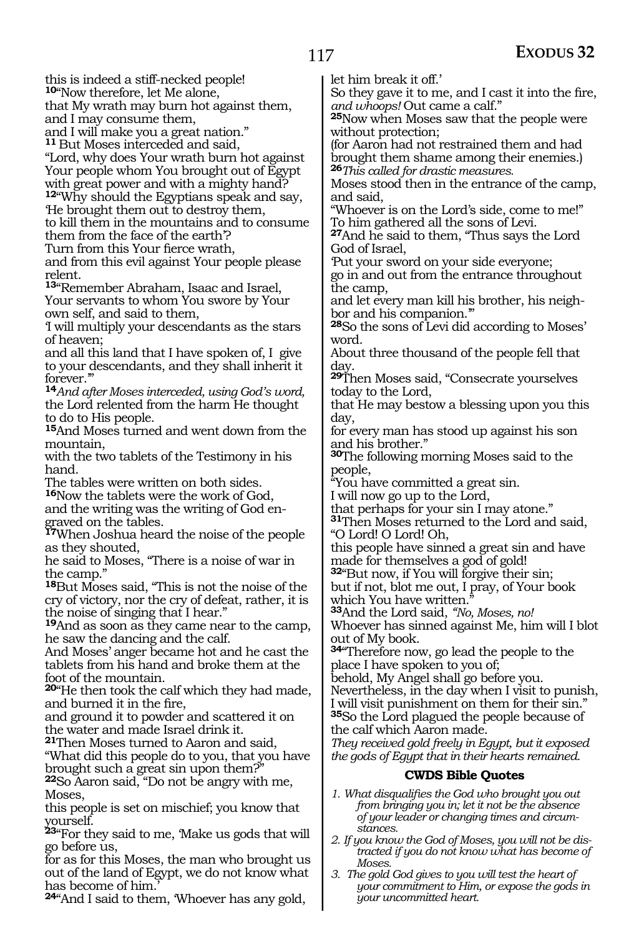this is indeed a stiff-necked people!

**<sup>10</sup>**"Now therefore, let Me alone,

that My wrath may burn hot against them,

and I may consume them,

and I will make you a great nation."

**<sup>11</sup>**But Moses interceded and said, "Lord, why does Your wrath burn hot against Your people whom You brought out of Egypt with great power and with a mighty hand?

**<sup>12</sup>**"Why should the Egyptians speak and say, 'He brought them out to destroy them, to kill them in the mountains and to consume

them from the face of the earth'?

Turn from this Your fierce wrath,

and from this evil against Your people please relent.

**<sup>13</sup>**"Remember Abraham, Isaac and Israel, Your servants to whom You swore by Your own self, and said to them,

'I will multiply your descendants as the stars of heaven;

and all this land that I have spoken of, I give to your descendants, and they shall inherit it forever."

**<sup>14</sup>***And after Moses interceded, using God's word,* the Lord relented from the harm He thought to do to His people.

**<sup>15</sup>**And Moses turned and went down from the mountain,

with the two tablets of the Testimony in his hand.

The tables were written on both sides.

**<sup>16</sup>**Now the tablets were the work of God, and the writing was the writing of God engraved on the tables.

**<sup>17</sup>**When Joshua heard the noise of the people as they shouted,

he said to Moses, "There is a noise of war in the camp."

**<sup>18</sup>**But Moses said, "This is not the noise of the cry of victory, nor the cry of defeat, rather, it is the noise of singing that I hear."

**<sup>19</sup>**And as soon as they came near to the camp, he saw the dancing and the calf.

And Moses' anger became hot and he cast the tablets from his hand and broke them at the foot of the mountain.

**<sup>20</sup>**"He then took the calf which they had made, and burned it in the fire,

and ground it to powder and scattered it on the water and made Israel drink it.

**<sup>21</sup>**Then Moses turned to Aaron and said,

"What did this people do to you, that you have brought such a great sin upon them?"

**<sup>22</sup>**So Aaron said, "Do not be angry with me, Moses,

this people is set on mischief; you know that yourself.

**<sup>23</sup>**"For they said to me, 'Make us gods that will go before us,

for as for this Moses, the man who brought us out of the land of Egypt, we do not know what has become of him.

**<sup>24</sup>**"And I said to them, 'Whoever has any gold,

let him break it off.'

So they gave it to me, and I cast it into the fire, *and whoops!* Out came a calf."

**<sup>25</sup>**Now when Moses saw that the people were without protection;

(for Aaron had not restrained them and had brought them shame among their enemies.) **<sup>26</sup>***This called for drastic measures.*

Moses stood then in the entrance of the camp, and said,

"Whoever is on the Lord's side, come to me!" To him gathered all the sons of Levi.

**<sup>27</sup>**And he said to them, "Thus says the Lord God of Israel,

'Put your sword on your side everyone; go in and out from the entrance throughout the camp,

and let every man kill his brother, his neighbor and his companion.'"

**<sup>28</sup>**So the sons of Levi did according to Moses' word.

About three thousand of the people fell that day.

**<sup>29</sup>**Then Moses said, "Consecrate yourselves today to the Lord,

that He may bestow a blessing upon you this day,

for every man has stood up against his son and his brother."

**<sup>30</sup>**The following morning Moses said to the people,

"You have committed a great sin.

I will now go up to the Lord,

that perhaps for your sin I may atone."

**<sup>31</sup>**Then Moses returned to the Lord and said, "O Lord! O Lord! Oh,

this people have sinned a great sin and have made for themselves a god of gold!

**<sup>32</sup>**"But now, if You will forgive their sin; but if not, blot me out, I pray, of Your book which You have written.<sup>"</sup>

**<sup>33</sup>**And the Lord said, *"No, Moses, no!* Whoever has sinned against Me, him will I blot out of My book.

**<sup>34</sup>**"Therefore now, go lead the people to the place I have spoken to you of;

behold, My Angel shall go before you. Nevertheless, in the day when I visit to punish, I will visit punishment on them for their sin." **<sup>35</sup>**So the Lord plagued the people because of

the calf which Aaron made.

*They received gold freely in Egypt, but it exposed the gods of Egypt that in their hearts remained.*

#### **CWDS Bible Quotes**

- *1. What disqualifies the God who brought you out from bringing you in; let it not be the absence of your leader or changing times and circumstances.*
- *2. If you know the God of Moses, you will not be distracted if you do not know what has become of Moses.*
- *3. The gold God gives to you will test the heart of your commitment to Him, or expose the gods in your uncommitted heart.*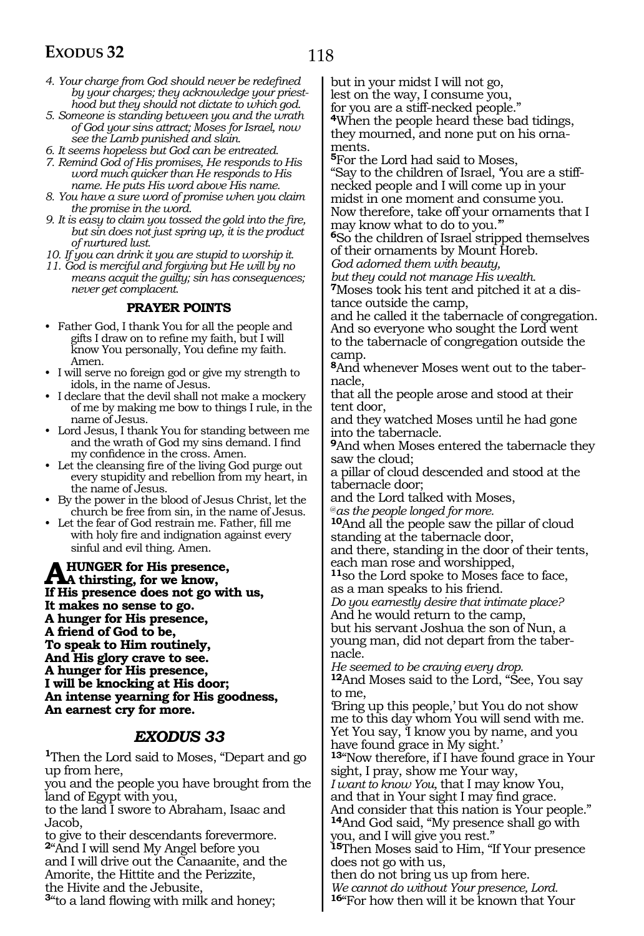- 118
- *4. Your charge from God should never be redefined by your charges; they acknowledge your priesthood but they should not dictate to which god.*
- *5. Someone is standing between you and the wrath of God your sins attract; Moses for Israel, now see the Lamb punished and slain.*
- *6. It seems hopeless but God can be entreated.*
- *7. Remind God of His promises, He responds to His word much quicker than He responds to His name. He puts His word above His name.*
- *8. You have a sure word of promise when you claim the promise in the word.*
- *9. It is easy to claim you tossed the gold into the fire, but sin does not just spring up, it is the product of nurtured lust.*
- *10. If you can drink it you are stupid to worship it.*
- *11. God is merciful and forgiving but He will by no means acquit the guilty; sin has consequences; never get complacent.*

#### **PRAYER POINTS**

- Father God, I thank You for all the people and gifts I draw on to refine my faith, but I will know You personally, You define my faith. Amen.
- I will serve no foreign god or give my strength to idols, in the name of Jesus.
- I declare that the devil shall not make a mockery of me by making me bow to things I rule, in the name of Jesus.
- Lord Jesus, I thank You for standing between me and the wrath of God my sins demand. I find my confidence in the cross. Amen.
- Let the cleansing fire of the living God purge out every stupidity and rebellion from my heart, in the name of Jesus.
- By the power in the blood of Jesus Christ, let the church be free from sin, in the name of Jesus.
- Let the fear of God restrain me. Father, fill me with holy fire and indignation against every sinful and evil thing. Amen.

A HUNGER for His presence,<br> **A thirsting, for we know,**<br> **K** His presence deep not go wit **If His presence does not go with us, It makes no sense to go. A hunger for His presence, A friend of God to be, To speak to Him routinely, And His glory crave to see. A hunger for His presence, I will be knocking at His door; An intense yearning for His goodness, An earnest cry for more.**

#### *EXODUS 33*

**<sup>1</sup>**Then the Lord said to Moses, "Depart and go up from here,

you and the people you have brought from the land of Egypt with you,

to the land I swore to Abraham, Isaac and Jacob,

to give to their descendants forevermore. **<sup>2</sup>**"And I will send My Angel before you and I will drive out the Canaanite, and the Amorite, the Hittite and the Perizzite, the Hivite and the Jebusite, **<sup>3</sup>**"to a land flowing with milk and honey;

but in your midst I will not go,

lest on the way, I consume you,

for you are a stiff-necked people."

**<sup>4</sup>**When the people heard these bad tidings, they mourned, and none put on his ornaments.

**<sup>5</sup>**For the Lord had said to Moses,

"Say to the children of Israel, 'You are a stiffnecked people and I will come up in your midst in one moment and consume you. Now therefore, take off your ornaments that I

may know what to do to you.'" **<sup>6</sup>**So the children of Israel stripped themselves of their ornaments by Mount Horeb.

*God adorned them with beauty,* 

*but they could not manage His wealth.*

**7**Moses took his tent and pitched it at a distance outside the camp,

and he called it the tabernacle of congregation. And so everyone who sought the Lord went to the tabernacle of congregation outside the camp.

**8**And whenever Moses went out to the tabernacle,

that all the people arose and stood at their tent door,

and they watched Moses until he had gone into the tabernacle.

**<sup>9</sup>**And when Moses entered the tabernacle they saw the cloud;

a pillar of cloud descended and stood at the tabernacle door;

and the Lord talked with Moses,

@*as the people longed for more.* **<sup>10</sup>**And all the people saw the pillar of cloud standing at the tabernacle door,

and there, standing in the door of their tents, each man rose and worshipped,

**<sup>11</sup>**so the Lord spoke to Moses face to face, as a man speaks to his friend.

*Do you earnestly desire that intimate place?* And he would return to the camp,

but his servant Joshua the son of Nun, a young man, did not depart from the tabernacle.

*He seemed to be craving every drop.*

**<sup>12</sup>**And Moses said to the Lord, "See, You say to me,

'Bring up this people,' but You do not show me to this day whom You will send with me. Yet You say, 'I know you by name, and you have found grace in My sight.'

**<sup>13</sup>**"Now therefore, if I have found grace in Your sight, I pray, show me Your way,

*I want to know You,* that I may know You, and that in Your sight I may find grace. And consider that this nation is Your people." **<sup>14</sup>**And God said, "My presence shall go with

you, and I will give you rest."

**<sup>15</sup>**Then Moses said to Him, "If Your presence does not go with us,

then do not bring us up from here. *We cannot do without Your presence, Lord.* **<sup>16</sup>**"For how then will it be known that Your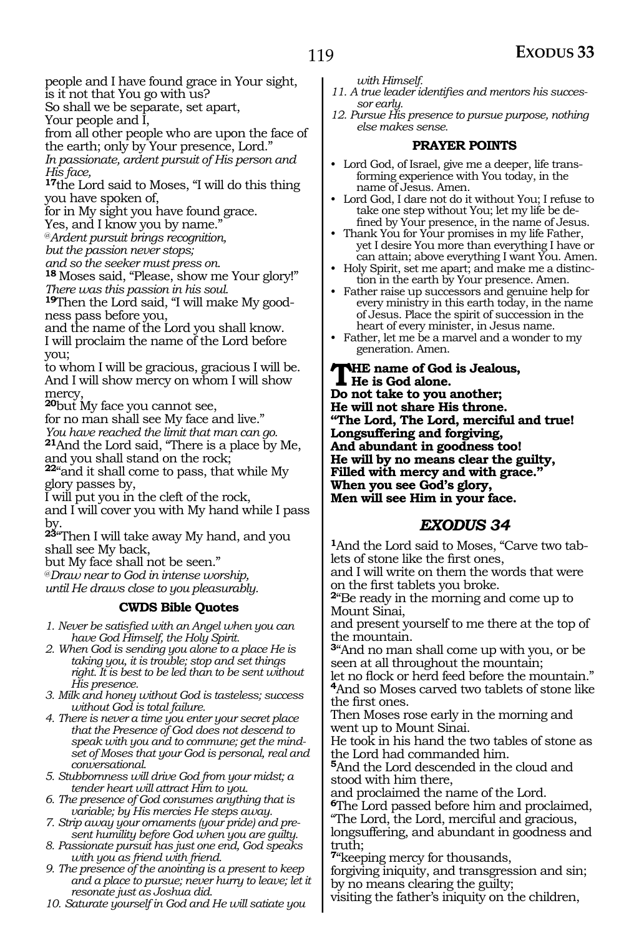people and I have found grace in Your sight, is it not that You go with us?

So shall we be separate, set apart,

Your people and I,

from all other people who are upon the face of the earth; only by Your presence, Lord."

*In passionate, ardent pursuit of His person and His face,*

**<sup>17</sup>**the Lord said to Moses, "I will do this thing you have spoken of,

for in My sight you have found grace.

Yes, and I know you by name."

@*Ardent pursuit brings recognition,*

*but the passion never stops;*

*and so the seeker must press on.*

**<sup>18</sup>**Moses said, "Please, show me Your glory!" *There was this passion in his soul.*

**19**Then the Lord said, "I will make My goodness pass before you,

and the name of the Lord you shall know. I will proclaim the name of the Lord before you;

to whom I will be gracious, gracious I will be. And I will show mercy on whom I will show mercy,

**<sup>20</sup>**but My face you cannot see,

for no man shall see My face and live." *You have reached the limit that man can go.* **<sup>21</sup>**And the Lord said, "There is a place by Me, and you shall stand on the rock;

**<sup>22</sup>**"and it shall come to pass, that while My glory passes by,

I will put you in the cleft of the rock, and I will cover you with My hand while I pass by.

**<sup>23</sup>**"Then I will take away My hand, and you shall see My back,

but My face shall not be seen."

@*Draw near to God in intense worship,*

*until He draws close to you pleasurably.*

#### **CWDS Bible Quotes**

*1. Never be satisfied with an Angel when you can have God Himself, the Holy Spirit.*

- *2. When God is sending you alone to a place He is taking you, it is trouble; stop and set things right. It is best to be led than to be sent without His presence.*
- *3. Milk and honey without God is tasteless; success without God is total failure.*
- *4. There is never a time you enter your secret place that the Presence of God does not descend to speak with you and to commune; get the mindset of Moses that your God is personal, real and conversational.*
- *5. Stubbornness will drive God from your midst; a tender heart will attract Him to you.*

*6. The presence of God consumes anything that is variable; by His mercies He steps away.*

*7. Strip away your ornaments (your pride) and present humility before God when you are guilty.*

*8. Passionate pursuit has just one end, God speaks with you as friend with friend.*

*9. The presence of the anointing is a present to keep and a place to pursue; never hurry to leave; let it resonate just as Joshua did.*

*10. Saturate yourself in God and He will satiate you* 

*with Himself.*

- *11. A true leader identifies and mentors his successor early.*
- *12. Pursue His presence to pursue purpose, nothing else makes sense.*

#### **PRAYER POINTS**

- Lord God, of Israel, give me a deeper, life transforming experience with You today, in the name of Jesus. Amen.
- Lord God, I dare not do it without You; I refuse to take one step without You; let my life be defined by Your presence, in the name of Jesus.
- Thank You for Your promises in my life Father, yet I desire You more than everything I have or can attain; above everything I want You. Amen.
- Holy Spirit, set me apart; and make me a distinction in the earth by Your presence. Amen.
- Father raise up successors and genuine help for every ministry in this earth today, in the name of Jesus. Place the spirit of succession in the heart of every minister, in Jesus name.
- Father, let me be a marvel and a wonder to my generation. Amen.

**The name of God is Jealous, He is God alone. Do not take to you another; He will not share His throne. "The Lord, The Lord, merciful and true! Longsuffering and forgiving, And abundant in goodness too! He will by no means clear the guilty, Filled with mercy and with grace." When you see God's glory, Men will see Him in your face.** 

### *EXODUS 34*

**<sup>1</sup>**And the Lord said to Moses, "Carve two tab- lets of stone like the first ones,

and I will write on them the words that were

<sup>2</sup>"Be ready in the morning and come up to Mount Sinai,

and present yourself to me there at the top of the mountain.

**<sup>3</sup>**"And no man shall come up with you, or be seen at all throughout the mountain;

let no flock or herd feed before the mountain." **<sup>4</sup>**And so Moses carved two tablets of stone like the first ones.

Then Moses rose early in the morning and went up to Mount Sinai.

He took in his hand the two tables of stone as the Lord had commanded him.

**<sup>5</sup>**And the Lord descended in the cloud and stood with him there,

and proclaimed the name of the Lord.

**<sup>6</sup>**The Lord passed before him and proclaimed, "The Lord, the Lord, merciful and gracious,

longsuffering, and abundant in goodness and truth;

**<sup>7</sup>**"keeping mercy for thousands,

forgiving iniquity, and transgression and sin; by no means clearing the guilty;

visiting the father's iniquity on the children,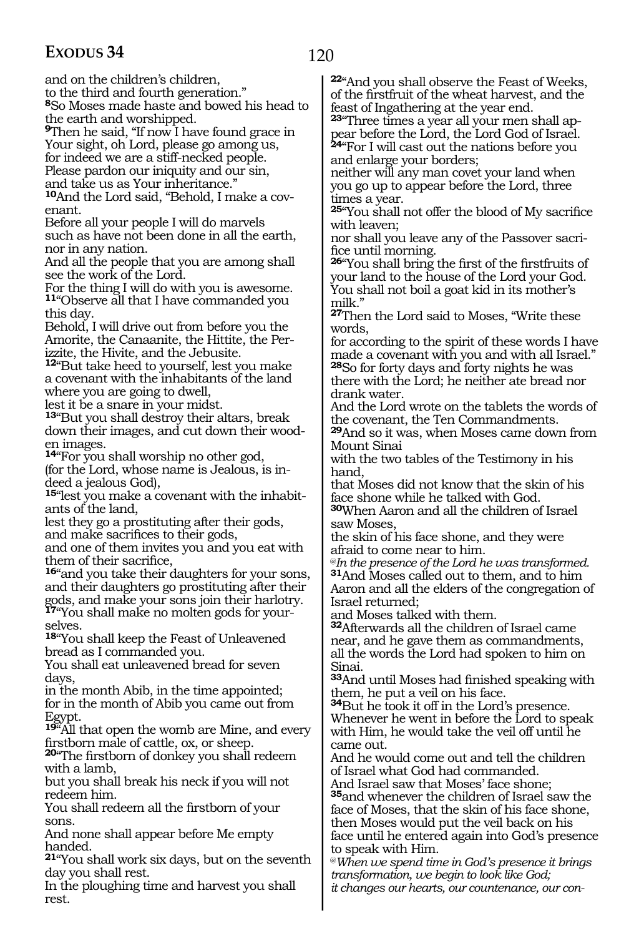120

and on the children's children,

to the third and fourth generation."

**<sup>8</sup>**So Moses made haste and bowed his head to the earth and worshipped.

**<sup>9</sup>**Then he said, "If now I have found grace in Your sight, oh Lord, please go among us, for indeed we are a stiff-necked people.

Please pardon our iniquity and our sin,

and take us as Your inheritance."

**<sup>10</sup>**And the Lord said, "Behold, I make a cov- enant.

Before all your people I will do marvels such as have not been done in all the earth, nor in any nation.

And all the people that you are among shall see the work of the Lord.

For the thing I will do with you is awesome. **<sup>11</sup>**"Observe all that I have commanded you this day.

Behold, I will drive out from before you the Amorite, the Canaanite, the Hittite, the Perizzite, the Hivite, and the Jebusite.

**<sup>12</sup>**"But take heed to yourself, lest you make a covenant with the inhabitants of the land where you are going to dwell,

lest it be a snare in your midst.

**<sup>13</sup>**"But you shall destroy their altars, break down their images, and cut down their wooden images.

**<sup>14</sup>**"For you shall worship no other god, (for the Lord, whose name is Jealous, is indeed a jealous God),

**15**"lest you make a covenant with the inhabitants of the land,

lest they go a prostituting after their gods, and make sacrifices to their gods,

and one of them invites you and you eat with them of their sacrifice,

**<sup>16</sup>**"and you take their daughters for your sons, and their daughters go prostituting after their gods, and make your sons join their harlotry. **17**"You shall make no molten gods for your-

selves. **<sup>18</sup>**"You shall keep the Feast of Unleavened

bread as I commanded you.

You shall eat unleavened bread for seven days,

in the month Abib, in the time appointed; for in the month of Abib you came out from Egypt.

**<sup>19</sup>**"All that open the womb are Mine, and every firstborn male of cattle, ox, or sheep.

**<sup>20</sup>**"The firstborn of donkey you shall redeem with a lamb,

but you shall break his neck if you will not redeem him.

You shall redeem all the firstborn of your sons.

And none shall appear before Me empty handed.

**<sup>21</sup>**"You shall work six days, but on the seventh day you shall rest.

In the ploughing time and harvest you shall rest.

**<sup>22</sup>**"And you shall observe the Feast of Weeks, of the firstfruit of the wheat harvest, and the feast of Ingathering at the year end.

**23**"Three times a year all your men shall appear before the Lord, the Lord God of Israel. **<sup>24</sup>**"For I will cast out the nations before you and enlarge your borders;

neither will any man covet your land when you go up to appear before the Lord, three times a year.

**<sup>25</sup>**"You shall not offer the blood of My sacrifice with leaven;

nor shall you leave any of the Passover sacri- fice until morning.

**<sup>26</sup>**"You shall bring the first of the firstfruits of your land to the house of the Lord your God. You shall not boil a goat kid in its mother's milk."

**<sup>27</sup>**Then the Lord said to Moses, "Write these words,

for according to the spirit of these words I have made a covenant with you and with all Israel." **<sup>28</sup>**So for forty days and forty nights he was there with the Lord; he neither ate bread nor

drank water.

And the Lord wrote on the tablets the words of the covenant, the Ten Commandments.

**<sup>29</sup>**And so it was, when Moses came down from Mount Sinai

with the two tables of the Testimony in his hand,

that Moses did not know that the skin of his face shone while he talked with God.

**<sup>30</sup>**When Aaron and all the children of Israel saw Moses,

the skin of his face shone, and they were afraid to come near to him.

@*In the presence of the Lord he was transformed.*  **<sup>31</sup>**And Moses called out to them, and to him Aaron and all the elders of the congregation of Israel returned;

and Moses talked with them.

**<sup>32</sup>**Afterwards all the children of Israel came near, and he gave them as commandments, all the words the Lord had spoken to him on Sinai.

**<sup>33</sup>**And until Moses had finished speaking with them, he put a veil on his face.

**<sup>34</sup>**But he took it off in the Lord's presence. Whenever he went in before the Lord to speak with Him, he would take the veil off until he came out.

And he would come out and tell the children of Israel what God had commanded.

And Israel saw that Moses' face shone; **<sup>35</sup>**and whenever the children of Israel saw the face of Moses, that the skin of his face shone,

then Moses would put the veil back on his face until he entered again into God's presence to speak with Him.

@*When we spend time in God's presence it brings transformation, we begin to look like God; it changes our hearts, our countenance, our con-*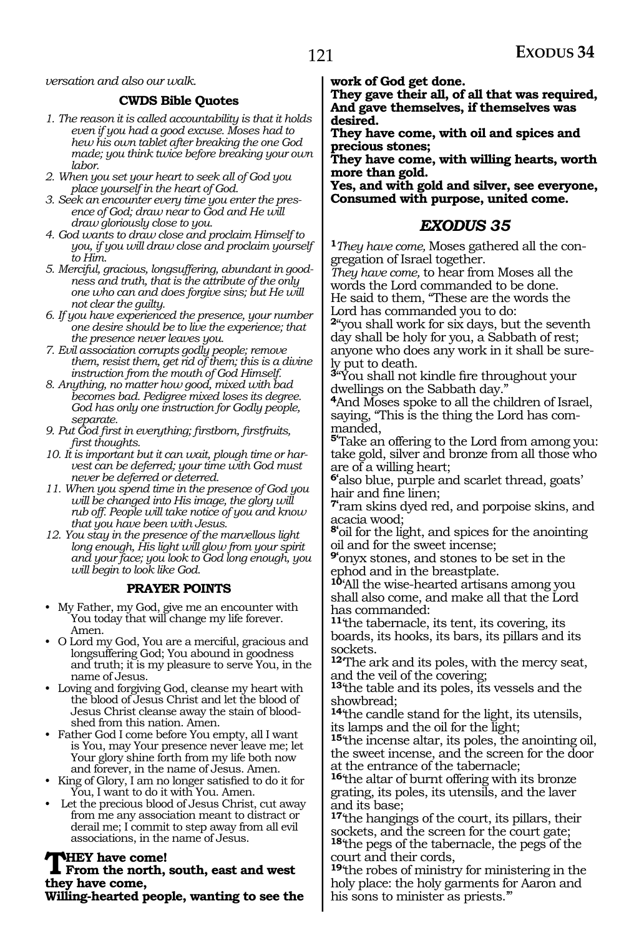#### *versation and also our walk.*

#### **CWDS Bible Quotes**

- *1. The reason it is called accountability is that it holds even if you had a good excuse. Moses had to hew his own tablet after breaking the one God made; you think twice before breaking your own labor.*
- *2. When you set your heart to seek all of God you place yourself in the heart of God.*
- *3. Seek an encounter every time you enter the presence of God; draw near to God and He will draw gloriously close to you.*
- *4. God wants to draw close and proclaim Himself to you, if you will draw close and proclaim yourself to Him.*
- *5. Merciful, gracious, longsuffering, abundant in goodness and truth, that is the attribute of the only one who can and does forgive sins; but He will not clear the guilty.*
- *6. If you have experienced the presence, your number one desire should be to live the experience; that the presence never leaves you.*
- *7. Evil association corrupts godly people; remove them, resist them, get rid of them; this is a divine instruction from the mouth of God Himself.*
- *8. Anything, no matter how good, mixed with bad becomes bad. Pedigree mixed loses its degree. God has only one instruction for Godly people, separate.*
- *9. Put God first in everything; firstborn, firstfruits, first thoughts.*
- *10. It is important but it can wait, plough time or harvest can be deferred; your time with God must never be deferred or deterred.*
- *11. When you spend time in the presence of God you will be changed into His image, the glory will rub off. People will take notice of you and know that you have been with Jesus.*
- *12. You stay in the presence of the marvellous light long enough, His light will glow from your spirit and your face; you look to God long enough, you will begin to look like God.*

#### **PRAYER POINTS**

- My Father, my God, give me an encounter with You today that will change my life forever. Amen.
- O Lord my God, You are a merciful, gracious and longsuffering God; You abound in goodness and truth; it is my pleasure to serve You, in the name of Jesus.
- Loving and forgiving God, cleanse my heart with the blood of Jesus Christ and let the blood of Jesus Christ cleanse away the stain of bloodshed from this nation. Amen.
- Father God I come before You empty, all I want is You, may Your presence never leave me; let Your glory shine forth from my life both now and forever, in the name of Jesus. Amen.
- King of Glory, I am no longer satisfied to do it for You, I want to do it with You. Amen.
- Let the precious blood of Jesus Christ, cut away from me any association meant to distract or derail me; I commit to step away from all evil associations, in the name of Jesus.

**THEY** have come!<br>From the north, south, east and west **they have come,**

**Willing-hearted people, wanting to see the** 

**work of God get done.**

**They gave their all, of all that was required, And gave themselves, if themselves was desired.**

**They have come, with oil and spices and precious stones;**

**They have come, with willing hearts, worth more than gold.**

**Yes, and with gold and silver, see everyone, Consumed with purpose, united come.**

#### *EXODUS 35*

**<sup>1</sup>***They have come,* Moses gathered all the con- gregation of Israel together.

*They have come,* to hear from Moses all the words the Lord commanded to be done. He said to them, "These are the words the Lord has commanded you to do:

**<sup>2</sup>**"you shall work for six days, but the seventh day shall be holy for you, a Sabbath of rest; anyone who does any work in it shall be sure- ly put to death.

**<sup>3</sup>**"You shall not kindle fire throughout your dwellings on the Sabbath day."

**<sup>4</sup>**And Moses spoke to all the children of Israel, saying, "This is the thing the Lord has com- manded,

**5'**Take an offering to the Lord from among you: take gold, silver and bronze from all those who are of a willing heart;

**6'**also blue, purple and scarlet thread, goats' hair and fine linen;

**7'**ram skins dyed red, and porpoise skins, and acacia wood;

**8'**oil for the light, and spices for the anointing oil and for the sweet incense;

**9'**onyx stones, and stones to be set in the ephod and in the breastplate.

**<sup>10</sup>**'All the wise-hearted artisans among you shall also come, and make all that the Lord has commanded:

**<sup>11</sup>**'the tabernacle, its tent, its covering, its boards, its hooks, its bars, its pillars and its sockets.

**<sup>12</sup>**'The ark and its poles, with the mercy seat, and the veil of the covering;

**<sup>13</sup>**'the table and its poles, its vessels and the showbread;

**<sup>14</sup>**'the candle stand for the light, its utensils, its lamps and the oil for the light;

**<sup>15</sup>**'the incense altar, its poles, the anointing oil, the sweet incense, and the screen for the door at the entrance of the tabernacle;

**<sup>16</sup>**'the altar of burnt offering with its bronze grating, its poles, its utensils, and the laver and its base;

**<sup>17</sup>**'the hangings of the court, its pillars, their sockets, and the screen for the court gate; **<sup>18</sup>**'the pegs of the tabernacle, the pegs of the court and their cords,

**<sup>19</sup>**'the robes of ministry for ministering in the holy place: the holy garments for Aaron and his sons to minister as priests.'"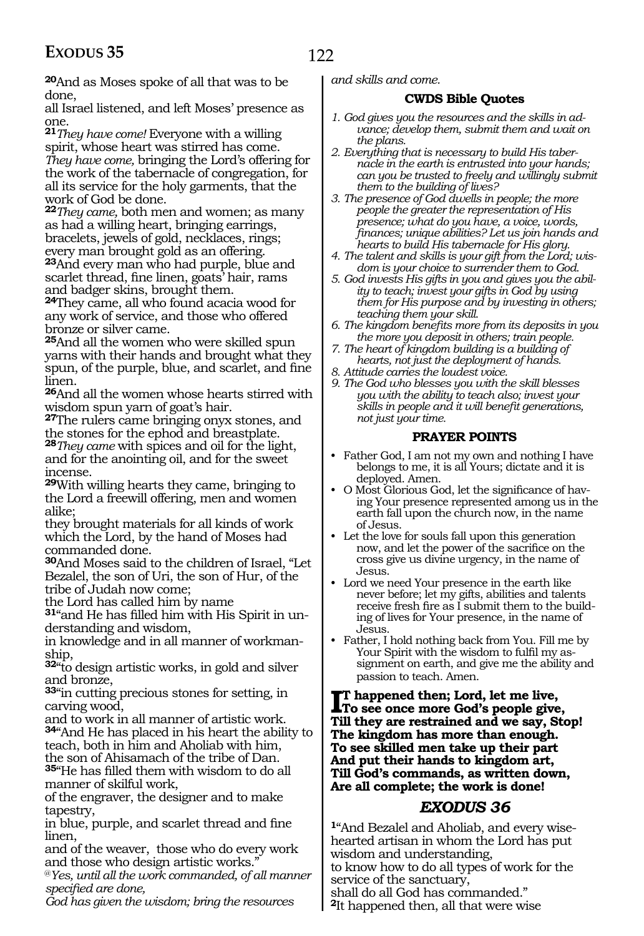**<sup>20</sup>**And as Moses spoke of all that was to be done,

all Israel listened, and left Moses' presence as one.

**<sup>21</sup>***They have come!* Everyone with a willing spirit, whose heart was stirred has come. *They have come,* bringing the Lord's offering for the work of the tabernacle of congregation, for all its service for the holy garments, that the work of God be done.

**<sup>22</sup>***They came,* both men and women; as many as had a willing heart, bringing earrings, bracelets, jewels of gold, necklaces, rings; every man brought gold as an offering.

**<sup>23</sup>**And every man who had purple, blue and scarlet thread, fine linen, goats' hair, rams and badger skins, brought them.

**<sup>24</sup>**They came, all who found acacia wood for any work of service, and those who offered bronze or silver came.

**<sup>25</sup>**And all the women who were skilled spun yarns with their hands and brought what they spun, of the purple, blue, and scarlet, and fine linen.

**<sup>26</sup>**And all the women whose hearts stirred with wisdom spun yarn of goat's hair.

**<sup>27</sup>**The rulers came bringing onyx stones, and the stones for the ephod and breastplate. **<sup>28</sup>***They came* with spices and oil for the light,

and for the anointing oil, and for the sweet incense.

**<sup>29</sup>**With willing hearts they came, bringing to the Lord a freewill offering, men and women alike;

they brought materials for all kinds of work which the Lord, by the hand of Moses had commanded done.

**<sup>30</sup>**And Moses said to the children of Israel, "Let Bezalel, the son of Uri, the son of Hur, of the tribe of Judah now come;

the Lord has called him by name

**31**"and He has filled him with His Spirit in understanding and wisdom,

in knowledge and in all manner of workmanship,

**<sup>32</sup>**"to design artistic works, in gold and silver and bronze,

**<sup>33</sup>**"in cutting precious stones for setting, in carving wood,

and to work in all manner of artistic work. **<sup>34</sup>**"And He has placed in his heart the ability to teach, both in him and Aholiab with him, the son of Ahisamach of the tribe of Dan.

**<sup>35</sup>**"He has filled them with wisdom to do all manner of skilful work,

of the engraver, the designer and to make tapestry,

in blue, purple, and scarlet thread and fine linen,

and of the weaver, those who do every work and those who design artistic works."

@*Yes, until all the work commanded, of all manner specified are done,*

*God has given the wisdom; bring the resources* 

*and skills and come.*

#### **CWDS Bible Quotes**

- *1. God gives you the resources and the skills in advance; develop them, submit them and wait on the plans.*
- *2. Everything that is necessary to build His tabernacle in the earth is entrusted into your hands; can you be trusted to freely and willingly submit them to the building of lives?*
- *3. The presence of God dwells in people; the more people the greater the representation of His presence; what do you have, a voice, words, finances; unique abilities? Let us join hands and hearts to build His tabernacle for His glory.*
- *4. The talent and skills is your gift from the Lord; wisdom is your choice to surrender them to God.*
- *5. God invests His gifts in you and gives you the ability to teach; invest your gifts in God by using them for His purpose and by investing in others; teaching them your skill.*
- *6. The kingdom benefits more from its deposits in you the more you deposit in others; train people.*
- *7. The heart of kingdom building is a building of hearts, not just the deployment of hands.*
- *8. Attitude carries the loudest voice.*
- *9. The God who blesses you with the skill blesses you with the ability to teach also; invest your skills in people and it will benefit generations, not just your time.*

#### **PRAYER POINTS**

- Father God, I am not my own and nothing I have belongs to me, it is all Yours; dictate and it is deployed. Amen.
- O Most Glorious God, let the significance of having Your presence represented among us in the earth fall upon the church now, in the name of Jesus.
- Let the love for souls fall upon this generation now, and let the power of the sacrifice on the cross give us divine urgency, in the name of Jesus.
- Lord we need Your presence in the earth like never before; let my gifts, abilities and talents receive fresh fire as I submit them to the building of lives for Your presence, in the name of Jesus.
- Father, I hold nothing back from You. Fill me by Your Spirit with the wisdom to fulfil my assignment on earth, and give me the ability and passion to teach. Amen.

**I**T happened then; Lord, let me live,<br>To see once more God's people give **To see once more God's people give, Till they are restrained and we say, Stop! The kingdom has more than enough. To see skilled men take up their part And put their hands to kingdom art, Till God's commands, as written down, Are all complete; the work is done!**

### *EXODUS 36*

**1**"And Bezalel and Aholiab, and every wisehearted artisan in whom the Lord has put wisdom and understanding, to know how to do all types of work for the service of the sanctuary, shall do all God has commanded." **<sup>2</sup>**It happened then, all that were wise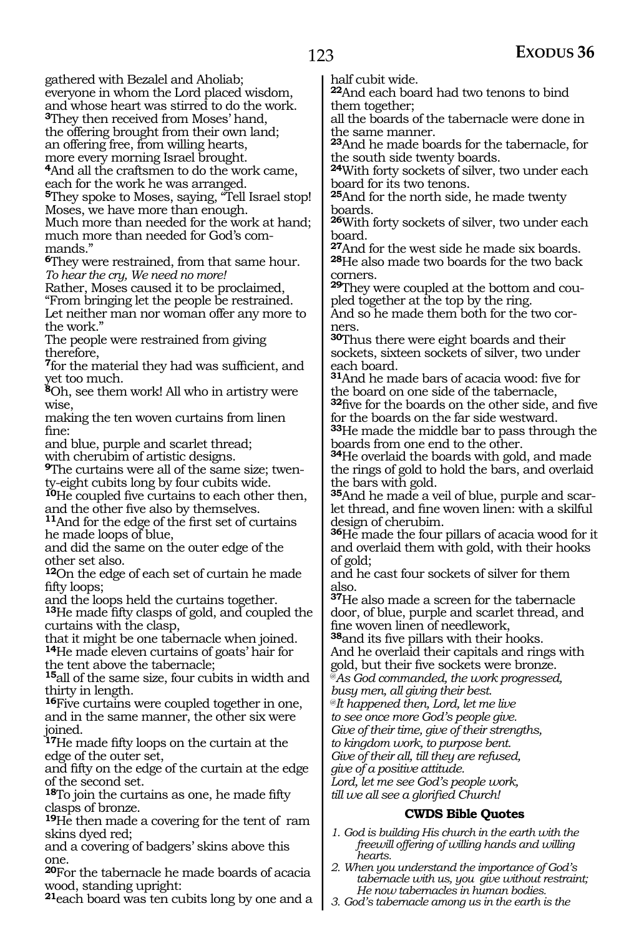gathered with Bezalel and Aholiab; everyone in whom the Lord placed wisdom, and whose heart was stirred to do the work.

**<sup>3</sup>**They then received from Moses' hand,

the offering brought from their own land;

an offering free, from willing hearts,

more every morning Israel brought.

**<sup>4</sup>**And all the craftsmen to do the work came, each for the work he was arranged.

**<sup>5</sup>**They spoke to Moses, saying, "Tell Israel stop! Moses, we have more than enough. Much more than needed for the work at hand;

much more than needed for God's com- mands."

**<sup>6</sup>**They were restrained, from that same hour. *To hear the cry, We need no more!* 

Rather, Moses caused it to be proclaimed,

"From bringing let the people be restrained. Let neither man nor woman offer any more to the work."

The people were restrained from giving therefore,

**<sup>7</sup>**for the material they had was sufficient, and yet too much.

**<sup>8</sup>**Oh, see them work! All who in artistry were wise,

making the ten woven curtains from linen fine:

and blue, purple and scarlet thread;

with cherubim of artistic designs.

**9**The curtains were all of the same size; twenty-eight cubits long by four cubits wide.

**10**He coupled five curtains to each other then, and the other five also by themselves.

<sup>11</sup>And for the edge of the first set of curtains he made loops of blue,

and did the same on the outer edge of the other set also.

**<sup>12</sup>**On the edge of each set of curtain he made fifty loops;

and the loops held the curtains together.

**<sup>13</sup>**He made fifty clasps of gold, and coupled the curtains with the clasp,

that it might be one tabernacle when joined. **<sup>14</sup>**He made eleven curtains of goats' hair for the tent above the tabernacle;

**<sup>15</sup>**all of the same size, four cubits in width and thirty in length.

**<sup>16</sup>**Five curtains were coupled together in one, and in the same manner, the other six were joined.

**<sup>17</sup>**He made fifty loops on the curtain at the edge of the outer set,

and fifty on the edge of the curtain at the edge of the second set.

**<sup>18</sup>**To join the curtains as one, he made fifty clasps of bronze.

**<sup>19</sup>**He then made a covering for the tent of ram skins dyed red;

and a covering of badgers' skins above this one.

**<sup>20</sup>**For the tabernacle he made boards of acacia wood, standing upright:

**<sup>21</sup>**each board was ten cubits long by one and a

half cubit wide.

**<sup>22</sup>**And each board had two tenons to bind them together;

all the boards of the tabernacle were done in the same manner.

**<sup>23</sup>**And he made boards for the tabernacle, for the south side twenty boards.

**<sup>24</sup>**With forty sockets of silver, two under each board for its two tenons.

**<sup>25</sup>**And for the north side, he made twenty boards.

**<sup>26</sup>**With forty sockets of silver, two under each board.

**<sup>27</sup>**And for the west side he made six boards. **<sup>28</sup>**He also made two boards for the two back corners.

**29**They were coupled at the bottom and coupled together at the top by the ring.

And so he made them both for the two corners.

**<sup>30</sup>**Thus there were eight boards and their sockets, sixteen sockets of silver, two under each board.

**<sup>31</sup>**And he made bars of acacia wood: five for the board on one side of the tabernacle,

**<sup>32</sup>**five for the boards on the other side, and five for the boards on the far side westward.

**<sup>33</sup>**He made the middle bar to pass through the boards from one end to the other.

**<sup>34</sup>**He overlaid the boards with gold, and made the rings of gold to hold the bars, and overlaid the bars with gold.

**35**And he made a veil of blue, purple and scarlet thread, and fine woven linen: with a skilful design of cherubim.

**<sup>36</sup>**He made the four pillars of acacia wood for it and overlaid them with gold, with their hooks of gold;

and he cast four sockets of silver for them also.

**<sup>37</sup>**He also made a screen for the tabernacle door, of blue, purple and scarlet thread, and fine woven linen of needlework,

**<sup>38</sup>**and its five pillars with their hooks. And he overlaid their capitals and rings with gold, but their five sockets were bronze.

@*As God commanded, the work progressed,* 

*busy men, all giving their best.* 

@*It happened then, Lord, let me live* 

*to see once more God's people give.* 

*Give of their time, give of their strengths,* 

*to kingdom work, to purpose bent. Give of their all, till they are refused,* 

*give of a positive attitude.* 

*Lord, let me see God's people work, till we all see a glorified Church!*

#### **CWDS Bible Quotes**

- *1. God is building His church in the earth with the freewill offering of willing hands and willing hearts.*
- *2. When you understand the importance of God's tabernacle with us, you give without restraint; He now tabernacles in human bodies.*
- *3. God's tabernacle among us in the earth is the*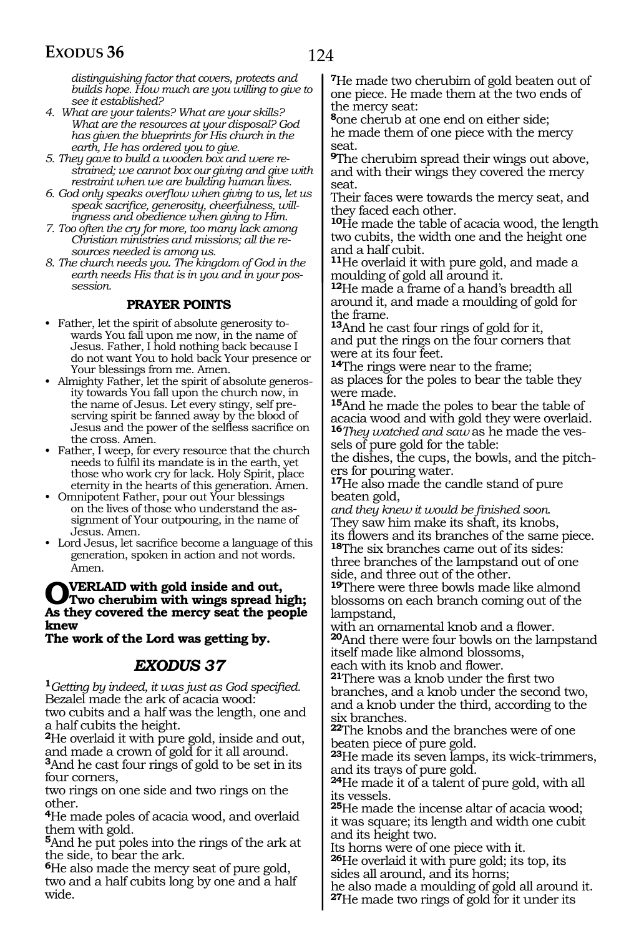*distinguishing factor that covers, protects and builds hope. How much are you willing to give to see it established?*

- *4. What are your talents? What are your skills? What are the resources at your disposal? God has given the blueprints for His church in the earth, He has ordered you to give.*
- *5. They gave to build a wooden box and were restrained; we cannot box our giving and give with restraint when we are building human lives.*
- *6. God only speaks overflow when giving to us, let us speak sacrifice, generosity, cheerfulness, willingness and obedience when giving to Him.*
- *7. Too often the cry for more, too many lack among Christian ministries and missions; all the resources needed is among us.*
- *8. The church needs you. The kingdom of God in the earth needs His that is in you and in your possession.*

#### **PRAYER POINTS**

- Father, let the spirit of absolute generosity towards You fall upon me now, in the name of Jesus. Father, I hold nothing back because I do not want You to hold back Your presence or Your blessings from me. Amen.
- Almighty Father, let the spirit of absolute generosity towards You fall upon the church now, in the name of Jesus. Let every stingy, self preserving spirit be fanned away by the blood of Jesus and the power of the selfless sacrifice on the cross. Amen.
- Father, I weep, for every resource that the church needs to fulfil its mandate is in the earth, yet those who work cry for lack. Holy Spirit, place eternity in the hearts of this generation. Amen.
- Omnipotent Father, pour out Your blessings on the lives of those who understand the assignment of Your outpouring, in the name of Jesus. Amen.
- Lord Jesus, let sacrifice become a language of this generation, spoken in action and not words. Amen.

### **OVERLAID with gold inside and out,<br>No their caused the mores goet the needs As they covered the mercy seat the people knew**

**The work of the Lord was getting by.**

### *EXODUS 37*

**<sup>1</sup>***Getting by indeed, it was just as God specified.* Bezalel made the ark of acacia wood:

two cubits and a half was the length, one and a half cubits the height.

**<sup>2</sup>**He overlaid it with pure gold, inside and out, and made a crown of gold for it all around.

**<sup>3</sup>**And he cast four rings of gold to be set in its four corners,

two rings on one side and two rings on the other.

**<sup>4</sup>**He made poles of acacia wood, and overlaid them with gold.

**<sup>5</sup>**And he put poles into the rings of the ark at the side, to bear the ark.

**<sup>6</sup>**He also made the mercy seat of pure gold, two and a half cubits long by one and a half wide.

**<sup>7</sup>**He made two cherubim of gold beaten out of one piece. He made them at the two ends of the mercy seat:

**<sup>8</sup>**one cherub at one end on either side; he made them of one piece with the mercy seat.

**<sup>9</sup>**The cherubim spread their wings out above, and with their wings they covered the mercy seat.

Their faces were towards the mercy seat, and they faced each other.

**<sup>10</sup>**He made the table of acacia wood, the length two cubits, the width one and the height one and a half cubit.

**<sup>11</sup>**He overlaid it with pure gold, and made a moulding of gold all around it.

**<sup>12</sup>**He made a frame of a hand's breadth all around it, and made a moulding of gold for the frame.

**<sup>13</sup>**And he cast four rings of gold for it, and put the rings on the four corners that were at its four feet.

**<sup>14</sup>**The rings were near to the frame; as places for the poles to bear the table they were made.

**<sup>15</sup>**And he made the poles to bear the table of acacia wood and with gold they were overlaid. **16***They watched and saw* as he made the vessels of pure gold for the table:

the dishes, the cups, the bowls, and the pitchers for pouring water.

**<sup>17</sup>**He also made the candle stand of pure beaten gold,

*and they knew it would be finished soon.* They saw him make its shaft, its knobs, its flowers and its branches of the same piece. **<sup>18</sup>**The six branches came out of its sides: three branches of the lampstand out of one side, and three out of the other.

**<sup>19</sup>**There were three bowls made like almond blossoms on each branch coming out of the lampstand,

with an ornamental knob and a flower. **<sup>20</sup>**And there were four bowls on the lampstand itself made like almond blossoms,

each with its knob and flower.

**<sup>21</sup>**There was a knob under the first two branches, and a knob under the second two, and a knob under the third, according to the six branches.

**<sup>22</sup>**The knobs and the branches were of one beaten piece of pure gold.

**<sup>23</sup>**He made its seven lamps, its wick-trimmers, and its trays of pure gold.

**<sup>24</sup>**He made it of a talent of pure gold, with all its vessels.

**<sup>25</sup>**He made the incense altar of acacia wood; it was square; its length and width one cubit and its height two.

Its horns were of one piece with it. **<sup>26</sup>**He overlaid it with pure gold; its top, its sides all around, and its horns;

he also made a moulding of gold all around it.

**<sup>27</sup>**He made two rings of gold for it under its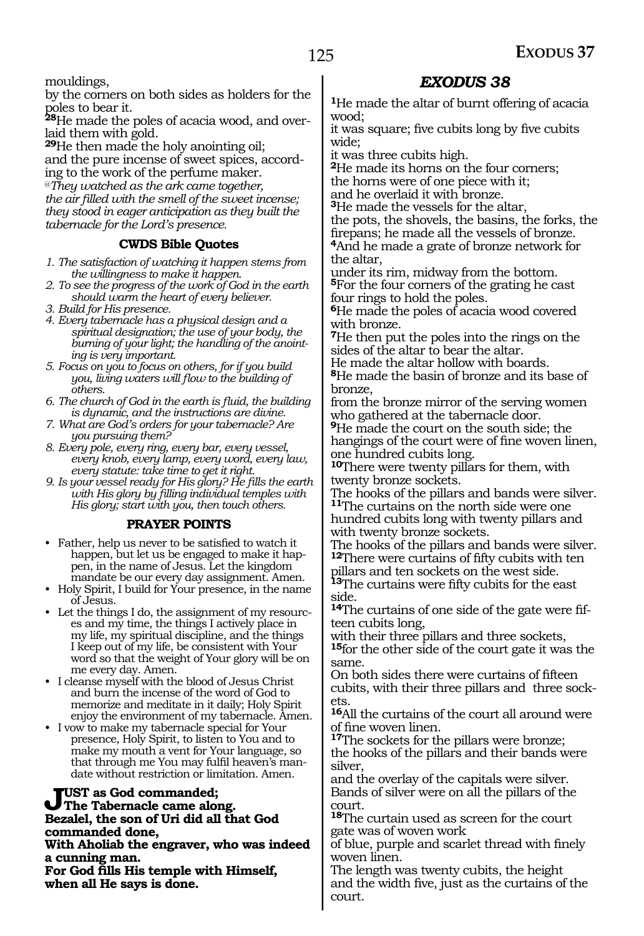mouldings,

by the corners on both sides as holders for the poles to bear it.

**28**He made the poles of acacia wood, and overlaid them with gold.

**<sup>29</sup>**He then made the holy anointing oil; and the pure incense of sweet spices, according to the work of the perfume maker.

@*They watched as the ark came together, the air filled with the smell of the sweet incense; they stood in eager anticipation as they built the tabernacle for the Lord's presence.*

#### **CWDS Bible Quotes**

- *1. The satisfaction of watching it happen stems from the willingness to make it happen.*
- *2. To see the progress of the work of God in the earth should warm the heart of every believer.*
- *3. Build for His presence.*
- *4. Every tabernacle has a physical design and a spiritual designation; the use of your body, the burning of your light; the handling of the anointing is very important.*
- *5. Focus on you to focus on others, for if you build you, living waters will flow to the building of others.*
- *6. The church of God in the earth is fluid, the building is dynamic, and the instructions are divine.*
- *7. What are God's orders for your tabernacle? Are you pursuing them?*
- *8. Every pole, every ring, every bar, every vessel, every knob, every lamp, every word, every law, every statute: take time to get it right.*

*9. Is your vessel ready for His glory? He fills the earth with His glory by filling individual temples with His glory; start with you, then touch others.*

#### **PRAYER POINTS**

- Father, help us never to be satisfied to watch it happen, but let us be engaged to make it happen, in the name of Jesus. Let the kingdom mandate be our every day assignment. Amen.
- Holy Spirit, I build for Your presence, in the name of Jesus.
- Let the things I do, the assignment of my resources and my time, the things I actively place in my life, my spiritual discipline, and the things I keep out of my life, be consistent with Your word so that the weight of Your glory will be on me every day. Amen.
- I cleanse myself with the blood of Jesus Christ and burn the incense of the word of God to memorize and meditate in it daily; Holy Spirit enjoy the environment of my tabernacle. Amen.
- I vow to make my tabernacle special for Your presence, Holy Spirit, to listen to You and to make my mouth a vent for Your language, so that through me You may fulfil heaven's mandate without restriction or limitation. Amen.

#### **Just as God commanded; The Tabernacle came along. Bezalel, the son of Uri did all that God commanded done,**

**With Aholiab the engraver, who was indeed a cunning man.**

**For God fills His temple with Himself, when all He says is done.**

### *EXODUS 38*

**<sup>1</sup>**He made the altar of burnt offering of acacia wood;

it was square; five cubits long by five cubits wide;

it was three cubits high.

**<sup>2</sup>**He made its horns on the four corners; the horns were of one piece with it;

and he overlaid it with bronze.

**<sup>3</sup>**He made the vessels for the altar,

the pots, the shovels, the basins, the forks, the firepans; he made all the vessels of bronze.

**<sup>4</sup>**And he made a grate of bronze network for the altar,

under its rim, midway from the bottom. **<sup>5</sup>**For the four corners of the grating he cast four rings to hold the poles.

**<sup>6</sup>**He made the poles of acacia wood covered with bronze.

**<sup>7</sup>**He then put the poles into the rings on the sides of the altar to bear the altar.

He made the altar hollow with boards.

**<sup>8</sup>**He made the basin of bronze and its base of bronze,

from the bronze mirror of the serving women who gathered at the tabernacle door.

**<sup>9</sup>**He made the court on the south side; the hangings of the court were of fine woven linen, one hundred cubits long.

**<sup>10</sup>**There were twenty pillars for them, with twenty bronze sockets.

The hooks of the pillars and bands were silver. **<sup>11</sup>**The curtains on the north side were one

hundred cubits long with twenty pillars and with twenty bronze sockets.

The hooks of the pillars and bands were silver. **<sup>12</sup>**There were curtains of fifty cubits with ten pillars and ten sockets on the west side.

**<sup>13</sup>**The curtains were fifty cubits for the east side.

**14**The curtains of one side of the gate were fifteen cubits long,

with their three pillars and three sockets,

**<sup>15</sup>**for the other side of the court gate it was the same.

On both sides there were curtains of fifteen cubits, with their three pillars and three sockets.

**<sup>16</sup>**All the curtains of the court all around were of fine woven linen.

**<sup>17</sup>**The sockets for the pillars were bronze; the hooks of the pillars and their bands were silver,

and the overlay of the capitals were silver. Bands of silver were on all the pillars of the court.

**<sup>18</sup>**The curtain used as screen for the court gate was of woven work

of blue, purple and scarlet thread with finely woven linen.

The length was twenty cubits, the height and the width five, just as the curtains of the court.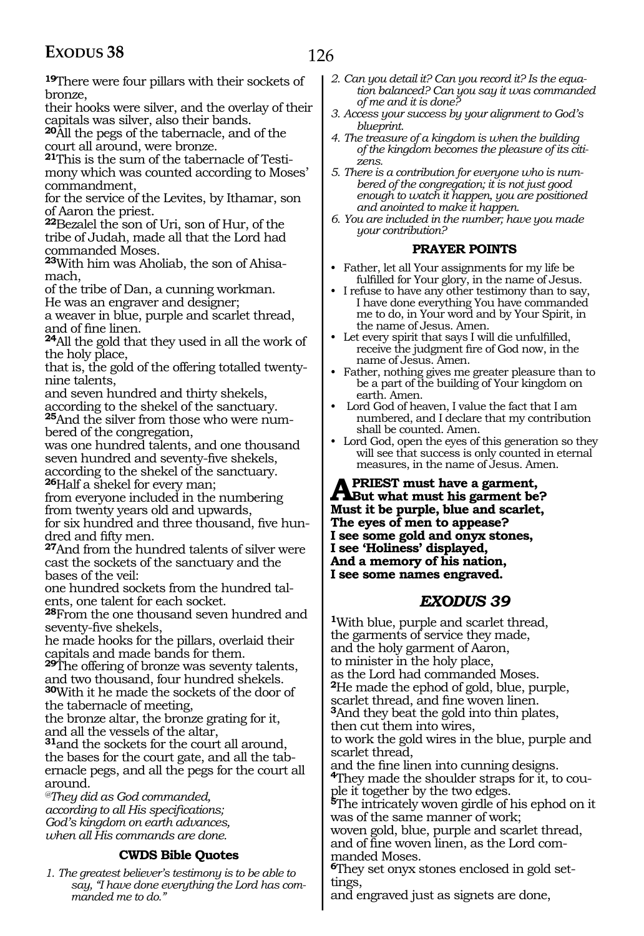**<sup>19</sup>**There were four pillars with their sockets of bronze,

their hooks were silver, and the overlay of their capitals was silver, also their bands.

**<sup>20</sup>**All the pegs of the tabernacle, and of the court all around, were bronze.

**21**This is the sum of the tabernacle of Testimony which was counted according to Moses' commandment,

for the service of the Levites, by Ithamar, son of Aaron the priest.

**<sup>22</sup>**Bezalel the son of Uri, son of Hur, of the tribe of Judah, made all that the Lord had commanded Moses.

**23**With him was Aholiab, the son of Ahisamach,

of the tribe of Dan, a cunning workman. He was an engraver and designer;

a weaver in blue, purple and scarlet thread, and of fine linen.

**<sup>24</sup>**All the gold that they used in all the work of the holy place,

that is, the gold of the offering totalled twentynine talents,

and seven hundred and thirty shekels, according to the shekel of the sanctuary.

**25**And the silver from those who were numbered of the congregation,

was one hundred talents, and one thousand seven hundred and seventy-five shekels, according to the shekel of the sanctuary. **<sup>26</sup>**Half a shekel for every man;

from everyone included in the numbering from twenty years old and upwards,

for six hundred and three thousand, five hun-<br>dred and fifty men.

**27**And from the hundred talents of silver were cast the sockets of the sanctuary and the bases of the veil:

one hundred sockets from the hundred talents, one talent for each socket.

**<sup>28</sup>**From the one thousand seven hundred and seventy-five shekels,

he made hooks for the pillars, overlaid their capitals and made bands for them.

**<sup>29</sup>**The offering of bronze was seventy talents, and two thousand, four hundred shekels. **<sup>30</sup>**With it he made the sockets of the door of the tabernacle of meeting,

the bronze altar, the bronze grating for it, and all the vessels of the altar,

**<sup>31</sup>**and the sockets for the court all around, the bases for the court gate, and all the tabernacle pegs, and all the pegs for the court all around.

*@They did as God commanded, according to all His specifications; God's kingdom on earth advances, when all His commands are done.*

#### **CWDS Bible Quotes**

*1. The greatest believer's testimony is to be able to say, "I have done everything the Lord has commanded me to do."*

- *2. Can you detail it? Can you record it? Is the equation balanced? Can you say it was commanded of me and it is done?*
- *3. Access your success by your alignment to God's blueprint.*
- *4. The treasure of a kingdom is when the building of the kingdom becomes the pleasure of its citizens.*
- *5. There is a contribution for everyone who is numbered of the congregation; it is not just good enough to watch it happen, you are positioned and anointed to make it happen.*

*6. You are included in the number; have you made your contribution?*

#### **PRAYER POINTS**

- Father, let all Your assignments for my life be fulfilled for Your glory, in the name of Jesus.
- I refuse to have any other testimony than to say, I have done everything You have commanded me to do, in Your word and by Your Spirit, in the name of Jesus. Amen.
- Let every spirit that says I will die unfulfilled, receive the judgment fire of God now, in the name of Jesus. Amen.
- Father, nothing gives me greater pleasure than to be a part of the building of Your kingdom on earth. Amen.
- Lord God of heaven, I value the fact that I am numbered, and I declare that my contribution shall be counted. Amen.
- Lord God, open the eyes of this generation so they will see that success is only counted in eternal measures, in the name of Jesus. Amen.

**A** PRIEST must have a garment,<br> **But what must his garment be? Must it be purple, blue and scarlet, The eyes of men to appease? I see some gold and onyx stones, I see 'Holiness' displayed, And a memory of his nation, I see some names engraved.**

#### *EXODUS 39*

**<sup>1</sup>**With blue, purple and scarlet thread, the garments of service they made, and the holy garment of Aaron, to minister in the holy place, as the Lord had commanded Moses. **<sup>2</sup>**He made the ephod of gold, blue, purple, scarlet thread, and fine woven linen. **<sup>3</sup>**And they beat the gold into thin plates, then cut them into wires, to work the gold wires in the blue, purple and scarlet thread,<br>and the fine linen into cunning designs. <sup>4</sup>They made the shoulder straps for it, to couple it together by the two edges. **<sup>5</sup>**The intricately woven girdle of his ephod on it was of the same manner of work; woven gold, blue, purple and scarlet thread, and of fine woven linen, as the Lord commanded Moses. **<sup>6</sup>**They set onyx stones enclosed in gold set- tings,

and engraved just as signets are done,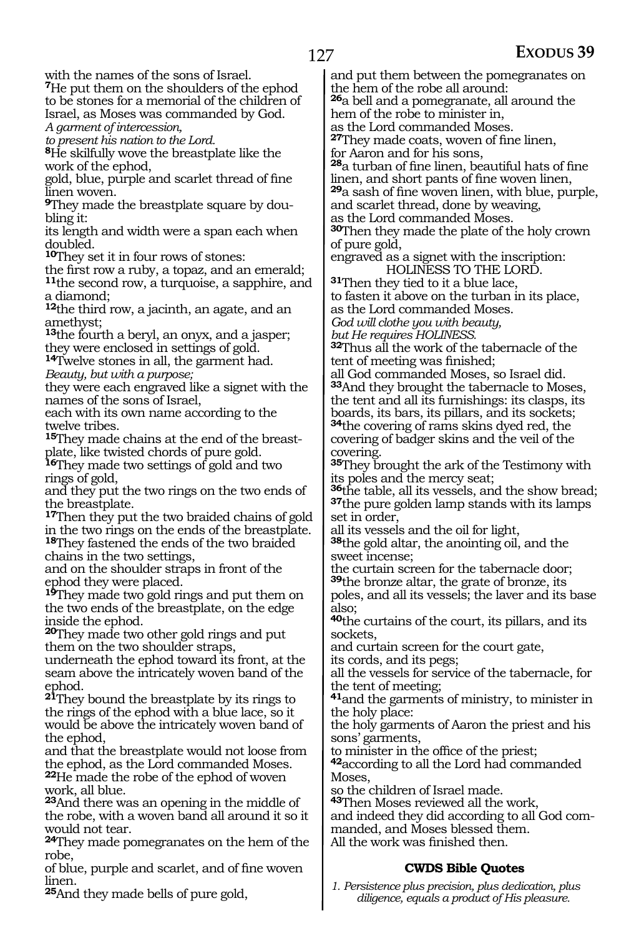with the names of the sons of Israel.

**<sup>7</sup>**He put them on the shoulders of the ephod to be stones for a memorial of the children of Israel, as Moses was commanded by God. *A garment of intercession,*

*to present his nation to the Lord.*

**<sup>8</sup>**He skilfully wove the breastplate like the work of the ephod,

gold, blue, purple and scarlet thread of fine linen woven.

**9**They made the breastplate square by doubling it:

its length and width were a span each when doubled.

**<sup>10</sup>They set it in four rows of stones:**<br>the first row a ruby, a topaz, and an emerald; <sup>11</sup>the second row, a turquoise, a sapphire, and a diamond;

**<sup>12</sup>**the third row, a jacinth, an agate, and an amethyst;

**<sup>13</sup>**the fourth a beryl, an onyx, and a jasper; they were enclosed in settings of gold.

**<sup>14</sup>**Twelve stones in all, the garment had. *Beauty, but with a purpose;*

they were each engraved like a signet with the names of the sons of Israel,

each with its own name according to the twelve tribes.

**15**They made chains at the end of the breastplate, like twisted chords of pure gold.

**<sup>16</sup>**They made two settings of gold and two rings of gold,

and they put the two rings on the two ends of the breastplate.

**<sup>17</sup>**Then they put the two braided chains of gold in the two rings on the ends of the breastplate. **<sup>18</sup>**They fastened the ends of the two braided chains in the two settings,

and on the shoulder straps in front of the ephod they were placed.

**<sup>19</sup>**They made two gold rings and put them on the two ends of the breastplate, on the edge inside the ephod.

**<sup>20</sup>**They made two other gold rings and put them on the two shoulder straps,

underneath the ephod toward its front, at the seam above the intricately woven band of the ephod.

**<sup>21</sup>**They bound the breastplate by its rings to the rings of the ephod with a blue lace, so it would be above the intricately woven band of the ephod,

and that the breastplate would not loose from the ephod, as the Lord commanded Moses. **<sup>22</sup>**He made the robe of the ephod of woven work, all blue.

**<sup>23</sup>**And there was an opening in the middle of the robe, with a woven band all around it so it would not tear.

**<sup>24</sup>**They made pomegranates on the hem of the robe,

of blue, purple and scarlet, and of fine woven linen.

**<sup>25</sup>**And they made bells of pure gold,

and put them between the pomegranates on the hem of the robe all around:

**<sup>26</sup>**a bell and a pomegranate, all around the hem of the robe to minister in,

as the Lord commanded Moses.

**<sup>27</sup>**They made coats, woven of fine linen,

for Aaron and for his sons,

**<sup>28</sup>**a turban of fine linen, beautiful hats of fine linen, and short pants of fine woven linen, **<sup>29</sup>**a sash of fine woven linen, with blue, purple,

and scarlet thread, done by weaving, as the Lord commanded Moses.

**<sup>30</sup>**Then they made the plate of the holy crown

of pure gold, engraved as a signet with the inscription: HOLINESS TO THE LORD.

**<sup>31</sup>**Then they tied to it a blue lace,

to fasten it above on the turban in its place, as the Lord commanded Moses.

*God will clothe you with beauty,*

*but He requires HOLINESS.*

**<sup>32</sup>**Thus all the work of the tabernacle of the tent of meeting was finished;

all God commanded Moses, so Israel did. **<sup>33</sup>**And they brought the tabernacle to Moses, the tent and all its furnishings: its clasps, its boards, its bars, its pillars, and its sockets; **<sup>34</sup>**the covering of rams skins dyed red, the covering of badger skins and the veil of the covering.

**<sup>35</sup>**They brought the ark of the Testimony with its poles and the mercy seat;

**<sup>36</sup>**the table, all its vessels, and the show bread; **<sup>37</sup>**the pure golden lamp stands with its lamps set in order,

all its vessels and the oil for light,

**<sup>38</sup>**the gold altar, the anointing oil, and the sweet incense;

the curtain screen for the tabernacle door; **<sup>39</sup>**the bronze altar, the grate of bronze, its poles, and all its vessels; the laver and its base also;

**<sup>40</sup>**the curtains of the court, its pillars, and its sockets,

and curtain screen for the court gate,

its cords, and its pegs;

all the vessels for service of the tabernacle, for the tent of meeting;

**<sup>41</sup>**and the garments of ministry, to minister in the holy place:

the holy garments of Aaron the priest and his

sons' garments,<br>to minister in the office of the priest;

<sup>42</sup>according to all the Lord had commanded Moses,

so the children of Israel made.

**<sup>43</sup>**Then Moses reviewed all the work,

and indeed they did according to all God commanded, and Moses blessed them. All the work was finished then.

#### **CWDS Bible Quotes**

*1. Persistence plus precision, plus dedication, plus diligence, equals a product of His pleasure.*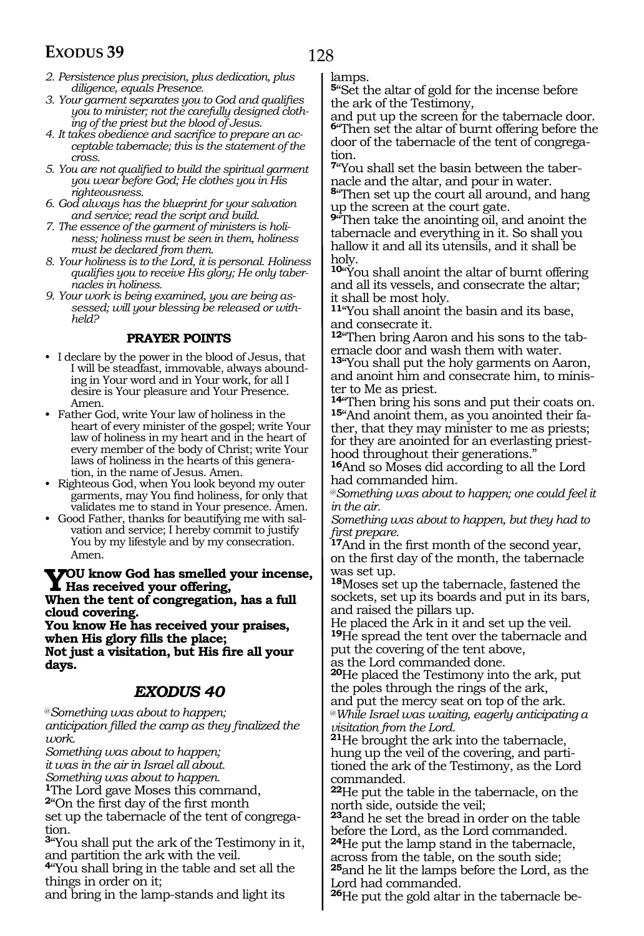- *2. Persistence plus precision, plus dedication, plus diligence, equals Presence.*
- *3. Your garment separates you to God and qualifies you to minister; not the carefully designed clothing of the priest but the blood of Jesus.*
- *4. It takes obedience and sacrifice to prepare an acceptable tabernacle; this is the statement of the cross.*
- *5. You are not qualified to build the spiritual garment you wear before God; He clothes you in His righteousness.*
- *6. God always has the blueprint for your salvation and service; read the script and build.*
- *7. The essence of the garment of ministers is holiness; holiness must be seen in them, holiness must be declared from them.*
- *8. Your holiness is to the Lord, it is personal. Holiness qualifies you to receive His glory; He only tabernacles in holiness.*
- *9. Your work is being examined, you are being assessed; will your blessing be released or withheld?*

#### **PRAYER POINTS**

- I declare by the power in the blood of Jesus, that I will be steadfast, immovable, always abounding in Your word and in Your work, for all I desire is Your pleasure and Your Presence. Amen.
- Father God, write Your law of holiness in the heart of every minister of the gospel; write Your law of holiness in my heart and in the heart of every member of the body of Christ; write Your laws of holiness in the hearts of this generation, in the name of Jesus. Amen.
- Righteous God, when You look beyond my outer garments, may You find holiness, for only that validates me to stand in Your presence. Amen.
- Good Father, thanks for beautifying me with salvation and service; I hereby commit to justify You by my lifestyle and by my consecration. Amen.

**You know God has smelled your incense, Has received your offering, When the tent of congregation, has a full cloud covering. You know He has received your praises,** 

**when His glory fills the place; Not just a visitation, but His fire all your days.**

#### *EXODUS 40*

@*Something was about to happen; anticipation filled the camp as they finalized the work.*

*Something was about to happen;*

*it was in the air in Israel all about.*

*Something was about to happen.*

**<sup>1</sup>**The Lord gave Moses this command,

**<sup>2</sup>**"On the first day of the first month

set up the tabernacle of the tent of congregation.

**<sup>3</sup>**"You shall put the ark of the Testimony in it, and partition the ark with the veil.

**<sup>4</sup>**"You shall bring in the table and set all the things in order on it;

and bring in the lamp-stands and light its

lamps.

**<sup>5</sup>**"Set the altar of gold for the incense before the ark of the Testimony,

and put up the screen for the tabernacle door. **<sup>6</sup>**"Then set the altar of burnt offering before the door of the tabernacle of the tent of congregation.

**7**"You shall set the basin between the tabernacle and the altar, and pour in water.

**<sup>8</sup>**"Then set up the court all around, and hang up the screen at the court gate.

**<sup>9</sup>**"Then take the anointing oil, and anoint the tabernacle and everything in it. So shall you hallow it and all its utensils, and it shall be holy.

**<sup>10</sup>**"You shall anoint the altar of burnt offering and all its vessels, and consecrate the altar; it shall be most holy.

**<sup>11</sup>**"You shall anoint the basin and its base, and consecrate it.

**12**"Then bring Aaron and his sons to the tabernacle door and wash them with water.

**<sup>13</sup>**"You shall put the holy garments on Aaron, and anoint him and consecrate him, to minister to Me as priest.<br><sup>14</sup> Then bring his sons and put their coats on.

15"And anoint them, as you anointed their father, that they may minister to me as priests; for they are anointed for an everlasting priesthood throughout their generations."

**<sup>16</sup>**And so Moses did according to all the Lord had commanded him.

@*Something was about to happen; one could feel it in the air.*

*Something was about to happen, but they had to first prepare.*

**<sup>17</sup>**And in the first month of the second year, on the first day of the month, the tabernacle was set up.

**<sup>18</sup>**Moses set up the tabernacle, fastened the sockets, set up its boards and put in its bars, and raised the pillars up.

He placed the Ark in it and set up the veil. **<sup>19</sup>**He spread the tent over the tabernacle and put the covering of the tent above,

as the Lord commanded done.

**<sup>20</sup>**He placed the Testimony into the ark, put the poles through the rings of the ark, and put the mercy seat on top of the ark.

@*While Israel was waiting, eagerly anticipating a visitation from the Lord.*

**<sup>21</sup>**He brought the ark into the tabernacle, hung up the veil of the covering, and partitioned the ark of the Testimony, as the Lord commanded.

**<sup>22</sup>**He put the table in the tabernacle, on the north side, outside the veil;

**<sup>23</sup>**and he set the bread in order on the table before the Lord, as the Lord commanded. **<sup>24</sup>**He put the lamp stand in the tabernacle, across from the table, on the south side;

**<sup>25</sup>**and he lit the lamps before the Lord, as the Lord had commanded.

**26**He put the gold altar in the tabernacle be-